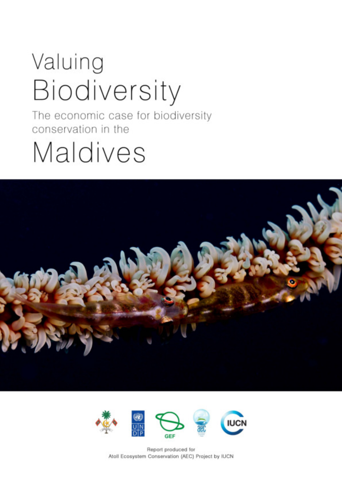## Valuing Biodiversity

The economic case for biodiversity conservation in the

## Maldives





Report produced for Atoll Ecosystem Conservation (AEC) Project by IUCN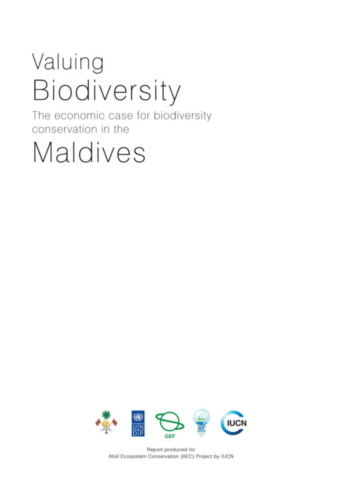## Valuing Biodiversity

The economic case for biodiversity conservation in the

# Maldives



Report produced for Atoll Ecosystem Conservation (AEC) Project by IUCN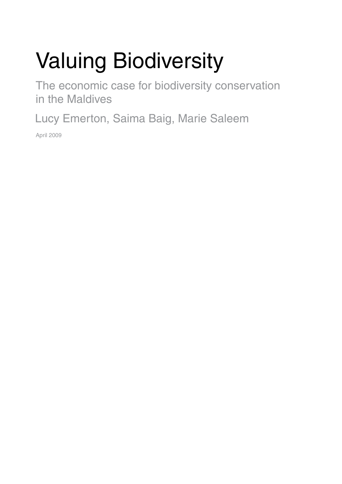### Valuing Biodiversity

The economic case for biodiversity conservation in the Maldives

Lucy Emerton, Saima Baig, Marie Saleem

April 2009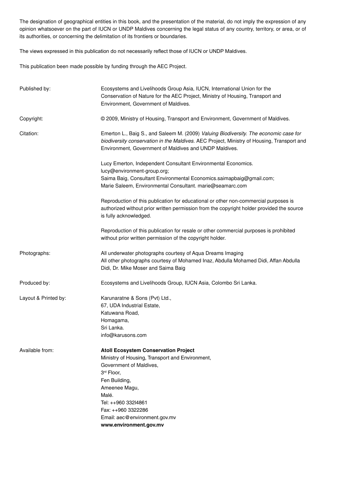The designation of geographical entities in this book, and the presentation of the material, do not imply the expression of any opinion whatsoever on the part of IUCN or UNDP Maldives concerning the legal status of any country, territory, or area, or of its authorities, or concerning the delimitation of its frontiers or boundaries.

The views expressed in this publication do not necessarily reflect those of IUCN or UNDP Maldives.

This publication been made possible by funding through the AEC Project.

| Published by:        | Ecosystems and Livelihoods Group Asia, IUCN, International Union for the<br>Conservation of Nature for the AEC Project, Ministry of Housing, Transport and<br>Environment, Government of Maldives.                                                                                         |  |  |  |  |
|----------------------|--------------------------------------------------------------------------------------------------------------------------------------------------------------------------------------------------------------------------------------------------------------------------------------------|--|--|--|--|
| Copyright:           | © 2009, Ministry of Housing, Transport and Environment, Government of Maldives.                                                                                                                                                                                                            |  |  |  |  |
| Citation:            | Emerton L., Baig S., and Saleem M. (2009) Valuing Biodiversity. The economic case for<br>biodiversity conservation in the Maldives. AEC Project, Ministry of Housing, Transport and<br>Environment, Government of Maldives and UNDP Maldives.                                              |  |  |  |  |
|                      | Lucy Emerton, Independent Consultant Environmental Economics.<br>lucy@environment-group.org;<br>Saima Baig, Consultant Environmental Economics.saimapbaig@gmail.com;<br>Marie Saleem, Environmental Consultant. marie@seamarc.com                                                          |  |  |  |  |
|                      | Reproduction of this publication for educational or other non-commercial purposes is<br>authorized without prior written permission from the copyright holder provided the source<br>is fully acknowledged.                                                                                |  |  |  |  |
|                      | Reproduction of this publication for resale or other commercial purposes is prohibited<br>without prior written permission of the copyright holder.                                                                                                                                        |  |  |  |  |
| Photographs:         | All underwater photographs courtesy of Aqua Dreams Imaging<br>All other photographs courtesy of Mohamed Inaz, Abdulla Mohamed Didi, Affan Abdulla<br>Didi, Dr. Mike Moser and Saima Baig                                                                                                   |  |  |  |  |
| Produced by:         | Ecosystems and Livelihoods Group, IUCN Asia, Colombo Sri Lanka.                                                                                                                                                                                                                            |  |  |  |  |
| Layout & Printed by: | Karunaratne & Sons (Pvt) Ltd.,<br>67, UDA Industrial Estate,<br>Katuwana Road,<br>Homagama,<br>Sri Lanka.<br>info@karusons.com                                                                                                                                                             |  |  |  |  |
| Available from:      | <b>Atoll Ecosystem Conservation Project</b><br>Ministry of Housing, Transport and Environment,<br>Government of Maldives,<br>3rd Floor,<br>Fen Building,<br>Ameenee Magu,<br>Malé.<br>Tel: ++960 332l4861<br>Fax: ++960 3322286<br>Email: aec@environment.gov.mv<br>www.environment.gov.mv |  |  |  |  |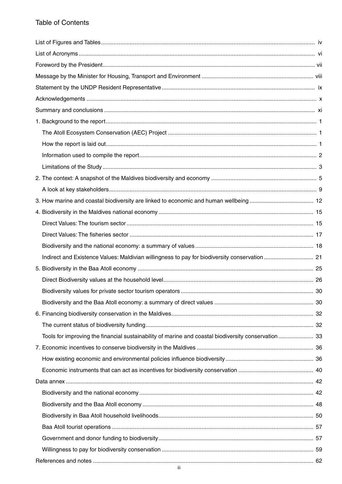### **Table of Contents**

| Tools for improving the financial sustainability of marine and coastal biodiversity conservation 33 |  |
|-----------------------------------------------------------------------------------------------------|--|
|                                                                                                     |  |
|                                                                                                     |  |
|                                                                                                     |  |
|                                                                                                     |  |
|                                                                                                     |  |
|                                                                                                     |  |
|                                                                                                     |  |
|                                                                                                     |  |
|                                                                                                     |  |
|                                                                                                     |  |
|                                                                                                     |  |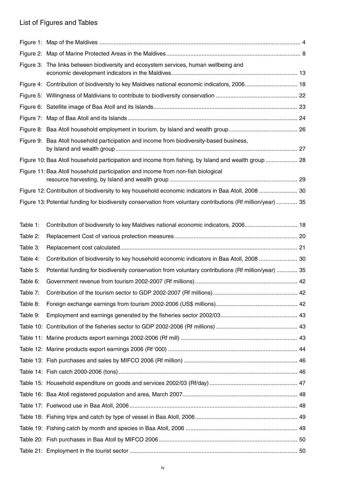### List of Figures and Tables

|          | Figure 3: The links between biodiversity and ecosystem services, human wellbeing and                          |  |
|----------|---------------------------------------------------------------------------------------------------------------|--|
|          | Figure 4: Contribution of biodiversity to key Maldives national economic indicators, 2006 18                  |  |
|          |                                                                                                               |  |
|          |                                                                                                               |  |
|          |                                                                                                               |  |
|          |                                                                                                               |  |
|          | Figure 9: Baa Atoll household participation and income from biodiversity-based business,                      |  |
|          | Figure 10: Baa Atoll household participation and income from fishing, by Island and wealth group  28          |  |
|          | Figure 11: Baa Atoll household participation and income from non-fish biological                              |  |
|          | Figure 12: Contribution of biodiversity to key household economic indicators in Baa Atoll, 2008  30           |  |
|          | Figure 13: Potential funding for biodiversity conservation from voluntary contributions (Rf million/year)  35 |  |
|          |                                                                                                               |  |
| Table 1: | Contribution of biodiversity to key Maldives national economic indicators, 2006 18                            |  |
| Table 2: |                                                                                                               |  |
| Table 3: |                                                                                                               |  |
| Table 4: | Contribution of biodiversity to key household economic indicators in Baa Atoll, 2008  30                      |  |
| Table 5: | Potential funding for biodiversity conservation from voluntary contributions (Rf million/year)  35            |  |
| Table 6: |                                                                                                               |  |
| Table 7: |                                                                                                               |  |
| Table 8: |                                                                                                               |  |
| Table 9: |                                                                                                               |  |
|          |                                                                                                               |  |
|          |                                                                                                               |  |
|          |                                                                                                               |  |
|          |                                                                                                               |  |
|          |                                                                                                               |  |
|          |                                                                                                               |  |
|          |                                                                                                               |  |
|          |                                                                                                               |  |
|          |                                                                                                               |  |
|          |                                                                                                               |  |
|          |                                                                                                               |  |
|          |                                                                                                               |  |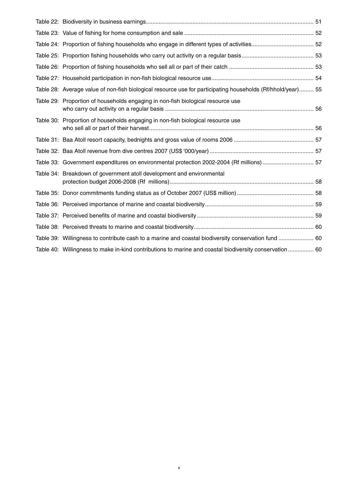| Table 28: Average value of non-fish biological resource use for participating households (Rf/hhold/year) 55 |  |
|-------------------------------------------------------------------------------------------------------------|--|
| Table 29: Proportion of households engaging in non-fish biological resource use                             |  |
| Table 30: Proportion of households engaging in non-fish biological resource use                             |  |
|                                                                                                             |  |
|                                                                                                             |  |
| Table 33: Government expenditures on environmental protection 2002-2004 (Rf millions) 57                    |  |
| Table 34: Breakdown of government atoll development and environmental                                       |  |
|                                                                                                             |  |
|                                                                                                             |  |
|                                                                                                             |  |
|                                                                                                             |  |
| Table 39: Willingness to contribute cash to a marine and coastal biodiversity conservation fund  60         |  |
| Table 40: Willingness to make in-kind contributions to marine and coastal biodiversity conservation  60     |  |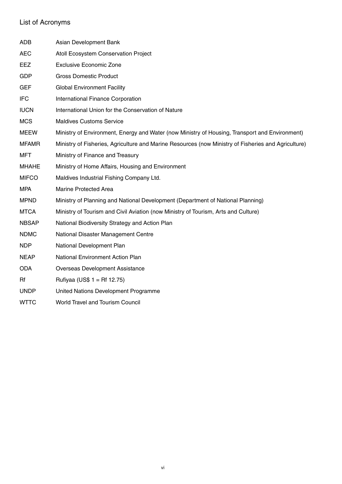### List of Acronyms

| ADB          | Asian Development Bank                                                                              |
|--------------|-----------------------------------------------------------------------------------------------------|
| <b>AEC</b>   | Atoll Ecosystem Conservation Project                                                                |
| EEZ          | <b>Exclusive Economic Zone</b>                                                                      |
| <b>GDP</b>   | <b>Gross Domestic Product</b>                                                                       |
| <b>GEF</b>   | <b>Global Environment Facility</b>                                                                  |
| <b>IFC</b>   | International Finance Corporation                                                                   |
| <b>IUCN</b>  | International Union for the Conservation of Nature                                                  |
| <b>MCS</b>   | <b>Maldives Customs Service</b>                                                                     |
| <b>MEEW</b>  | Ministry of Environment, Energy and Water (now Ministry of Housing, Transport and Environment)      |
| <b>MFAMR</b> | Ministry of Fisheries, Agriculture and Marine Resources (now Ministry of Fisheries and Agriculture) |
| MFT          | Ministry of Finance and Treasury                                                                    |
| <b>MHAHE</b> | Ministry of Home Affairs, Housing and Environment                                                   |
| <b>MIFCO</b> | Maldives Industrial Fishing Company Ltd.                                                            |
| <b>MPA</b>   | <b>Marine Protected Area</b>                                                                        |
| <b>MPND</b>  | Ministry of Planning and National Development (Department of National Planning)                     |
| <b>MTCA</b>  | Ministry of Tourism and Civil Aviation (now Ministry of Tourism, Arts and Culture)                  |
| <b>NBSAP</b> | National Biodiversity Strategy and Action Plan                                                      |
| <b>NDMC</b>  | National Disaster Management Centre                                                                 |
| <b>NDP</b>   | National Development Plan                                                                           |
| <b>NEAP</b>  | <b>National Environment Action Plan</b>                                                             |
| <b>ODA</b>   | <b>Overseas Development Assistance</b>                                                              |
| Rf           | Rufiyaa (US\$ $1 = Rf 12.75$ )                                                                      |
| <b>UNDP</b>  | United Nations Development Programme                                                                |
| <b>WTTC</b>  | <b>World Travel and Tourism Council</b>                                                             |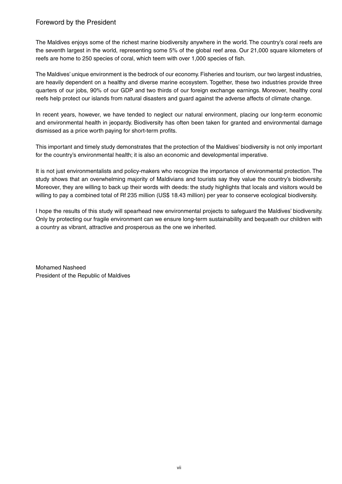#### Foreword by the President

The Maldives enjoys some of the richest marine biodiversity anywhere in the world. The country's coral reefs are the seventh largest in the world, representing some 5% of the global reef area. Our 21,000 square kilometers of reefs are home to 250 species of coral, which teem with over 1,000 species of fish.

The Maldives' unique environment is the bedrock of our economy. Fisheries and tourism, our two largest industries, are heavily dependent on a healthy and diverse marine ecosystem. Together, these two industries provide three quarters of our jobs, 90% of our GDP and two thirds of our foreign exchange earnings. Moreover, healthy coral reefs help protect our islands from natural disasters and guard against the adverse affects of climate change.

In recent years, however, we have tended to neglect our natural environment, placing our long-term economic and environmental health in jeopardy. Biodiversity has often been taken for granted and environmental damage dismissed as a price worth paying for short-term profits.

This important and timely study demonstrates that the protection of the Maldives' biodiversity is not only important for the country's environmental health; it is also an economic and developmental imperative.

It is not just environmentalists and policy-makers who recognize the importance of environmental protection. The study shows that an overwhelming majority of Maldivians and tourists say they value the country's biodiversity. Moreover, they are willing to back up their words with deeds: the study highlights that locals and visitors would be willing to pay a combined total of Rf 235 million (US\$ 18.43 million) per year to conserve ecological biodiversity.

I hope the results of this study will spearhead new environmental projects to safeguard the Maldives' biodiversity. Only by protecting our fragile environment can we ensure long-term sustainability and bequeath our children with a country as vibrant, attractive and prosperous as the one we inherited.

Mohamed Nasheed President of the Republic of Maldives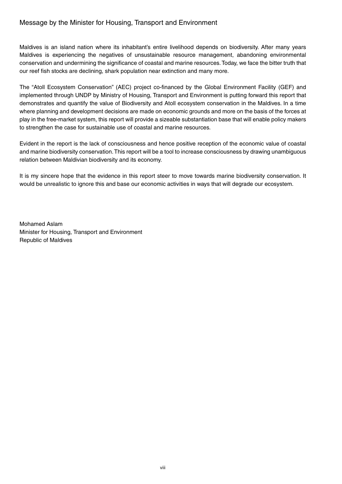#### Message by the Minister for Housing, Transport and Environment

Maldives is an island nation where its inhabitant's entire livelihood depends on biodiversity. After many years Maldives is experiencing the negatives of unsustainable resource management, abandoning environmental conservation and undermining the significance of coastal and marine resources. Today, we face the bitter truth that our reef fish stocks are declining, shark population near extinction and many more.

The "Atoll Ecosystem Conservation" (AEC) project co-financed by the Global Environment Facility (GEF) and implemented through UNDP by Ministry of Housing, Transport and Environment is putting forward this report that demonstrates and quantify the value of Biodiversity and Atoll ecosystem conservation in the Maldives. In a time where planning and development decisions are made on economic grounds and more on the basis of the forces at play in the free-market system, this report will provide a sizeable substantiation base that will enable policy makers to strengthen the case for sustainable use of coastal and marine resources.

Evident in the report is the lack of consciousness and hence positive reception of the economic value of coastal and marine biodiversity conservation. This report will be a tool to increase consciousness by drawing unambiguous relation between Maldivian biodiversity and its economy.

It is my sincere hope that the evidence in this report steer to move towards marine biodiversity conservation. It would be unrealistic to ignore this and base our economic activities in ways that will degrade our ecosystem.

Mohamed Aslam Minister for Housing, Transport and Environment Republic of Maldives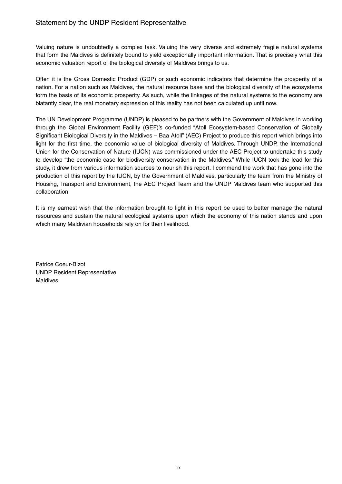#### Statement by the UNDP Resident Representative

Valuing nature is undoubtedly a complex task. Valuing the very diverse and extremely fragile natural systems that form the Maldives is definitely bound to yield exceptionally important information. That is precisely what this economic valuation report of the biological diversity of Maldives brings to us.

Often it is the Gross Domestic Product (GDP) or such economic indicators that determine the prosperity of a nation. For a nation such as Maldives, the natural resource base and the biological diversity of the ecosystems form the basis of its economic prosperity. As such, while the linkages of the natural systems to the economy are blatantly clear, the real monetary expression of this reality has not been calculated up until now.

The UN Development Programme (UNDP) is pleased to be partners with the Government of Maldives in working through the Global Environment Facility (GEF)'s co-funded "Atoll Ecosystem-based Conservation of Globally Significant Biological Diversity in the Maldives – Baa Atoll" (AEC) Project to produce this report which brings into light for the first time, the economic value of biological diversity of Maldives. Through UNDP, the International Union for the Conservation of Nature (IUCN) was commissioned under the AEC Project to undertake this study to develop "the economic case for biodiversity conservation in the Maldives." While IUCN took the lead for this study, it drew from various information sources to nourish this report. I commend the work that has gone into the production of this report by the IUCN, by the Government of Maldives, particularly the team from the Ministry of Housing, Transport and Environment, the AEC Project Team and the UNDP Maldives team who supported this collaboration.

It is my earnest wish that the information brought to light in this report be used to better manage the natural resources and sustain the natural ecological systems upon which the economy of this nation stands and upon which many Maldivian households rely on for their livelihood.

Patrice Coeur-Bizot UNDP Resident Representative Maldives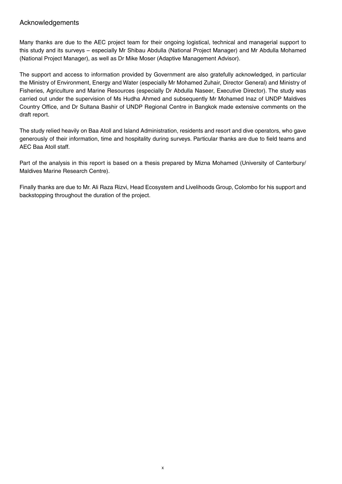#### Acknowledgements

Many thanks are due to the AEC project team for their ongoing logistical, technical and managerial support to this study and its surveys – especially Mr Shibau Abdulla (National Project Manager) and Mr Abdulla Mohamed (National Project Manager), as well as Dr Mike Moser (Adaptive Management Advisor).

The support and access to information provided by Government are also gratefully acknowledged, in particular the Ministry of Environment, Energy and Water (especially Mr Mohamed Zuhair, Director General) and Ministry of Fisheries, Agriculture and Marine Resources (especially Dr Abdulla Naseer, Executive Director). The study was carried out under the supervision of Ms Hudha Ahmed and subsequently Mr Mohamed Inaz of UNDP Maldives Country Office, and Dr Sultana Bashir of UNDP Regional Centre in Bangkok made extensive comments on the draft report.

The study relied heavily on Baa Atoll and Island Administration, residents and resort and dive operators, who gave generously of their information, time and hospitality during surveys. Particular thanks are due to field teams and AEC Baa Atoll staff.

Part of the analysis in this report is based on a thesis prepared by Mizna Mohamed (University of Canterbury/ Maldives Marine Research Centre).

Finally thanks are due to Mr. Ali Raza Rizvi, Head Ecosystem and Livelihoods Group, Colombo for his support and backstopping throughout the duration of the project.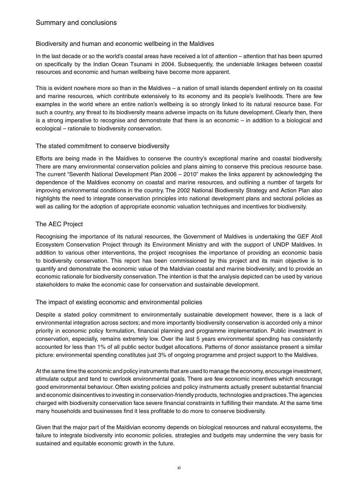#### Biodiversity and human and economic wellbeing in the Maldives

In the last decade or so the world's coastal areas have received a lot of attention – attention that has been spurred on specifically by the Indian Ocean Tsunami in 2004. Subsequently, the undeniable linkages between coastal resources and economic and human wellbeing have become more apparent.

This is evident nowhere more so than in the Maldives – a nation of small islands dependent entirely on its coastal and marine resources, which contribute extensively to its economy and its people's livelihoods. There are few examples in the world where an entire nation's wellbeing is so strongly linked to its natural resource base. For such a country, any threat to its biodiversity means adverse impacts on its future development. Clearly then, there is a strong imperative to recognise and demonstrate that there is an economic – in addition to a biological and ecological – rationale to biodiversity conservation.

#### The stated commitment to conserve biodiversity

Efforts are being made in the Maldives to conserve the country's exceptional marine and coastal biodiversity. There are many environmental conservation policies and plans aiming to conserve this precious resource base. The current "Seventh National Development Plan 2006 – 2010" makes the links apparent by acknowledging the dependence of the Maldives economy on coastal and marine resources, and outlining a number of targets for improving environmental conditions in the country. The 2002 National Biodiversity Strategy and Action Plan also highlights the need to integrate conservation principles into national development plans and sectoral policies as well as calling for the adoption of appropriate economic valuation techniques and incentives for biodiversity.

#### The AEC Project

Recognising the importance of its natural resources, the Government of Maldives is undertaking the GEF Atoll Ecosystem Conservation Project through its Environment Ministry and with the support of UNDP Maldives. In addition to various other interventions, the project recognises the importance of providing an economic basis to biodiversity conservation. This report has been commissioned by this project and its main objective is to quantify and demonstrate the economic value of the Maldivian coastal and marine biodiversity; and to provide an economic rationale for biodiversity conservation. The intention is that the analysis depicted can be used by various stakeholders to make the economic case for conservation and sustainable development.

#### The impact of existing economic and environmental policies

Despite a stated policy commitment to environmentally sustainable development however, there is a lack of environmental integration across sectors; and more importantly biodiversity conservation is accorded only a minor priority in economic policy formulation, financial planning and programme implementation. Public investment in conservation, especially, remains extremely low. Over the last 5 years environmental spending has consistently accounted for less than 1% of all public sector budget allocations. Patterns of donor assistance present a similar picture: environmental spending constitutes just 3% of ongoing programme and project support to the Maldives.

At the same time the economic and policy instruments that are used to manage the economy, encourage investment, stimulate output and tend to overlook environmental goals. There are few economic incentives which encourage good environmental behaviour. Often existing policies and policy instruments actually present substantial financial and economic disincentives to investing in conservation-friendly products, technologies and practices. The agencies charged with biodiversity conservation face severe financial constraints in fulfilling their mandate. At the same time many households and businesses find it less profitable to do more to conserve biodiversity.

Given that the major part of the Maldivian economy depends on biological resources and natural ecosystems, the failure to integrate biodiversity into economic policies, strategies and budgets may undermine the very basis for sustained and equitable economic growth in the future.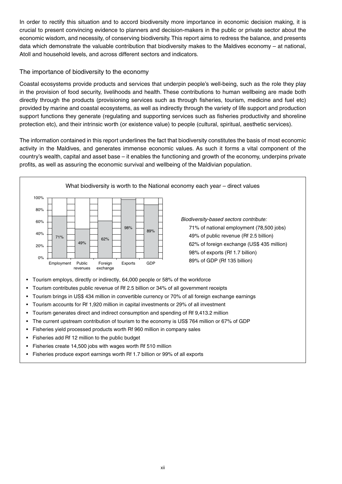In order to rectify this situation and to accord biodiversity more importance in economic decision making, it is crucial to present convincing evidence to planners and decision-makers in the public or private sector about the economic wisdom, and necessity, of conserving biodiversity. This report aims to redress the balance, and presents data which demonstrate the valuable contribution that biodiversity makes to the Maldives economy – at national, Atoll and household levels, and across different sectors and indicators.

#### The importance of biodiversity to the economy

Coastal ecosystems provide products and services that underpin people's well-being, such as the role they play in the provision of food security, livelihoods and health. These contributions to human wellbeing are made both directly through the products (provisioning services such as through fisheries, tourism, medicine and fuel etc) provided by marine and coastal ecosystems, as well as indirectly through the variety of life support and production support functions they generate (regulating and supporting services such as fisheries productivity and shoreline protection etc), and their intrinsic worth (or existence value) to people (cultural, spiritual, aesthetic services).

The information contained in this report underlines the fact that biodiversity constitutes the basis of most economic activity in the Maldives, and generates immense economic values. As such it forms a vital component of the country's wealth, capital and asset base – it enables the functioning and growth of the economy, underpins private profits, as well as assuring the economic survival and wellbeing of the Maldivian population.



*Biodiversity-based sectors contribute:* 71% of national employment (78,500 jobs) 49% of public revenue (Rf 2.5 billion) 62% of foreign exchange (US\$ 435 million) 98% of exports (Rf 1.7 billion) 89% of GDP (Rf 135 billion)

- Tourism employs, directly or indirectly, 64,000 people or 58% of the workforce
- Tourism contributes public revenue of Rf 2.5 billion or 34% of all government receipts
- Tourism brings in US\$ 434 million in convertible currency or 70% of all foreign exchange earnings
- Tourism accounts for Rf 1,920 million in capital investments or 29% of all investment
- Tourism generates direct and indirect consumption and spending of Rf 9.413.2 million
- The current upstream contribution of tourism to the economy is US\$764 million or 67% of GDP
- Fisheries yield processed products worth Rf 960 million in company sales
- Fisheries add Rf 12 million to the public budget
- Fisheries create 14,500 jobs with wages worth Rf 510 million
- Fisheries produce export earnings worth Rf 1.7 billion or 99% of all exports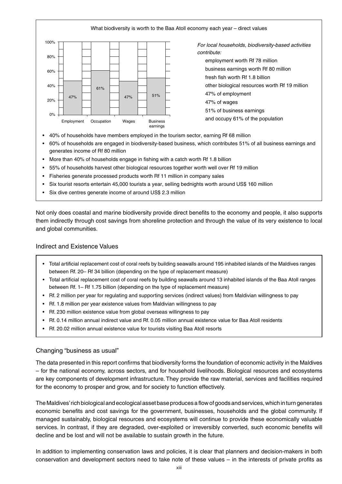

- 60% of households are engaged in biodiversity-based business, which contributes 51% of all business earnings and generates income of Rf 80 million
- More than 40% of households engage in fishing with a catch worth Rf 1.8 billion
- 55% of households harvest other biological resources together worth well over Rf 19 million
- Fisheries generate processed products worth Rf 11 million in company sales
- Six tourist resorts entertain 45,000 tourists a year, selling bednights worth around US\$ 160 million
- Six dive centres generate income of around US\$ 2.3 million

Not only does coastal and marine biodiversity provide direct benefits to the economy and people, it also supports them indirectly through cost savings from shoreline protection and through the value of its very existence to local and global communities.

#### Indirect and Existence Values

- Total artificial replacement cost of coral reefs by building seawalls around 195 inhabited islands of the Maldives ranges between Rf. 20– Rf 34 billion (depending on the type of replacement measure)
- Total artificial replacement cost of coral reefs by building seawalls around 13 inhabited islands of the Baa Atoll ranges between Rf. 1– Rf 1.75 billion (depending on the type of replacement measure)
- Rf. 2 million per year for regulating and supporting services (indirect values) from Maldivian willingness to pay
- Rf. 1.8 million per year existence values from Maldivian willingness to pay
- Rf. 230 million existence value from global overseas willingness to pay
- Rf. 0.14 million annual indirect value and Rf. 0.05 million annual existence value for Baa Atoll residents
- Rf. 20.02 million annual existence value for tourists visiting Baa Atoll resorts

#### Changing "business as usual"

The data presented in this report confirms that biodiversity forms the foundation of economic activity in the Maldives – for the national economy, across sectors, and for household livelihoods. Biological resources and ecosystems are key components of development infrastructure. They provide the raw material, services and facilities required for the economy to prosper and grow, and for society to function effectively.

The Maldives' rich biological and ecological asset base produces a flow of goods and services, which in turn generates economic benefits and cost savings for the government, businesses, households and the global community. If managed sustainably, biological resources and ecosystems will continue to provide these economically valuable services. In contrast, if they are degraded, over-exploited or irreversibly converted, such economic benefits will decline and be lost and will not be available to sustain growth in the future.

In addition to implementing conservation laws and policies, it is clear that planners and decision-makers in both conservation and development sectors need to take note of these values – in the interests of private profits as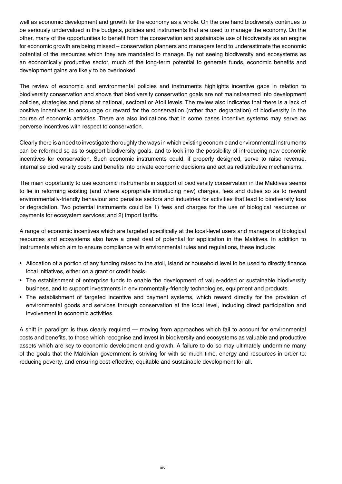well as economic development and growth for the economy as a whole. On the one hand biodiversity continues to be seriously undervalued in the budgets, policies and instruments that are used to manage the economy. On the other, many of the opportunities to benefit from the conservation and sustainable use of biodiversity as an engine for economic growth are being missed – conservation planners and managers tend to underestimate the economic potential of the resources which they are mandated to manage. By not seeing biodiversity and ecosystems as an economically productive sector, much of the long-term potential to generate funds, economic benefits and development gains are likely to be overlooked.

The review of economic and environmental policies and instruments highlights incentive gaps in relation to biodiversity conservation and shows that biodiversity conservation goals are not mainstreamed into development policies, strategies and plans at national, sectoral or Atoll levels. The review also indicates that there is a lack of positive incentives to encourage or reward for the conservation (rather than degradation) of biodiversity in the course of economic activities. There are also indications that in some cases incentive systems may serve as perverse incentives with respect to conservation.

Clearly there is a need to investigate thoroughly the ways in which existing economic and environmental instruments can be reformed so as to support biodiversity goals, and to look into the possibility of introducing new economic incentives for conservation. Such economic instruments could, if properly designed, serve to raise revenue, internalise biodiversity costs and benefits into private economic decisions and act as redistributive mechanisms.

The main opportunity to use economic instruments in support of biodiversity conservation in the Maldives seems to lie in reforming existing (and where appropriate introducing new) charges, fees and duties so as to reward environmentally-friendly behaviour and penalise sectors and industries for activities that lead to biodiversity loss or degradation. Two potential instruments could be 1) fees and charges for the use of biological resources or payments for ecosystem services; and 2) import tariffs.

A range of economic incentives which are targeted specifically at the local-level users and managers of biological resources and ecosystems also have a great deal of potential for application in the Maldives. In addition to instruments which aim to ensure compliance with environmental rules and regulations, these include:

- Allocation of a portion of any funding raised to the atoll, island or household level to be used to directly finance local initiatives, either on a grant or credit basis.
- The establishment of enterprise funds to enable the development of value-added or sustainable biodiversity business, and to support investments in environmentally-friendly technologies, equipment and products.
- The establishment of targeted incentive and payment systems, which reward directly for the provision of environmental goods and services through conservation at the local level, including direct participation and involvement in economic activities.

A shift in paradigm is thus clearly required — moving from approaches which fail to account for environmental costs and benefits, to those which recognise and invest in biodiversity and ecosystems as valuable and productive assets which are key to economic development and growth. A failure to do so may ultimately undermine many of the goals that the Maldivian government is striving for with so much time, energy and resources in order to: reducing poverty, and ensuring cost-effective, equitable and sustainable development for all.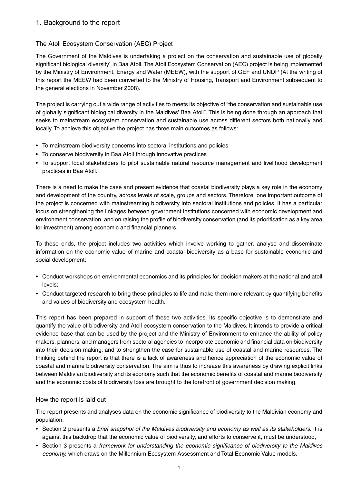#### The Atoll Ecosystem Conservation (AEC) Project

The Government of the Maldives is undertaking a project on the conservation and sustainable use of globally significant biological diversity<sup>1</sup> in Baa Atoll. The Atoll Ecosystem Conservation (AEC) project is being implemented by the Ministry of Environment, Energy and Water (MEEW), with the support of GEF and UNDP (At the writing of this report the MEEW had been converted to the Ministry of Housing, Transport and Environment subsequent to the general elections in November 2008).

The project is carrying out a wide range of activities to meets its objective of "the conservation and sustainable use of globally significant biological diversity in the Maldives' Baa Atoll". This is being done through an approach that seeks to mainstream ecosystem conservation and sustainable use across different sectors both nationally and locally. To achieve this objective the project has three main outcomes as follows:

- To mainstream biodiversity concerns into sectoral institutions and policies
- To conserve biodiversity in Baa Atoll through innovative practices
- To support local stakeholders to pilot sustainable natural resource management and livelihood development practices in Baa Atoll.

There is a need to make the case and present evidence that coastal biodiversity plays a key role in the economy and development of the country, across levels of scale, groups and sectors. Therefore, one important outcome of the project is concerned with mainstreaming biodiversity into sectoral institutions and policies. It has a particular focus on strengthening the linkages between government institutions concerned with economic development and environment conservation, and on raising the profile of biodiversity conservation (and its prioritisation as a key area for investment) among economic and financial planners.

To these ends, the project includes two activities which involve working to gather, analyse and disseminate information on the economic value of marine and coastal biodiversity as a base for sustainable economic and social development:

- Conduct workshops on environmental economics and its principles for decision makers at the national and atoll levels;
- Conduct targeted research to bring these principles to life and make them more relevant by quantifying benefits and values of biodiversity and ecosystem health.

This report has been prepared in support of these two activities. Its specific objective is to demonstrate and quantify the value of biodiversity and Atoll ecosystem conservation to the Maldives. It intends to provide a critical evidence base that can be used by the project and the Ministry of Environment to enhance the ability of policy makers, planners, and managers from sectoral agencies to incorporate economic and financial data on biodiversity into their decision making; and to strengthen the case for sustainable use of coastal and marine resources. The thinking behind the report is that there is a lack of awareness and hence appreciation of the economic value of coastal and marine biodiversity conservation. The aim is thus to increase this awareness by drawing explicit links between Maldivian biodiversity and its economy such that the economic benefits of coastal and marine biodiversity and the economic costs of biodiversity loss are brought to the forefront of government decision making.

#### How the report is laid out

The report presents and analyses data on the economic significance of biodiversity to the Maldivian economy and population:

- Section 2 presents a *brief snapshot of the Maldives biodiversity and economy as well as its stakeholders.* It is against this backdrop that the economic value of biodiversity, and efforts to conserve it, must be understood,
- Section 3 presents a framework for understanding the economic significance of biodiversity to the Maldives *economy,* which draws on the Millennium Ecosystem Assessment and Total Economic Value models.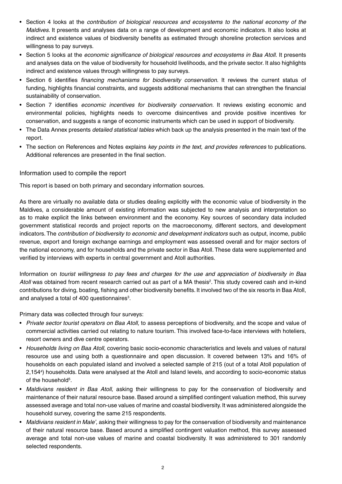- Section 4 looks at the *contribution of biological resources and ecosystems to the national economy of the Maldives.* It presents and analyses data on a range of development and economic indicators. It also looks at indirect and existence values of biodiversity benefits as estimated through shoreline protection services and willingness to pay surveys.
- Section 5 looks at the *economic significance of biological resources and ecosystems in Baa Atoll*. It presents and analyses data on the value of biodiversity for household livelihoods, and the private sector. It also highlights indirect and existence values through willingness to pay surveys.
- Section 6 identifies *financing mechanisms for biodiversity conservation.* It reviews the current status of funding, highlights financial constraints, and suggests additional mechanisms that can strengthen the financial sustainability of conservation.
- Section 7 identifies *economic incentives for biodiversity conservation.* It reviews existing economic and environmental policies, highlights needs to overcome disincentives and provide positive incentives for conservation, and suggests a range of economic instruments which can be used in support of biodiversity.
- The Data Annex presents *detailed statistical tables* which back up the analysis presented in the main text of the report.
- The section on References and Notes explains *key points in the text, and provides references* to publications. Additional references are presented in the final section.

#### Information used to compile the report

This report is based on both primary and secondary information sources.

As there are virtually no available data or studies dealing explicitly with the economic value of biodiversity in the Maldives, a considerable amount of existing information was subjected to new analysis and interpretation so as to make explicit the links between environment and the economy. Key sources of secondary data included government statistical records and project reports on the macroeconomy, different sectors, and development indicators. The *contribution of biodiversity to economic and development indicators* such as output, income, public revenue, export and foreign exchange earnings and employment was assessed overall and for major sectors of the national economy, and for households and the private sector in Baa Atoll. These data were supplemented and verified by interviews with experts in central government and Atoll authorities.

Information on *tourist willingness to pay fees and charges for the use and appreciation of biodiversity in Baa*  Atoll was obtained from recent research carried out as part of a MA thesis<sup>2</sup>. This study covered cash and in-kind contributions for diving, boating, fishing and other biodiversity benefits. It involved two of the six resorts in Baa Atoll, and analysed a total of 400 questionnaires $3$ .

Primary data was collected through four surveys:

- • *Private sector tourist operators on Baa Atoll,* to assess perceptions of biodiversity, and the scope and value of commercial activities carried out relating to nature tourism. This involved face-to-face interviews with hoteliers, resort owners and dive centre operators.
- • *Households living on Baa Atoll,* covering basic socio-economic characteristics and levels and values of natural resource use and using both a questionnaire and open discussion. It covered between 13% and 16% of households on each populated island and involved a selected sample of 215 (out of a total Atoll population of 2,154<sup>4</sup> ) households. Data were analysed at the Atoll and Island levels, and according to socio-economic status of the household<sup>5</sup>.
- • *Maldivians resident in Baa Atoll,* asking their willingness to pay for the conservation of biodiversity and maintenance of their natural resource base. Based around a simplified contingent valuation method, this survey assessed average and total non-use values of marine and coastal biodiversity. It was administered alongside the household survey, covering the same 215 respondents.
- *Maldivians resident in Male',* asking their willingness to pay for the conservation of biodiversity and maintenance of their natural resource base. Based around a simplified contingent valuation method, this survey assessed average and total non-use values of marine and coastal biodiversity. It was administered to 301 randomly selected respondents.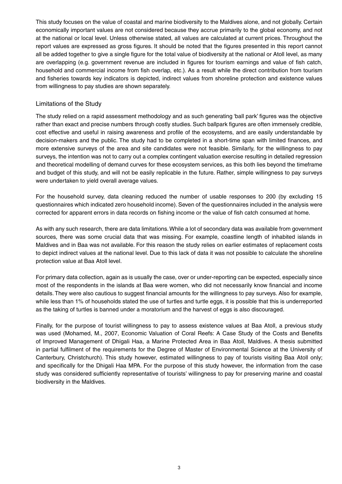This study focuses on the value of coastal and marine biodiversity to the Maldives alone, and not globally. Certain economically important values are not considered because they accrue primarily to the global economy, and not at the national or local level. Unless otherwise stated, all values are calculated at current prices. Throughout the report values are expressed as gross figures. It should be noted that the figures presented in this report cannot all be added together to give a single figure for the total value of biodiversity at the national or Atoll level, as many are overlapping (e.g. government revenue are included in figures for tourism earnings and value of fish catch, household and commercial income from fish overlap, etc.). As a result while the direct contribution from tourism and fisheries towards key indicators is depicted, indirect values from shoreline protection and existence values from willingness to pay studies are shown separately.

#### Limitations of the Study

The study relied on a rapid assessment methodology and as such generating 'ball park' figures was the objective rather than exact and precise numbers through costly studies. Such ballpark figures are often immensely credible, cost effective and useful in raising awareness and profile of the ecosystems, and are easily understandable by decision-makers and the public. The study had to be completed in a short-time span with limited finances, and more extensive surveys of the area and site candidates were not feasible. Similarly, for the willingness to pay surveys, the intention was not to carry out a complex contingent valuation exercise resulting in detailed regression and theoretical modelling of demand curves for these ecosystem services, as this both lies beyond the timeframe and budget of this study, and will not be easily replicable in the future. Rather, simple willingness to pay surveys were undertaken to yield overall average values.

For the household survey, data cleaning reduced the number of usable responses to 200 (by excluding 15 questionnaires which indicated zero household income). Seven of the questionnaires included in the analysis were corrected for apparent errors in data records on fishing income or the value of fish catch consumed at home.

As with any such research, there are data limitations. While a lot of secondary data was available from government sources, there was some crucial data that was missing. For example, coastline length of inhabited islands in Maldives and in Baa was not available. For this reason the study relies on earlier estimates of replacement costs to depict indirect values at the national level. Due to this lack of data it was not possible to calculate the shoreline protection value at Baa Atoll level.

For primary data collection, again as is usually the case, over or under-reporting can be expected, especially since most of the respondents in the islands at Baa were women, who did not necessarily know financial and income details. They were also cautious to suggest financial amounts for the willingness to pay surveys. Also for example, while less than 1% of households stated the use of turtles and turtle eggs, it is possible that this is underreported as the taking of turtles is banned under a moratorium and the harvest of eggs is also discouraged.

Finally, for the purpose of tourist willingness to pay to assess existence values at Baa Atoll, a previous study was used (Mohamed, M., 2007, Economic Valuation of Coral Reefs: A Case Study of the Costs and Benefits of Improved Management of Dhigali Haa, a Marine Protected Area in Baa Atoll, Maldives. A thesis submitted in partial fulfilment of the requirements for the Degree of Master of Environmental Science at the University of Canterbury, Christchurch). This study however, estimated willingness to pay of tourists visiting Baa Atoll only; and specifically for the Dhigali Haa MPA. For the purpose of this study however, the information from the case study was considered sufficiently representative of tourists' willingness to pay for preserving marine and coastal biodiversity in the Maldives.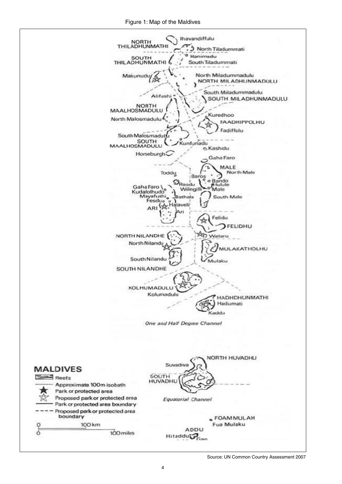Figure 1: Map of the Maldives





Source: UN Common Country Assessment 2007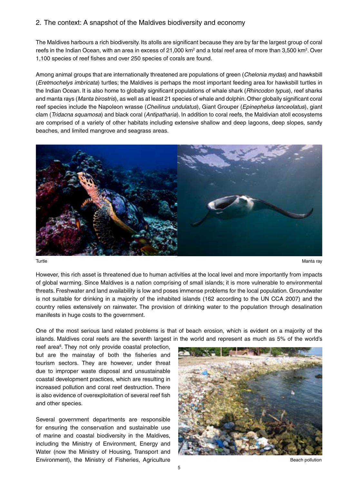#### 2. The context: A snapshot of the Maldives biodiversity and economy

The Maldives harbours a rich biodiversity. Its atolls are significant because they are by far the largest group of coral reefs in the Indian Ocean, with an area in excess of 21,000 km<sup>2</sup> and a total reef area of more than 3,500 km<sup>2</sup>. Over 1,100 species of reef fishes and over 250 species of corals are found.

Among animal groups that are internationally threatened are populations of green (*Chelonia mydas*) and hawksbill (*Eretmochelys imbricata*) turtles; the Maldives is perhaps the most important feeding area for hawksbill turtles in the Indian Ocean. It is also home to globally significant populations of whale shark (*Rhincodon typus*), reef sharks and manta rays (*Manta birostris*), as well as at least 21 species of whale and dolphin. Other globally significant coral reef species include the Napoleon wrasse (*Cheilinus undulatus*), Giant Grouper (*Epinephelus lanceolatus*), giant clam (*Tridacna squamosa*) and black coral (*Antipatharia*). In addition to coral reefs, the Maldivian atoll ecosystems are comprised of a variety of other habitats including extensive shallow and deep lagoons, deep slopes, sandy beaches, and limited mangrove and seagrass areas.



Turtle Manta ray

However, this rich asset is threatened due to human activities at the local level and more importantly from impacts of global warming. Since Maldives is a nation comprising of small islands; it is more vulnerable to environmental threats. Freshwater and land availability is low and poses immense problems for the local population. Groundwater is not suitable for drinking in a majority of the inhabited islands (162 according to the UN CCA 2007) and the country relies extensively on rainwater. The provision of drinking water to the population through desalination manifests in huge costs to the government.

One of the most serious land related problems is that of beach erosion, which is evident on a majority of the islands. Maldives coral reefs are the seventh largest in the world and represent as much as 5% of the world's

reef area<sup>6</sup>. They not only provide coastal protection, but are the mainstay of both the fisheries and tourism sectors. They are however, under threat due to improper waste disposal and unsustainable coastal development practices, which are resulting in increased pollution and coral reef destruction. There is also evidence of overexploitation of several reef fish and other species.

Several government departments are responsible for ensuring the conservation and sustainable use of marine and coastal biodiversity in the Maldives, including the Ministry of Environment, Energy and Water (now the Ministry of Housing, Transport and Environment), the Ministry of Fisheries, Agriculture and a state of the Beach pollution

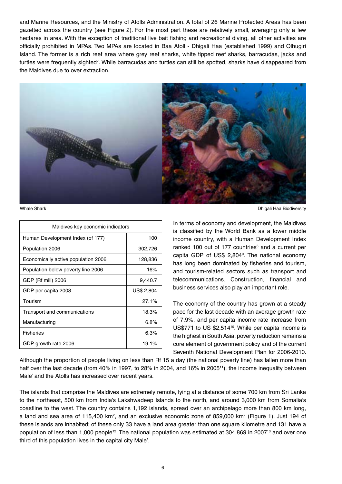and Marine Resources, and the Ministry of Atolls Administration. A total of 26 Marine Protected Areas has been gazetted across the country (see Figure 2). For the most part these are relatively small, averaging only a few hectares in area. With the exception of traditional live bait fishing and recreational diving, all other activities are officially prohibited in MPAs. Two MPAs are located in Baa Atoll - Dhigali Haa (established 1999) and Olhugiri Island. The former is a rich reef area where grey reef sharks, white tipped reef sharks, barracudas, jacks and turtles were frequently sighted<sup>7</sup>. While barracudas and turtles can still be spotted, sharks have disappeared from the Maldives due to over extraction.



| Maldives key economic indicators    |            |  |  |  |
|-------------------------------------|------------|--|--|--|
| Human Development Index (of 177)    | 100        |  |  |  |
| Population 2006                     | 302,726    |  |  |  |
| Economically active population 2006 | 128,836    |  |  |  |
| Population below poverty line 2006  | 16%        |  |  |  |
| GDP (Rf mill) 2006                  | 9,440.7    |  |  |  |
| GDP per capita 2008                 | US\$ 2,804 |  |  |  |
| Tourism                             | 27.1%      |  |  |  |
| Transport and communications        | 18.3%      |  |  |  |
| Manufacturing                       | 6.8%       |  |  |  |
| <b>Fisheries</b>                    | 6.3%       |  |  |  |
| GDP growth rate 2006                | 19.1%      |  |  |  |

Whale Shark **Dhigali Haa Biodiversity Channel Channel Channel Channel Channel Channel Channel Channel Channel Channel Channel Channel Channel Channel Channel Channel Channel Channel Channel Channel Channel Channel Channe** 

In terms of economy and development, the Maldives is classified by the World Bank as a lower middle income country, with a Human Development Index ranked 100 out of 177 countries<sup>8</sup> and a current per capita GDP of US\$ 2,804<sup>9</sup> . The national economy has long been dominated by fisheries and tourism, and tourism-related sectors such as transport and telecommunications. Construction, financial and business services also play an important role.

The economy of the country has grown at a steady pace for the last decade with an average growth rate of 7.9%, and per capita income rate increase from US\$771 to US \$2,514<sup>10</sup>. While per capita income is the highest in South Asia, poverty reduction remains a core element of government policy and of the current Seventh National Development Plan for 2006-2010.

Although the proportion of people living on less than Rf 15 a day (the national poverty line) has fallen more than half over the last decade (from 40% in 1997, to 28% in 2004, and 16% in 2005<sup>11</sup>), the income inequality between Male' and the Atolls has increased over recent years.

The islands that comprise the Maldives are extremely remote, lying at a distance of some 700 km from Sri Lanka to the northeast, 500 km from India's Lakshwadeep Islands to the north, and around 3,000 km from Somalia's coastline to the west. The country contains 1,192 islands, spread over an archipelago more than 800 km long, a land and sea area of 115,400 km<sup>2</sup>, and an exclusive economic zone of 859,000 km<sup>2</sup> (Figure 1). Just 194 of these islands are inhabited; of these only 33 have a land area greater than one square kilometre and 131 have a population of less than 1,000 people12. The national population was estimated at 304,869 in 200713 and over one third of this population lives in the capital city Male'.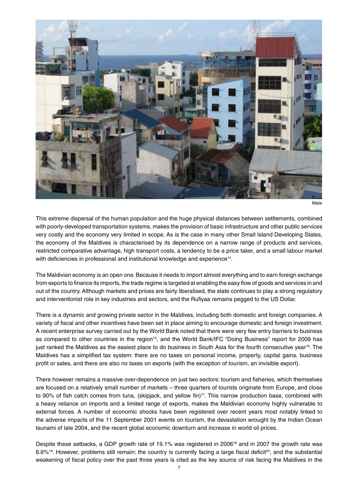

```
Male
```
This extreme dispersal of the human population and the huge physical distances between settlements, combined with poorly-developed transportation systems, makes the provision of basic infrastructure and other public services very costly and the economy very limited in scope. As is the case in many other Small Island Developing States, the economy of the Maldives is characterised by its dependence on a narrow range of products and services, restricted comparative advantage, high transport costs, a tendency to be a price taker, and a small labour market with deficiencies in professional and institutional knowledge and experience<sup>14</sup>.

The Maldivian economy is an open one. Because it needs to import almost everything and to earn foreign exchange from exports to finance its imports, the trade regime is targeted at enabling the easy flow of goods and services in and out of the country. Although markets and prices are fairly liberalised, the state continues to play a strong regulatory and interventionist role in key industries and sectors, and the Rufiyaa remains pegged to the US Dollar.

There is a dynamic and growing private sector in the Maldives, including both domestic and foreign companies. A variety of fiscal and other incentives have been set in place aiming to encourage domestic and foreign investment. A recent enterprise survey carried out by the World Bank noted that there were very few entry barriers to business as compared to other countries in the region<sup>15</sup>, and the World Bank/IFC "Doing Business" report for 2009 has just ranked the Maldives as the easiest place to do business in South Asia for the fourth consecutive year<sup>16</sup>. The Maldives has a simplified tax system: there are no taxes on personal income, property, capital gains, business profit or sales, and there are also no taxes on exports (with the exception of tourism, an invisible export).

There however remains a massive over-dependence on just two sectors: tourism and fisheries, which themselves are focused on a relatively small number of markets – three quarters of tourists originate from Europe, and close to 90% of fish catch comes from tuna, (skipjack, and yellow fin)<sup>17</sup>. This narrow production base, combined with a heavy reliance on imports and a limited range of exports, makes the Maldivian economy highly vulnerable to external forces. A number of economic shocks have been registered over recent years most notably linked to the adverse impacts of the 11 September 2001 events on tourism, the devastation wrought by the Indian Ocean tsunami of late 2004, and the recent global economic downturn and increase in world oil prices.

Despite these setbacks, a GDP growth rate of 19.1% was registered in 2006<sup>18</sup> and in 2007 the growth rate was  $6.6\%$ <sup>19</sup>. However, problems still remain: the country is currently facing a large fiscal deficit<sup>20</sup>, and the substantial weakening of fiscal policy over the past three years is cited as the key source of risk facing the Maldives in the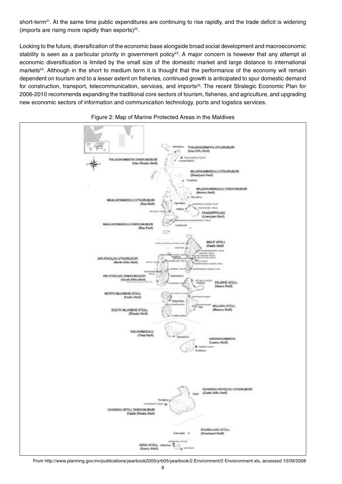short-term<sup>21</sup>. At the same time public expenditures are continuing to rise rapidly, and the trade deficit is widening (imports are rising more rapidly than exports) $^{22}$ .

Looking to the future, diversification of the economic base alongside broad social development and macroeconomic stability is seen as a particular priority in government policy<sup>23</sup>. A major concern is however that any attempt at economic diversification is limited by the small size of the domestic market and large distance to international markets<sup>24</sup>. Although in the short to medium term it is thought that the performance of the economy will remain dependent on tourism and to a lesser extent on fisheries, continued growth is anticipated to spur domestic demand for construction, transport, telecommunication, services, and imports<sup>25</sup>. The recent Strategic Economic Plan for 2006-2010 recommends expanding the traditional core sectors of tourism, fisheries, and agriculture, and upgrading new economic sectors of information and communication technology, ports and logistics services.



Figure 2: Map of Marine Protected Areas in the Maldives

From http://www.planning.gov.mv/publications/yearbook2005/yrb05/yearbook/2.Environment/2 Envioronment.xls, accessed 10/09/2008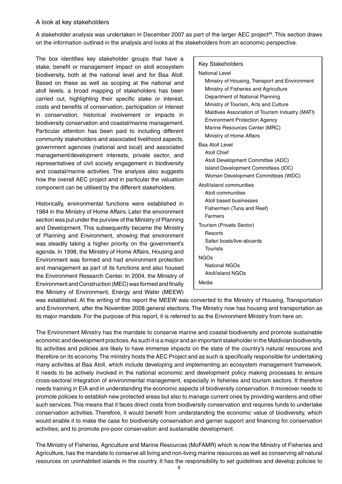#### A look at key stakeholders

A stakeholder analysis was undertaken in December 2007 as part of the larger AEC project<sup>26</sup>. This section draws on the information outlined in the analysis and looks at the stakeholders from an economic perspective.

The box identifies key stakeholder groups that have a stake, benefit or management impact on atoll ecosystem biodiversity, both at the national level and for Baa Atoll. Based on these as well as scoping at the national and atoll levels, a broad mapping of stakeholders has been carried out, highlighting their specific stake or interest, costs and benefits of conservation, participation or interest in conservation, historical involvement or impacts in biodiversity conservation and coastal/marine management. Particular attention has been paid to including different community stakeholders and associated livelihood aspects, government agencies (national and local) and associated management/development interests, private sector, and representatives of civil society engagement in biodiversity and coastal/marine activities. The analysis also suggests how the overall AEC project and in particular the valuation component can be utilised by the different stakeholders.

Historically, environmental functions were established in 1984 in the Ministry of Home Affairs. Later the environment section was put under the purview of the Ministry of Planning and Development. This subsequently became the Ministry of Planning and Environment, showing that environment was steadily taking a higher priority on the government's agenda. In 1998, the Ministry of Home Affairs, Housing and Environment was formed and had environment protection and management as part of its functions and also housed the Environment Research Center. In 2004, the Ministry of Environment and Construction (MEC) was formed and finally the Ministry of Environment, Energy and Water (MEEW)

| <b>Key Stakeholders</b>                         |  |  |  |  |
|-------------------------------------------------|--|--|--|--|
| <b>National Level</b>                           |  |  |  |  |
| Ministry of Housing, Transport and Environment  |  |  |  |  |
| Ministry of Fisheries and Agriculture           |  |  |  |  |
| Department of National Planning                 |  |  |  |  |
| Ministry of Tourism, Arts and Culture           |  |  |  |  |
| Maldives Association of Tourism Industry (MATI) |  |  |  |  |
| <b>Environment Protection Agency</b>            |  |  |  |  |
| Marine Resources Center (MRC)                   |  |  |  |  |
| Ministry of Home Affairs                        |  |  |  |  |
| Baa Atoll Level                                 |  |  |  |  |
| <b>Atoll Chief</b>                              |  |  |  |  |
| Atoll Development Committee (ADC)               |  |  |  |  |
| Island Development Committees (IDC)             |  |  |  |  |
| Women Development Committees (WDC)              |  |  |  |  |
| Atoll/island communities                        |  |  |  |  |
| Atoll communities                               |  |  |  |  |
| Atoll based businesses                          |  |  |  |  |
| Fishermen (Tuna and Reef)                       |  |  |  |  |
| Farmers                                         |  |  |  |  |
| Tourism (Private Sector)                        |  |  |  |  |
| Resorts                                         |  |  |  |  |
| Safari boats/live-aboards                       |  |  |  |  |
| <b>Tourists</b>                                 |  |  |  |  |
| <b>NGOs</b>                                     |  |  |  |  |
| <b>National NGOs</b>                            |  |  |  |  |
| Atoll/island NGOs                               |  |  |  |  |
| Media                                           |  |  |  |  |

was established. At the writing of this report the MEEW was converted to the Ministry of Housing, Transportation and Environment, after the November 2008 general elections. The Ministry now has housing and transportation as its major mandate. For the purpose of this report, it is referred to as the Environment Ministry from here on.

The Environment Ministry has the mandate to conserve marine and coastal biodiversity and promote sustainable economic and development practices. As such it is a major and an important stakeholder in the Maldivian biodiversity. Its activities and policies are likely to have immense impacts on the state of the country's natural resources and therefore on its economy. The ministry hosts the AEC Project and as such is specifically responsible for undertaking many activities at Baa Atoll, which include developing and implementing an ecosystem management framework. It needs to be actively involved in the national economic and development policy making processes to ensure cross-sectoral integration of environmental management, especially in fisheries and tourism sectors. It therefore needs training in EIA and in understanding the economic aspects of biodiversity conservation. It moreover needs to promote policies to establish new protected areas but also to manage current ones by providing wardens and other such services. This means that it faces direct costs from biodiversity conservation and requires funds to undertake conservation activities. Therefore, it would benefit from understanding the economic value of biodiversity, which would enable it to make the case for biodiversity conservation and garner support and financing for conservation activities; and to promote pro-poor conservation and sustainable development.

The Ministry of Fisheries, Agriculture and Marine Resources (MoFAMR) which is now the Ministry of Fisheries and Agriculture, has the mandate to conserve all living and non-living marine resources as well as conserving all natural resources on uninhabited islands in the country. It has the responsibility to set guidelines and develop policies to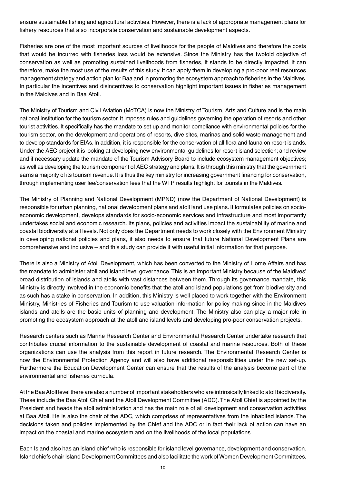ensure sustainable fishing and agricultural activities. However, there is a lack of appropriate management plans for fishery resources that also incorporate conservation and sustainable development aspects.

Fisheries are one of the most important sources of livelihoods for the people of Maldives and therefore the costs that would be incurred with fisheries loss would be extensive. Since the Ministry has the twofold objective of conservation as well as promoting sustained livelihoods from fisheries, it stands to be directly impacted. It can therefore, make the most use of the results of this study. It can apply them in developing a pro-poor reef resources management strategy and action plan for Baa and in promoting the ecosystem approach to fisheries in the Maldives. In particular the incentives and disincentives to conservation highlight important issues in fisheries management in the Maldives and in Baa Atoll.

The Ministry of Tourism and Civil Aviation (MoTCA) is now the Ministry of Tourism, Arts and Culture and is the main national institution for the tourism sector. It imposes rules and guidelines governing the operation of resorts and other tourist activities. It specifically has the mandate to set up and monitor compliance with environmental policies for the tourism sector, on the development and operations of resorts, dive sites, marinas and solid waste management and to develop standards for EIAs. In addition, it is responsible for the conservation of all flora and fauna on resort islands. Under the AEC project it is looking at developing new environmental guidelines for resort island selection; and review and if necessary update the mandate of the Tourism Advisory Board to include ecosystem management objectives; as well as developing the tourism component of AEC strategy and plans. It is through this ministry that the government earns a majority of its tourism revenue. It is thus the key ministry for increasing government financing for conservation, through implementing user fee/conservation fees that the WTP results highlight for tourists in the Maldives.

The Ministry of Planning and National Development (MPND) (now the Department of National Development) is responsible for urban planning, national development plans and atoll land use plans. It formulates policies on socioeconomic development, develops standards for socio-economic services and infrastructure and most importantly undertakes social and economic research. Its plans, policies and activities impact the sustainability of marine and coastal biodiversity at all levels. Not only does the Department needs to work closely with the Environment Ministry in developing national policies and plans, it also needs to ensure that future National Development Plans are comprehensive and inclusive – and this study can provide it with useful initial information for that purpose.

There is also a Ministry of Atoll Development, which has been converted to the Ministry of Home Affairs and has the mandate to administer atoll and island level governance. This is an important Ministry because of the Maldives' broad distribution of islands and atolls with vast distances between them. Through its governance mandate, this Ministry is directly involved in the economic benefits that the atoll and island populations get from biodiversity and as such has a stake in conservation. In addition, this Ministry is well placed to work together with the Environment Ministry, Ministries of Fisheries and Tourism to use valuation information for policy making since in the Maldives islands and atolls are the basic units of planning and development. The Ministry also can play a major role in promoting the ecosystem approach at the atoll and island levels and developing pro-poor conservation projects.

Research centers such as Marine Research Center and Environmental Research Center undertake research that contributes crucial information to the sustainable development of coastal and marine resources. Both of these organizations can use the analysis from this report in future research. The Environmental Research Center is now the Environmental Protection Agency and will also have additional responsibilities under the new set-up. Furthermore the Education Development Center can ensure that the results of the analysis become part of the environmental and fisheries curricula.

At the Baa Atoll level there are also a number of important stakeholders who are intrinsically linked to atoll biodiversity. These include the Baa Atoll Chief and the Atoll Development Committee (ADC). The Atoll Chief is appointed by the President and heads the atoll administration and has the main role of all development and conservation activities at Baa Atoll. He is also the chair of the ADC, which comprises of representatives from the inhabited islands. The decisions taken and policies implemented by the Chief and the ADC or in fact their lack of action can have an impact on the coastal and marine ecosystem and on the livelihoods of the local populations.

Each Island also has an island chief who is responsible for island level governance, development and conservation. Island chiefs chair Island Development Committees and also facilitate the work of Women Development Committees.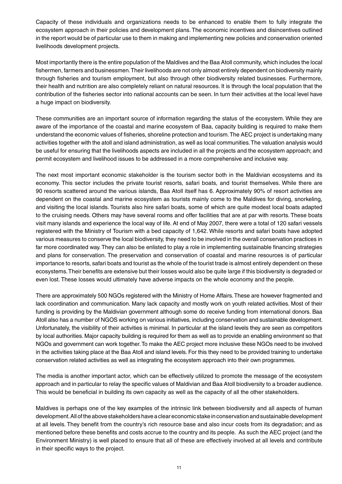Capacity of these individuals and organizations needs to be enhanced to enable them to fully integrate the ecosystem approach in their policies and development plans. The economic incentives and disincentives outlined in the report would be of particular use to them in making and implementing new policies and conservation oriented livelihoods development projects.

Most importantly there is the entire population of the Maldives and the Baa Atoll community, which includes the local fishermen, farmers and businessmen. Their livelihoods are not only almost entirely dependent on biodiversity mainly through fisheries and tourism employment, but also through other biodiversity related businesses. Furthermore, their health and nutrition are also completely reliant on natural resources. It is through the local population that the contribution of the fisheries sector into national accounts can be seen. In turn their activities at the local level have a huge impact on biodiversity.

These communities are an important source of information regarding the status of the ecosystem. While they are aware of the importance of the coastal and marine ecosystem of Baa, capacity building is required to make them understand the economic values of fisheries, shoreline protection and tourism. The AEC project is undertaking many activities together with the atoll and island administration, as well as local communities. The valuation analysis would be useful for ensuring that the livelihoods aspects are included in all the projects and the ecosystem approach; and permit ecosystem and livelihood issues to be addressed in a more comprehensive and inclusive way.

The next most important economic stakeholder is the tourism sector both in the Maldivian ecosystems and its economy. This sector includes the private tourist resorts, safari boats, and tourist themselves. While there are 90 resorts scattered around the various islands, Baa Atoll itself has 6. Approximately 90% of resort activities are dependent on the coastal and marine ecosystem as tourists mainly come to the Maldives for diving, snorkeling, and visiting the local islands. Tourists also hire safari boats, some of which are quite modest local boats adapted to the cruising needs. Others may have several rooms and offer facilities that are at par with resorts. These boats visit many islands and experience the local way of life. At end of May 2007, there were a total of 120 safari vessels registered with the Ministry of Tourism with a bed capacity of 1,642. While resorts and safari boats have adopted various measures to conserve the local biodiversity, they need to be involved in the overall conservation practices in far more coordinated way. They can also be enlisted to play a role in implementing sustainable financing strategies and plans for conservation. The preservation and conservation of coastal and marine resources is of particular importance to resorts, safari boats and tourist as the whole of the tourist trade is almost entirely dependent on these ecosystems. Their benefits are extensive but their losses would also be quite large if this biodiversity is degraded or even lost. These losses would ultimately have adverse impacts on the whole economy and the people.

There are approximately 500 NGOs registered with the Ministry of Home Affairs. These are however fragmented and lack coordination and communication. Many lack capacity and mostly work on youth related activities. Most of their funding is providing by the Maldivian government although some do receive funding from international donors. Baa Atoll also has a number of NGOS working on various initiatives, including conservation and sustainable development. Unfortunately, the visibility of their activities is minimal. In particular at the island levels they are seen as competitors by local authorities. Major capacity building is required for them as well as to provide an enabling environment so that NGOs and government can work together. To make the AEC project more inclusive these NGOs need to be involved in the activities taking place at the Baa Atoll and island levels. For this they need to be provided training to undertake conservation related activities as well as integrating the ecosystem approach into their own programmes.

The media is another important actor, which can be effectively utilized to promote the message of the ecosystem approach and in particular to relay the specific values of Maldivian and Baa Atoll biodiversity to a broader audience. This would be beneficial in building its own capacity as well as the capacity of all the other stakeholders.

Maldives is perhaps one of the key examples of the intrinsic link between biodiversity and all aspects of human development. All of the above stakeholders have a clear economic stake in conservation and sustainable development at all levels. They benefit from the country's rich resource base and also incur costs from its degradation; and as mentioned before these benefits and costs accrue to the country and its people. As such the AEC project (and the Environment Ministry) is well placed to ensure that all of these are effectively involved at all levels and contribute in their specific ways to the project.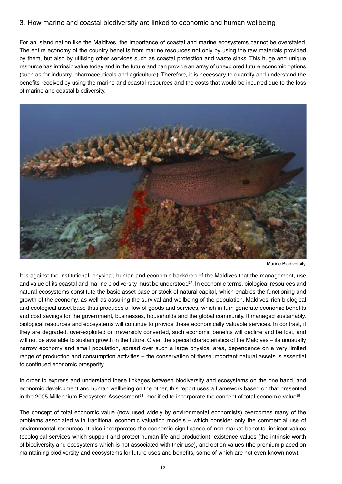#### 3. How marine and coastal biodiversity are linked to economic and human wellbeing

For an island nation like the Maldives, the importance of coastal and marine ecosystems cannot be overstated. The entire economy of the country benefits from marine resources not only by using the raw materials provided by them, but also by utilising other services such as coastal protection and waste sinks. This huge and unique resource has intrinsic value today and in the future and can provide an array of unexplored future economic options (such as for industry, pharmaceuticals and agriculture). Therefore, it is necessary to quantify and understand the benefits received by using the marine and coastal resources and the costs that would be incurred due to the loss of marine and coastal biodiversity.



Marine Biodiversity

It is against the institutional, physical, human and economic backdrop of the Maldives that the management, use and value of its coastal and marine biodiversity must be understood<sup>27</sup>. In economic terms, biological resources and natural ecosystems constitute the basic asset base or stock of natural capital, which enables the functioning and growth of the economy, as well as assuring the survival and wellbeing of the population. Maldives' rich biological and ecological asset base thus produces a flow of goods and services, which in turn generate economic benefits and cost savings for the government, businesses, households and the global community. If managed sustainably, biological resources and ecosystems will continue to provide these economically valuable services. In contrast, if they are degraded, over-exploited or irreversibly converted, such economic benefits will decline and be lost, and will not be available to sustain growth in the future. Given the special characteristics of the Maldives – its unusually narrow economy and small population, spread over such a large physical area, dependence on a very limited range of production and consumption activities – the conservation of these important natural assets is essential to continued economic prosperity.

In order to express and understand these linkages between biodiversity and ecosystems on the one hand, and economic development and human wellbeing on the other, this report uses a framework based on that presented in the 2005 Millennium Ecosystem Assessment<sup>28</sup>, modified to incorporate the concept of total economic value<sup>29</sup>.

The concept of total economic value (now used widely by environmental economists) overcomes many of the problems associated with traditional economic valuation models – which consider only the commercial use of environmental resources. It also incorporates the economic significance of non-market benefits, indirect values (ecological services which support and protect human life and production), existence values (the intrinsic worth of biodiversity and ecosystems which is not associated with their use), and option values (the premium placed on maintaining biodiversity and ecosystems for future uses and benefits, some of which are not even known now).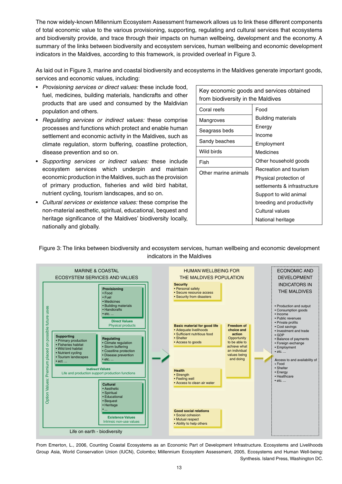The now widely-known Millennium Ecosystem Assessment framework allows us to link these different components of total economic value to the various provisioning, supporting, regulating and cultural services that ecosystems and biodiversity provide, and trace through their impacts on human wellbeing, development and the economy. A summary of the links between biodiversity and ecosystem services, human wellbeing and economic development indicators in the Maldives, according to this framework, is provided overleaf in Figure 3.

As laid out in Figure 3, marine and coastal biodiversity and ecosystems in the Maldives generate important goods, services and economic values, including:

- *Provisioning services or direct values:* these include food, fuel, medicines, building materials, handicrafts and other products that are used and consumed by the Maldivian population and others.
- *Regulating services or indirect values:* these comprise processes and functions which protect and enable human settlement and economic activity in the Maldives, such as climate regulation, storm buffering, coastline protection, disease prevention and so on.
- • *Supporting services or indirect values:* these include ecosystem services which underpin and maintain economic production in the Maldives, such as the provision of primary production, fisheries and wild bird habitat, nutrient cycling, tourism landscapes, and so on.
- • *Cultural services or existence values:* these comprise the non-material aesthetic, spiritual, educational, bequest and heritage significance of the Maldives' biodiversity locally, nationally and globally.

| Key economic goods and services obtained<br>from biodiversity in the Maldives |                              |  |  |  |  |
|-------------------------------------------------------------------------------|------------------------------|--|--|--|--|
| Coral reefs                                                                   | Food                         |  |  |  |  |
| Mangroves                                                                     | <b>Building materials</b>    |  |  |  |  |
| Seagrass beds                                                                 | Energy                       |  |  |  |  |
| Sandy beaches                                                                 | Income<br>Employment         |  |  |  |  |
| Wild birds                                                                    | Medicines                    |  |  |  |  |
| Fish                                                                          | Other household goods        |  |  |  |  |
| Other marine animals                                                          | Recreation and tourism       |  |  |  |  |
|                                                                               | Physical protection of       |  |  |  |  |
|                                                                               | settlements & infrastructure |  |  |  |  |
|                                                                               | Support to wild animal       |  |  |  |  |
|                                                                               | breeding and productivity    |  |  |  |  |
|                                                                               | Cultural values              |  |  |  |  |
|                                                                               | National heritage            |  |  |  |  |

Figure 3: The links between biodiversity and ecosystem services, human wellbeing and economic development indicators in the Maldives



From Emerton, L., 2006, Counting Coastal Ecosystems as an Economic Part of Development Infrastructure. Ecosystems and Livelihoods Group Asia, World Conservation Union (IUCN), Colombo; Millennium Ecosystem Assessment, 2005, Ecosystems and Human Well-being: Synthesis. Island Press, Washington DC.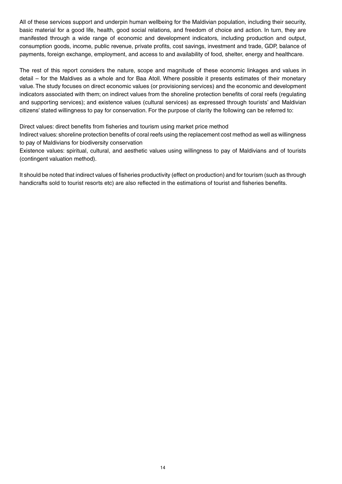All of these services support and underpin human wellbeing for the Maldivian population, including their security, basic material for a good life, health, good social relations, and freedom of choice and action. In turn, they are manifested through a wide range of economic and development indicators, including production and output, consumption goods, income, public revenue, private profits, cost savings, investment and trade, GDP, balance of payments, foreign exchange, employment, and access to and availability of food, shelter, energy and healthcare.

The rest of this report considers the nature, scope and magnitude of these economic linkages and values in detail – for the Maldives as a whole and for Baa Atoll. Where possible it presents estimates of their monetary value. The study focuses on direct economic values (or provisioning services) and the economic and development indicators associated with them; on indirect values from the shoreline protection benefits of coral reefs (regulating and supporting services); and existence values (cultural services) as expressed through tourists' and Maldivian citizens' stated willingness to pay for conservation. For the purpose of clarity the following can be referred to:

Direct values: direct benefits from fisheries and tourism using market price method

Indirect values: shoreline protection benefits of coral reefs using the replacement cost method as well as willingness to pay of Maldivians for biodiversity conservation

Existence values: spiritual, cultural, and aesthetic values using willingness to pay of Maldivians and of tourists (contingent valuation method).

It should be noted that indirect values of fisheries productivity (effect on production) and for tourism (such as through handicrafts sold to tourist resorts etc) are also reflected in the estimations of tourist and fisheries benefits.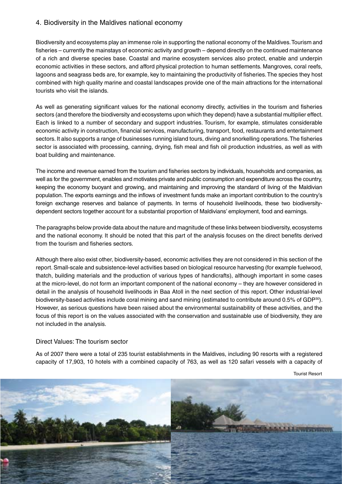#### 4. Biodiversity in the Maldives national economy

Biodiversity and ecosystems play an immense role in supporting the national economy of the Maldives. Tourism and fisheries – currently the mainstays of economic activity and growth – depend directly on the continued maintenance of a rich and diverse species base. Coastal and marine ecosystem services also protect, enable and underpin economic activities in these sectors, and afford physical protection to human settlements. Mangroves, coral reefs, lagoons and seagrass beds are, for example, key to maintaining the productivity of fisheries. The species they host combined with high quality marine and coastal landscapes provide one of the main attractions for the international tourists who visit the islands.

As well as generating significant values for the national economy directly, activities in the tourism and fisheries sectors (and therefore the biodiversity and ecosystems upon which they depend) have a substantial multiplier effect. Each is linked to a number of secondary and support industries. Tourism, for example, stimulates considerable economic activity in construction, financial services, manufacturing, transport, food, restaurants and entertainment sectors. It also supports a range of businesses running island tours, diving and snorkelling operations. The fisheries sector is associated with processing, canning, drying, fish meal and fish oil production industries, as well as with boat building and maintenance.

The income and revenue earned from the tourism and fisheries sectors by individuals, households and companies, as well as for the government, enables and motivates private and public consumption and expenditure across the country, keeping the economy buoyant and growing, and maintaining and improving the standard of living of the Maldivian population. The exports earnings and the inflows of investment funds make an important contribution to the country's foreign exchange reserves and balance of payments. In terms of household livelihoods, these two biodiversitydependent sectors together account for a substantial proportion of Maldivians' employment, food and earnings.

The paragraphs below provide data about the nature and magnitude of these links between biodiversity, ecosystems and the national economy. It should be noted that this part of the analysis focuses on the direct benefits derived from the tourism and fisheries sectors.

Although there also exist other, biodiversity-based, economic activities they are not considered in this section of the report. Small-scale and subsistence-level activities based on biological resource harvesting (for example fuelwood, thatch, building materials and the production of various types of handicrafts), although important in some cases at the micro-level, do not form an important component of the national economy – they are however considered in detail in the analysis of household livelihoods in Baa Atoll in the next section of this report. Other industrial-level biodiversity-based activities include coral mining and sand mining (estimated to contribute around 0.5% of GDP<sup>30</sup>). However, as serious questions have been raised about the environmental sustainability of these activities, and the focus of this report is on the values associated with the conservation and sustainable use of biodiversity, they are not included in the analysis.

#### Direct Values: The tourism sector

As of 2007 there were a total of 235 tourist establishments in the Maldives, including 90 resorts with a registered capacity of 17,903, 10 hotels with a combined capacity of 763, as well as 120 safari vessels with a capacity of

Tourist Resort

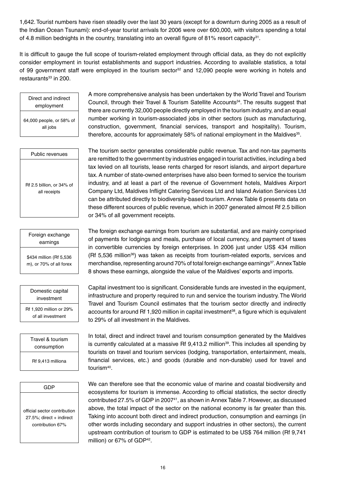1,642. Tourist numbers have risen steadily over the last 30 years (except for a downturn during 2005 as a result of the Indian Ocean Tsunami): end-of-year tourist arrivals for 2006 were over 600,000, with visitors spending a total of 4.8 million bednights in the country, translating into an overall figure of 81% resort capacity<sup>31</sup>.

It is difficult to gauge the full scope of tourism-related employment through official data, as they do not explicitly consider employment in tourist establishments and support industries. According to available statistics, a total of 99 government staff were employed in the tourism sector<sup>32</sup> and 12,090 people were working in hotels and restaurants $33$  in 200.

Direct and indirect employment

64,000 people, or 58% of all jobs

Public revenues

Rf 2.5 billion, or 34% of all receipts

Foreign exchange earnings

\$434 million (Rf 5,536 m), or 70% of all forex

Domestic capital investment Rf 1,920 million or 29% of all investment

> Travel & tourism consumption

Rf 9,413 milliona

GDP

official sector contribution 27.5%; direct + indirect contribution 67%

A more comprehensive analysis has been undertaken by the World Travel and Tourism Council, through their Travel & Tourism Satellite Accounts<sup>34</sup>. The results suggest that there are currently 32,000 people directly employed in the tourism industry, and an equal number working in tourism-associated jobs in other sectors (such as manufacturing, construction, government, financial services, transport and hospitality). Tourism, therefore, accounts for approximately 58% of national employment in the Maldives $35$ .

The tourism sector generates considerable public revenue. Tax and non-tax payments are remitted to the government by industries engaged in tourist activities, including a bed tax levied on all tourists, lease rents charged for resort islands, and airport departure tax. A number of state-owned enterprises have also been formed to service the tourism industry, and at least a part of the revenue of Government hotels, Maldives Airport Company Ltd, Maldives Inflight Catering Services Ltd and Island Aviation Services Ltd can be attributed directly to biodiversity-based tourism. Annex Table 6 presents data on these different sources of public revenue, which in 2007 generated almost Rf 2.5 billion or 34% of all government receipts.

The foreign exchange earnings from tourism are substantial, and are mainly comprised of payments for lodgings and meals, purchase of local currency, and payment of taxes in convertible currencies by foreign enterprises. In 2006 just under US\$ 434 million (Rf 5,536 million<sup>36</sup>) was taken as receipts from tourism-related exports, services and merchandise, representing around 70% of total foreign exchange earnings<sup>37</sup>. Annex Table 8 shows these earnings, alongside the value of the Maldives' exports and imports.

Capital investment too is significant. Considerable funds are invested in the equipment, infrastructure and property required to run and service the tourism industry. The World Travel and Tourism Council estimates that the tourism sector directly and indirectly accounts for around Rf 1,920 million in capital investment<sup>38</sup>, a figure which is equivalent to 29% of all investment in the Maldives.

In total, direct and indirect travel and tourism consumption generated by the Maldives is currently calculated at a massive Rf  $9,413.2$  million<sup>39</sup>. This includes all spending by tourists on travel and tourism services (lodging, transportation, entertainment, meals, financial services, etc.) and goods (durable and non-durable) used for travel and tourism<sup>40</sup>.

We can therefore see that the economic value of marine and coastal biodiversity and ecosystems for tourism is immense. According to official statistics, the sector directly contributed 27.5% of GDP in 200741, as shown in Annex Table 7. However, as discussed above, the total impact of the sector on the national economy is far greater than this. Taking into account both direct and indirect production, consumption and earnings (in other words including secondary and support industries in other sectors), the current upstream contribution of tourism to GDP is estimated to be US\$ 764 million (Rf 9,741 million) or 67% of GDP<sup>42</sup>.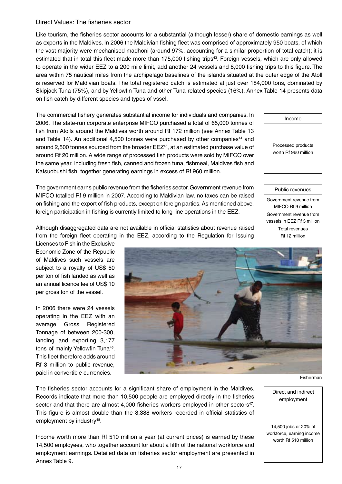#### Direct Values: The fisheries sector

Like tourism, the fisheries sector accounts for a substantial (although lesser) share of domestic earnings as well as exports in the Maldives. In 2006 the Maldivian fishing fleet was comprised of approximately 950 boats, of which the vast majority were mechanised madhoni (around 97%, accounting for a similar proportion of total catch); it is estimated that in total this fleet made more than 175,000 fishing trips<sup>43</sup>. Foreign vessels, which are only allowed to operate in the wider EEZ to a 200 mile limit, add another 24 vessels and 8,000 fishing trips to this figure. The area within 75 nautical miles from the archipelago baselines of the islands situated at the outer edge of the Atoll is reserved for Maldivian boats. The total registered catch is estimated at just over 184,000 tons, dominated by Skipjack Tuna (75%), and by Yellowfin Tuna and other Tuna-related species (16%). Annex Table 14 presents data on fish catch by different species and types of vssel.

The commercial fishery generates substantial income for individuals and companies. In 2006, The state-run corporate enterprise MIFCO purchased a total of 65,000 tonnes of fish from Atolls around the Maldives worth around Rf 172 million (see Annex Table 13 and Table 14). An additional 4,500 tonnes were purchased by other companies<sup>44</sup> and around 2,500 tonnes sourced from the broader  $EEZ<sup>45</sup>$ , at an estimated purchase value of around Rf 20 million. A wide range of processed fish products were sold by MIFCO over the same year, including fresh fish, canned and frozen tuna, fishmeal, Maldives fish and Katsuobushi fish, together generating earnings in excess of Rf 960 million.

The government earns public revenue from the fisheries sector. Government revenue from MIFCO totalled Rf 9 million in 2007. According to Maldivian law, no taxes can be raised on fishing and the export of fish products, except on foreign parties. As mentioned above, foreign participation in fishing is currently limited to long-line operations in the EEZ.

Government revenue from MIFCO Rf 9 million Government revenue from

> vessels in EEZ Rf 3 million Total revenues Rf 12 million

Public revenues

Income

Processed products worth Rf 960 million

Although disaggregated data are not available in official statistics about revenue raised from the foreign fleet operating in the EEZ, according to the Regulation for Issuing

Licenses to Fish in the Exclusive Economic Zone of the Republic of Maldives such vessels are subject to a royalty of US\$ 50 per ton of fish landed as well as an annual licence fee of US\$ 10 per gross ton of the vessel.

In 2006 there were 24 vessels operating in the EEZ with an average Gross Registered Tonnage of between 200-300, landing and exporting 3,177 tons of mainly Yellowfin Tuna<sup>46</sup>. This fleet therefore adds around Rf 3 million to public revenue, paid in convertible currencies.



The fisheries sector accounts for a significant share of employment in the Maldives. Records indicate that more than 10,500 people are employed directly in the fisheries sector and that there are almost  $4,000$  fisheries workers employed in other sectors<sup>47</sup>. This figure is almost double than the 8,388 workers recorded in official statistics of employment by industry<sup>48</sup>.

Income worth more than Rf 510 million a year (at current prices) is earned by these 14,500 employees, who together account for about a fifth of the national workforce and employment earnings. Detailed data on fisheries sector employment are presented in Annex Table 9.

Fisherman

Direct and indirect employment

14,500 jobs or 20% of workforce, earning income worth Rf 510 million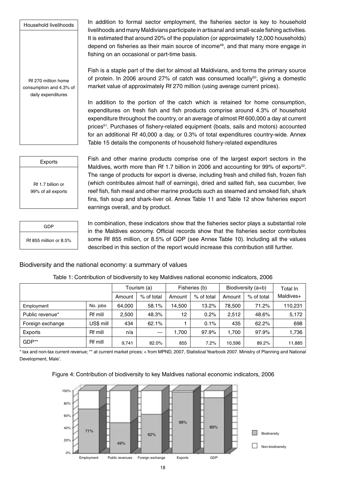Household livelihoods

Rf 270 million home consumption and 4.3% of daily expenditures

In addition to formal sector employment, the fisheries sector is key to household livelihoods and many Maldivians participate in artisanal and small-scale fishing activities. It is estimated that around 20% of the population (or approximately 12,000 households) depend on fisheries as their main source of income<sup>49</sup>, and that many more engage in fishing on an occasional or part-time basis.

Fish is a staple part of the diet for almost all Maldivians, and forms the primary source of protein. In 2006 around 27% of catch was consumed locally<sup>50</sup>, giving a domestic market value of approximately Rf 270 million (using average current prices).

In addition to the portion of the catch which is retained for home consumption, expenditures on fresh fish and fish products comprise around 4.3% of household expenditure throughout the country, or an average of almost Rf 600,000 a day at current prices51. Purchases of fishery-related equipment (boats, sails and motors) accounted for an additional Rf 40,000 a day, or 0.3% of total expenditures country-wide. Annex Table 15 details the components of household fishery-related expenditures

| Exports            |  |
|--------------------|--|
|                    |  |
| Rf 1.7 billion or  |  |
| 99% of all exports |  |

Fish and other marine products comprise one of the largest export sectors in the Maldives, worth more than Rf 1.7 billion in 2006 and accounting for 99% of exports $^{52}$ . The range of products for export is diverse, including fresh and chilled fish, frozen fish (which contributes almost half of earnings), dried and salted fish, sea cucumber, live reef fish, fish meal and other marine products such as steamed and smoked fish, shark fins, fish soup and shark-liver oil. Annex Table 11 and Table 12 show fisheries export earnings overall, and by product.

GDP Rf 855 million or 8.5% In combination, these indicators show that the fisheries sector plays a substantial role in the Maldives economy. Official records show that the fisheries sector contributes some Rf 855 million, or 8.5% of GDP (see Annex Table 10). Including all the values described in this section of the report would increase this contribution still further.

#### Biodiversity and the national economy: a summary of values

|                  |                | Tourism (a) |            | Fisheries (b) |            | Biodiversity (a+b) |            | Total In  |
|------------------|----------------|-------------|------------|---------------|------------|--------------------|------------|-----------|
|                  |                | Amount      | % of total | Amount        | % of total | Amount             | % of total | Maldives+ |
| Employment       | No. jobs       | 64.000      | 58.1%      | 14.500        | 13.2%      | 78,500             | 71.2%      | 110,231   |
| Public revenue*  | Rf mill        | 2,500       | 48.3%      | 12            | 0.2%       | 2,512              | 48.6%      | 5,172     |
| Foreign exchange | US\$ mill      | 434         | 62.1%      |               | 0.1%       | 435                | 62.2%      | 698       |
| Exports          | <b>Rf</b> mill | n/a         | $---$      | 1,700         | 97.9%      | 1.700              | 97.9%      | 1,736     |
| GDP**            | <b>Rf</b> mill | 9,741       | 82.0%      | 855           | 7.2%       | 10,596             | 89.2%      | 11,885    |

Table 1: Contribution of biodiversity to key Maldives national economic indicators, 2006

\* tax and non-tax current revenue; \*\* at current market prices; + from MPND, 2007, Statistical Yearbook 2007. Ministry of Planning and National Development, Male'.



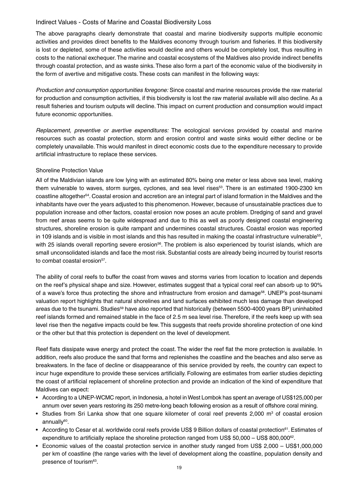## Indirect Values - Costs of Marine and Coastal Biodiversity Loss

The above paragraphs clearly demonstrate that coastal and marine biodiversity supports multiple economic activities and provides direct benefits to the Maldives economy through tourism and fisheries. If this biodiversity is lost or depleted, some of these activities would decline and others would be completely lost, thus resulting in costs to the national exchequer. The marine and coastal ecosystems of the Maldives also provide indirect benefits through coastal protection, and as waste sinks. These also form a part of the economic value of the biodiversity in the form of avertive and mitigative costs. These costs can manifest in the following ways:

*Production and consumption opportunities foregone:* Since coastal and marine resources provide the raw material for production and consumption activities, if this biodiversity is lost the raw material available will also decline. As a result fisheries and tourism outputs will decline. This impact on current production and consumption would impact future economic opportunities.

*Replacement, preventive or avertive expenditures:* The ecological services provided by coastal and marine resources such as coastal protection, storm and erosion control and waste sinks would either decline or be completely unavailable. This would manifest in direct economic costs due to the expenditure necessary to provide artificial infrastructure to replace these services.

### Shoreline Protection Value

All of the Maldivian islands are low lying with an estimated 80% being one meter or less above sea level, making them vulnerable to waves, storm surges, cyclones, and sea level rises<sup>53</sup>. There is an estimated 1900-2300 km coastline altogether54. Coastal erosion and accretion are an integral part of island formation in the Maldives and the inhabitants have over the years adjusted to this phenomenon. However, because of unsustainable practices due to population increase and other factors, coastal erosion now poses an acute problem. Dredging of sand and gravel from reef areas seems to be quite widespread and due to this as well as poorly designed coastal engineering structures, shoreline erosion is quite rampant and undermines coastal structures. Coastal erosion was reported in 109 islands and is visible in most islands and this has resulted in making the coastal infrastructure vulnerable $^{55}$ , with 25 islands overall reporting severe erosion<sup>56</sup>. The problem is also experienced by tourist islands, which are small unconsolidated islands and face the most risk. Substantial costs are already being incurred by tourist resorts to combat coastal erosion<sup>57</sup>.

The ability of coral reefs to buffer the coast from waves and storms varies from location to location and depends on the reef's physical shape and size. However, estimates suggest that a typical coral reef can absorb up to 90% of a wave's force thus protecting the shore and infrastructure from erosion and damage<sup>58</sup>. UNEP's post-tsunami valuation report highlights that natural shorelines and land surfaces exhibited much less damage than developed areas due to the tsunami. Studies<sup>59</sup> have also reported that historically (between 5500-4000 years BP) uninhabited reef islands formed and remained stable in the face of 2.5 m sea level rise. Therefore, if the reefs keep up with sea level rise then the negative impacts could be few. This suggests that reefs provide shoreline protection of one kind or the other but that this protection is dependent on the level of development.

Reef flats dissipate wave energy and protect the coast. The wider the reef flat the more protection is available. In addition, reefs also produce the sand that forms and replenishes the coastline and the beaches and also serve as breakwaters. In the face of decline or disappearance of this service provided by reefs, the country can expect to incur huge expenditure to provide these services artificially. Following are estimates from earlier studies depicting the coast of artificial replacement of shoreline protection and provide an indication of the kind of expenditure that Maldives can expect:

- According to a UNEP-WCMC report, in Indonesia, a hotel in West Lombok has spent an average of US\$125,000 per annum over seven years restoring its 250 metre-long beach following erosion as a result of offshore coral mining.
- Studies from Sri Lanka show that one square kilometer of coral reef prevents 2,000  $m^3$  of coastal erosion annually<sup>60</sup>.
- According to Cesar et al. worldwide coral reefs provide US\$ 9 Billion dollars of coastal protection<sup>61</sup>. Estimates of expenditure to artificially replace the shoreline protection ranged from US\$ 50,000 – US\$ 800,000 $^{62}$ .
- Economic values of the coastal protection service in another study ranged from US\$ 2,000 US\$1,000,000 per km of coastline (the range varies with the level of development along the coastline, population density and presence of tourism<sup>63</sup>.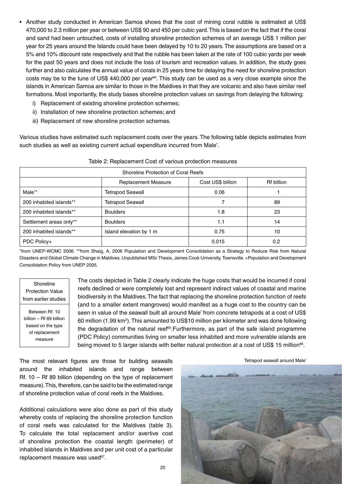- Another study conducted in American Samoa shows that the cost of mining coral rubble is estimated at US\$ 470,000 to 2.3 million per year or between US\$ 90 and 450 per cubic yard. This is based on the fact that if the coral and sand had been untouched, costs of installing shoreline protection schemes of an average US\$ 1 million per year for 25 years around the Islands could have been delayed by 10 to 20 years. The assumptions are based on a 5% and 10% discount rate respectively and that the rubble has been taken at the rate of 100 cubic yards per week for the past 50 years and does not include the loss of tourism and recreation values. In addition, the study goes further and also calculates the annual value of corals in 25 years time for delaying the need for shoreline protection costs may be to the tune of US\$ 440,000 per year<sup>64</sup>. This study can be used as a very close example since the islands in American Samoa are similar to those in the Maldives in that they are volcanic and also have similar reef formations. Most importantly, the study bases shoreline protection values on savings from delaying the following:
	- i) Replacement of existing shoreline protection schemes;
	- ii) Installation of new shoreline protection schemes; and
	- iii) Replacement of new shoreline protection schemes.

Various studies have estimated such replacement costs over the years. The following table depicts estimates from such studies as well as existing current actual expenditure incurred from Male'.

| Shoreline Protection of Coral Reefs |                            |                                 |     |  |  |  |
|-------------------------------------|----------------------------|---------------------------------|-----|--|--|--|
|                                     | <b>Replacement Measure</b> | Cost US\$ billion<br>Rf billion |     |  |  |  |
| Male'*                              | Tetrapod Seawall           | 0.06                            |     |  |  |  |
| 200 inhabited islands**             | Tetrapod Seawall           |                                 | 89  |  |  |  |
| 200 inhabited islands**             | <b>Boulders</b>            | 1.8                             | 23  |  |  |  |
| Settlement areas only**             | <b>Boulders</b>            | 1.1                             | 14  |  |  |  |
| 200 inhabited islands**             | Island elevation by 1 m    | 0.75                            | 10  |  |  |  |
| PDC Policy+                         |                            | 0.015                           | 0.2 |  |  |  |

| Table 2: Replacement Cost of various protection measures |
|----------------------------------------------------------|
|----------------------------------------------------------|

\*from UNEP-WCMC 2006. \*\*from Shaig, A, 2006 Population and Development Consolidation as a Strategy to Reduce Risk from Natural Disasters and Global Climate Change in Maldives. Unpublished MSc Thesis, James Cook University, Townsville. +Population and Development Consolidation Policy from UNEP 2005.

Shoreline Protection Value from earlier studies

Between Rf. 10 billion – Rf 89 billion based on the type of replacement measure

The costs depicted in Table 2 clearly indicate the huge costs that would be incurred if coral reefs declined or were completely lost and represent indirect values of coastal and marine biodiversity in the Maldives. The fact that replacing the shoreline protection function of reefs (and to a smaller extent mangroves) would manifest as a huge cost to the country can be seen in value of the seawall built all around Male' from concrete tetrapods at a cost of US\$ 60 million (1.99 km<sup>2</sup>). This amounted to US\$10 million per kilometer and was done following the degradation of the natural reef $65$ . Furthermore, as part of the safe island programme (PDC Policy) communities living on smaller less inhabited and more vulnerable islands are being moved to 5 larger islands with better natural protection at a cost of US\$ 15 million<sup>66</sup>.

The most relevant figures are those for building seawalls around the inhabited islands and range between Rf. 10 – Rf 89 billion (depending on the type of replacement measure). This, therefore, can be said to be the estimated range of shoreline protection value of coral reefs in the Maldives.

Additional calculations were also done as part of this study whereby costs of replacing the shoreline protection function of coral reefs was calculated for the Maldives (table 3). To calculate the total replacement and/or avertive cost of shoreline protection the coastal length (perimeter) of inhabited islands in Maldives and per unit cost of a particular replacement measure was used<sup>67</sup>.



Tetrapod seawall around Male'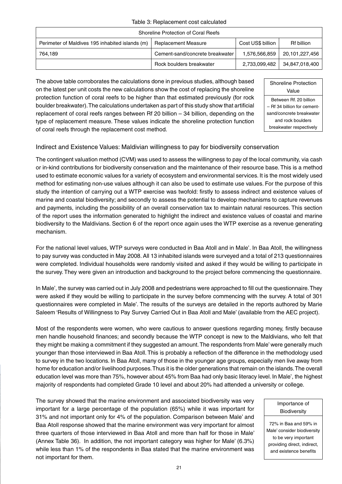### Table 3: Replacement cost calculated

| Shoreline Protection of Coral Reefs                                                                                     |                                 |               |                |  |  |
|-------------------------------------------------------------------------------------------------------------------------|---------------------------------|---------------|----------------|--|--|
| Cost US\$ billion<br>Perimeter of Maldives 195 inhabited islands (m)<br><b>Rf billion</b><br><b>Replacement Measure</b> |                                 |               |                |  |  |
| 764.189                                                                                                                 | Cement-sand/concrete breakwater | 1.576.566.859 | 20,101,227,456 |  |  |
|                                                                                                                         | Rock boulders breakwater        | 2,733,099,482 | 34,847,018,400 |  |  |

The above table corroborates the calculations done in previous studies, although based on the latest per unit costs the new calculations show the cost of replacing the shoreline protection function of coral reefs to be higher than that estimated previously (for rock boulder breakwater). The calculations undertaken as part of this study show that artificial replacement of coral reefs ranges between Rf 20 billion – 34 billion, depending on the type of replacement measure. These values indicate the shoreline protection function of coral reefs through the replacement cost method.

| Shoreline Protection        |  |  |  |
|-----------------------------|--|--|--|
| Value                       |  |  |  |
| Between Rf. 20 billion      |  |  |  |
| - Rf 34 billion for cement- |  |  |  |
| sand/concrete breakwater    |  |  |  |
| and rock boulders           |  |  |  |
| breakwater respectively     |  |  |  |

## Indirect and Existence Values: Maldivian willingness to pay for biodiversity conservation

The contingent valuation method (CVM) was used to assess the willingness to pay of the local community, via cash or in-kind contributions for biodiversity conservation and the maintenance of their resource base. This is a method used to estimate economic values for a variety of ecosystem and environmental services. It is the most widely used method for estimating non-use values although it can also be used to estimate use values. For the purpose of this study the intention of carrying out a WTP exercise was twofold: firstly to assess indirect and existence values of marine and coastal biodiversity; and secondly to assess the potential to develop mechanisms to capture revenues and payments, including the possibility of an overall conservation tax to maintain natural resources. This section of the report uses the information generated to highlight the indirect and existence values of coastal and marine biodiversity to the Maldivians. Section 6 of the report once again uses the WTP exercise as a revenue generating mechanism.

For the national level values, WTP surveys were conducted in Baa Atoll and in Male'. In Baa Atoll, the willingness to pay survey was conducted in May 2008. All 13 inhabited islands were surveyed and a total of 213 questionnaires were completed. Individual households were randomly visited and asked if they would be willing to participate in the survey. They were given an introduction and background to the project before commencing the questionnaire.

In Male', the survey was carried out in July 2008 and pedestrians were approached to fill out the questionnaire. They were asked if they would be willing to participate in the survey before commencing with the survey. A total of 301 questionnaires were completed in Male'. The results of the surveys are detailed in the reports authored by Marie Saleem 'Results of Willingness to Pay Survey Carried Out in Baa Atoll and Male' (available from the AEC project).

Most of the respondents were women, who were cautious to answer questions regarding money, firstly because men handle household finances; and secondly because the WTP concept is new to the Maldivians, who felt that they might be making a commitment if they suggested an amount. The respondents from Male' were generally much younger than those interviewed in Baa Atoll. This is probably a reflection of the difference in the methodology used to survey in the two locations. In Baa Atoll, many of those in the younger age groups, especially men live away from home for education and/or livelihood purposes. Thus it is the older generations that remain on the islands. The overall education level was more than 75%, however about 45% from Baa had only basic literacy level. In Male', the highest majority of respondents had completed Grade 10 level and about 20% had attended a university or college.

The survey showed that the marine environment and associated biodiversity was very important for a large percentage of the population (65%) while it was important for 31% and not important only for 4% of the population. Comparison between Male' and Baa Atoll response showed that the marine environment was very important for almost three quarters of those interviewed in Baa Atoll and more than half for those in Male' (Annex Table 36). In addition, the not important category was higher for Male' (6.3%) while less than 1% of the respondents in Baa stated that the marine environment was not important for them.

#### Importance of **Biodiversity**

72% in Baa and 59% in Male' consider biodiversity to be very important providing direct, indirect, and existence benefits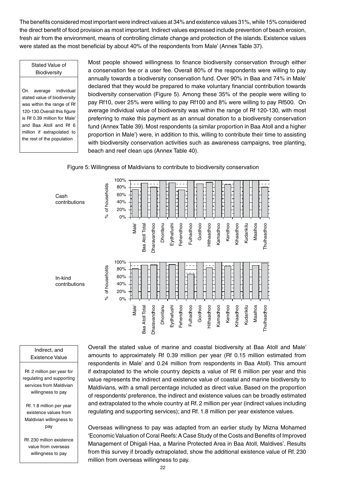The benefits considered most important were indirect values at 34% and existence values 31%, while 15% considered the direct benefit of food provision as most important. Indirect values expressed include prevention of beach erosion, fresh air from the environment, means of controlling climate change and protection of the islands. Existence values were stated as the most beneficial by about 40% of the respondents from Male' (Annex Table 37).

#### Stated Value of **Biodiversity**

On average individual stated value of biodiversity was within the range of Rf 120-130.Overall this figure is Rf 0.39 million for Male' and Baa Atoll and Rf 6 million if extrapolated to the rest of the population

Most people showed willingness to finance biodiversity conservation through either a conservation fee or a user fee. Overall 80% of the respondents were willing to pay annually towards a biodiversity conservation fund. Over 90% in Baa and 74% in Male' declared that they would be prepared to make voluntary financial contribution towards biodiversity conservation (Figure 5). Among these 35% of the people were willing to pay Rf10, over 25% were willing to pay Rf100 and 8% were willing to pay Rf500. On average individual value of biodiversity was within the range of Rf 120-130, with most preferring to make this payment as an annual donation to a biodiversity conservation fund (Annex Table 39). Most respondents (a similar proportion in Baa Atoll and a higher proportion in Male') were, in addition to this, willing to contribute their time to assisting with biodiversity conservation activities such as awareness campaigns, tree planting, beach and reef clean ups (Annex Table 40).

Figure 5: Willingness of Maldivians to contribute to biodiversity conservation



#### Indirect, and Existence Value

Rf. 2 million per year for regulating and supporting services from Maldivian willingness to pay

Rf. 1.8 million per year existence values from Maldivian willingness to pay

Rf. 230 million existence value from overseas willingness to pay

Overall the stated value of marine and coastal biodiversity at Baa Atoll and Male' amounts to approximately Rf 0.39 million per year (Rf 0.15 million estimated from respondents in Male' and 0.24 million from respondents in Baa Atoll). This amount if extrapolated to the whole country depicts a value of Rf 6 million per year and this value represents the indirect and existence value of coastal and marine biodiversity to Maldivians, with a small percentage included as direct value. Based on the proportion of respondents' preference, the indirect and existence values can be broadly estimated and extrapolated to the whole country at Rf. 2 million per year (indirect values including regulating and supporting services); and Rf. 1.8 million per year existence values.

Overseas willingness to pay was adapted from an earlier study by Mizna Mohamed 'Economic Valuation of Coral Reefs: A Case Study of the Costs and Benefits of Improved Management of Dhigali Haa, a Marine Protected Area in Baa Atoll, Maldives'. Results from this survey if broadly extrapolated, show the additional existence value of Rf. 230 million from overseas willingness to pay.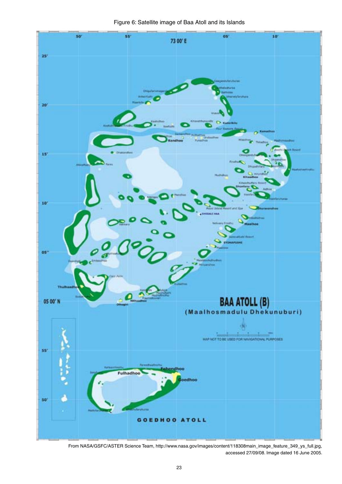Figure 6: Satellite image of Baa Atoll and its Islands



From NASA/GSFC/ASTER Science Team, http://www.nasa.gov/images/content/118308main\_image\_feature\_349\_ys\_full.jpg, accessed 27/09/08. Image dated 16 June 2005.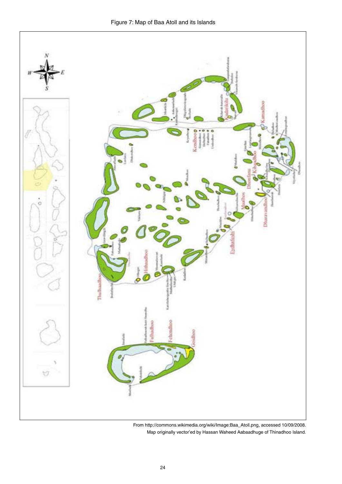

From http://commons.wikimedia.org/wiki/Image:Baa\_Atoll.png, accessed 10/09/2008. Map originally vector'ed by Hassan Waheed Aabaadhuge of Thinadhoo Island.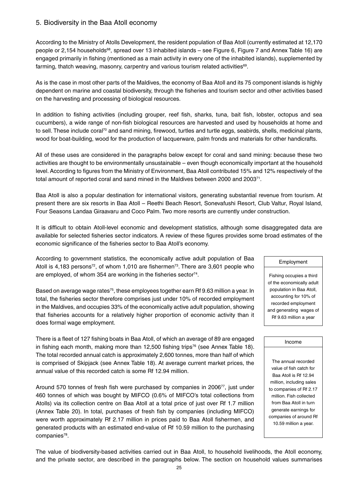# 5. Biodiversity in the Baa Atoll economy

According to the Ministry of Atolls Development, the resident population of Baa Atoll (currently estimated at 12,170 people or 2,154 households<sup>68</sup>, spread over 13 inhabited islands – see Figure 6, Figure 7 and Annex Table 16) are engaged primarily in fishing (mentioned as a main activity in every one of the inhabited islands), supplemented by farming, thatch weaving, masonry, carpentry and various tourism related activities<sup>69</sup>.

As is the case in most other parts of the Maldives, the economy of Baa Atoll and its 75 component islands is highly dependent on marine and coastal biodiversity, through the fisheries and tourism sector and other activities based on the harvesting and processing of biological resources.

In addition to fishing activities (including grouper, reef fish, sharks, tuna, bait fish, lobster, octopus and sea cucumbers), a wide range of non-fish biological resources are harvested and used by households at home and to sell. These include coral<sup>70</sup> and sand mining, firewood, turtles and turtle eggs, seabirds, shells, medicinal plants, wood for boat-building, wood for the production of lacquerware, palm fronds and materials for other handicrafts.

All of these uses are considered in the paragraphs below except for coral and sand mining: because these two activities are thought to be environmentally unsustainable – even though economically important at the household level. According to figures from the Ministry of Environment, Baa Atoll contributed 15% and 12% respectively of the total amount of reported coral and sand mined in the Maldives between 2000 and 2003 $^{71}$ .

Baa Atoll is also a popular destination for international visitors, generating substantial revenue from tourism. At present there are six resorts in Baa Atoll – Reethi Beach Resort, Sonevafushi Resort, Club Valtur, Royal Island, Four Seasons Landaa Giraavaru and Coco Palm. Two more resorts are currently under construction.

It is difficult to obtain Atoll-level economic and development statistics, although some disaggregated data are available for selected fisheries sector indicators. A review of these figures provides some broad estimates of the economic significance of the fisheries sector to Baa Atoll's economy.

According to government statistics, the economically active adult population of Baa Atoll is 4,183 persons<sup>72</sup>, of whom 1,010 are fishermen<sup>73</sup>. There are 3,601 people who are employed, of whom 354 are working in the fisheries sector<sup>74</sup>.

Based on average wage rates<sup>75</sup>, these employees together earn Rf 9.63 million a year. In total, the fisheries sector therefore comprises just under 10% of recorded employment in the Maldives, and occupies 33% of the economically active adult population, showing that fisheries accounts for a relatively higher proportion of economic activity than it does formal wage employment.

There is a fleet of 127 fishing boats in Baa Atoll, of which an average of 89 are engaged in fishing each month, making more than  $12,500$  fishing trips<sup>76</sup> (see Annex Table 18). The total recorded annual catch is approximately 2,600 tonnes, more than half of which is comprised of Skipjack (see Annex Table 18). At average current market prices, the annual value of this recorded catch is some Rf 12.94 million.

Around 570 tonnes of fresh fish were purchased by companies in 200677, just under 460 tonnes of which was bought by MIFCO (0.6% of MIFCO's total collections from Atolls) via its collection centre on Baa Atoll at a total price of just over Rf 1.7 million (Annex Table 20). In total, purchases of fresh fish by companies (including MIFCO) were worth approximately Rf 2.17 million in prices paid to Baa Atoll fishermen, and generated products with an estimated end-value of Rf 10.59 million to the purchasing companies<sup>78</sup>.

#### Employment

Fishing occupies a third of the economically adult population in Baa Atoll, accounting for 10% of recorded employment and generating wages of Rf 9.63 million a year

#### Income

The annual recorded value of fish catch for Baa Atoll is Rf 12.94 million, including sales to companies of Rf 2.17 million. Fish collected from Baa Atoll in turn generate earnings for companies of around Rf 10.59 million a year.

The value of biodiversity-based activities carried out in Baa Atoll, to household livelihoods, the Atoll economy, and the private sector, are described in the paragraphs below. The section on household values summarises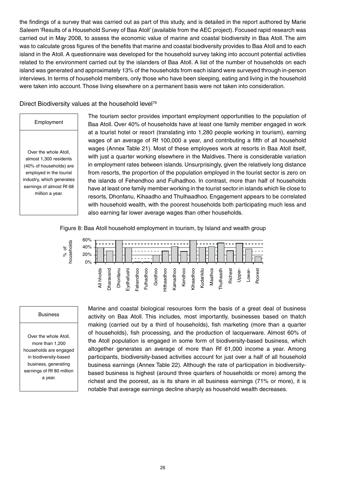the findings of a survey that was carried out as part of this study, and is detailed in the report authored by Marie Saleem 'Results of a Household Survey of Baa Atoll' (available from the AEC project). Focused rapid research was carried out in May 2008, to assess the economic value of marine and coastal biodiversity in Baa Atoll. The aim was to calculate gross figures of the benefits that marine and coastal biodiversity provides to Baa Atoll and to each island in the Atoll. A questionnaire was developed for the household survey taking into account potential activities related to the environment carried out by the islanders of Baa Atoll. A list of the number of households on each island was generated and approximately 13% of the households from each island were surveyed through in-person interviews. In terms of household members, only those who have been sleeping, eating and living in the household were taken into account. Those living elsewhere on a permanent basis were not taken into consideration.

Direct Biodiversity values at the household level<sup>79</sup>

### Employment

Over the whole Atoll, almost 1,300 residents (40% of households) are employed in the tourist industry, which generates earnings of almost Rf 68 million a year.

The tourism sector provides important employment opportunities to the population of Baa Atoll. Over 40% of households have at least one family member engaged in work at a tourist hotel or resort (translating into 1,280 people working in tourism), earning wages of an average of Rf 100,000 a year, and contributing a fifth of all household wages (Annex Table 21). Most of these employees work at resorts in Baa Atoll itself, with just a quarter working elsewhere in the Maldives. There is considerable variation in employment rates between islands. Unsurprisingly, given the relatively long distance from resorts, the proportion of the population employed in the tourist sector is zero on the islands of Fehendhoo and Fulhadhoo. In contrast, more than half of households have at least one family member working in the tourist sector in islands which lie close to resorts, Dhonfanu, Kihaadho and Thulhaadhoo. Engagement appears to be correlated with household wealth, with the poorest households both participating much less and also earning far lower average wages than other households.

Figure 8: Baa Atoll household employment in tourism, by Island and wealth group



#### Business

Over the whole Atoll, more than 1,200 households are engaged in biodiversity-based business, generating earnings of Rf 80 million a year.

Marine and coastal biological resources form the basis of a great deal of business activity on Baa Atoll. This includes, most importantly, businesses based on thatch making (carried out by a third of households), fish marketing (more than a quarter of households), fish processing, and the production of lacquerware. Almost 60% of the Atoll population is engaged in some form of biodiversity-based business, which altogether generates an average of more than Rf 61,000 income a year. Among participants, biodiversity-based activities account for just over a half of all household business earnings (Annex Table 22). Although the rate of participation in biodiversitybased business is highest (around three quarters of households or more) among the richest and the poorest, as is its share in all business earnings (71% or more), it is notable that average earnings decline sharply as household wealth decreases.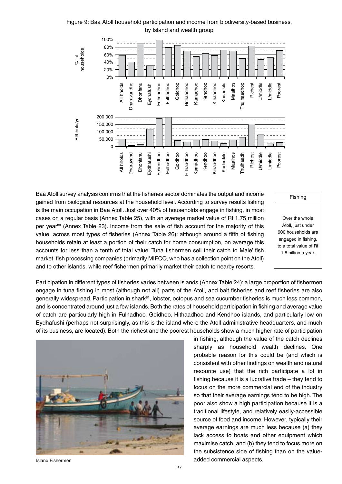Figure 9: Baa Atoll household participation and income from biodiversity-based business, by Island and wealth group



Baa Atoll survey analysis confirms that the fisheries sector dominates the output and income gained from biological resources at the household level. According to survey results fishing is the main occupation in Baa Atoll. Just over 40% of households engage in fishing, in most cases on a regular basis (Annex Table 25), with an average market value of Rf 1.75 million per year<sup>80</sup> (Annex Table 23). Income from the sale of fish account for the majority of this value, across most types of fisheries (Annex Table 26): although around a fifth of fishing households retain at least a portion of their catch for home consumption, on average this accounts for less than a tenth of total value. Tuna fishermen sell their catch to Male' fish market, fish processing companies (primarily MIFCO, who has a collection point on the Atoll) and to other islands, while reef fishermen primarily market their catch to nearby resorts.

#### Fishing

Over the whole Atoll, just under 900 households are engaged in fishing, to a total value of Rf 1.8 billion a year.

Participation in different types of fisheries varies between islands (Annex Table 24): a large proportion of fishermen engage in tuna fishing in most (although not all) parts of the Atoll, and bait fisheries and reef fisheries are also generally widespread. Participation in shark<sup>81</sup>, lobster, octopus and sea cucumber fisheries is much less common, and is concentrated around just a few islands. Both the rates of household participation in fishing and average value of catch are particularly high in Fulhadhoo, Goidhoo, Hithaadhoo and Kendhoo islands, and particularly low on Eydhafushi (perhaps not surprisingly, as this is the island where the Atoll administrative headquarters, and much of its business, are located). Both the richest and the poorest households show a much higher rate of participation



in fishing, although the value of the catch declines sharply as household wealth declines. One probable reason for this could be (and which is consistent with other findings on wealth and natural resource use) that the rich participate a lot in fishing because it is a lucrative trade – they tend to focus on the more commercial end of the industry so that their average earnings tend to be high. The poor also show a high participation because it is a traditional lifestyle, and relatively easily-accessible source of food and income. However, typically their average earnings are much less because (a) they lack access to boats and other equipment which maximise catch, and (b) they tend to focus more on the subsistence side of fishing than on the valueadded commercial aspects.

Island Fishermen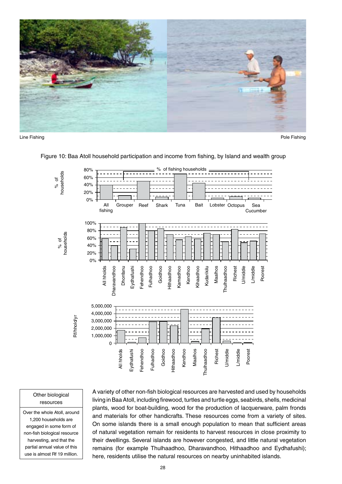



Line Fishing Pole Fishing



Figure 10: Baa Atoll household participation and income from fishing, by Island and wealth group

#### Other biological resources

Over the whole Atoll, around 1,200 households are engaged in some form of non-fish biological resource harvesting, and that the partial annual value of this use is almost Rf 19 million.

A variety of other non-fish biological resources are harvested and used by households living in Baa Atoll, including firewood, turtles and turtle eggs, seabirds, shells, medicinal plants, wood for boat-building, wood for the production of lacquerware, palm fronds and materials for other handicrafts. These resources come from a variety of sites. On some islands there is a small enough population to mean that sufficient areas of natural vegetation remain for residents to harvest resources in close proximity to their dwellings. Several islands are however congested, and little natural vegetation remains (for example Thulhaadhoo, Dharavandhoo, Hithaadhoo and Eydhafushi); here, residents utilise the natural resources on nearby uninhabited islands.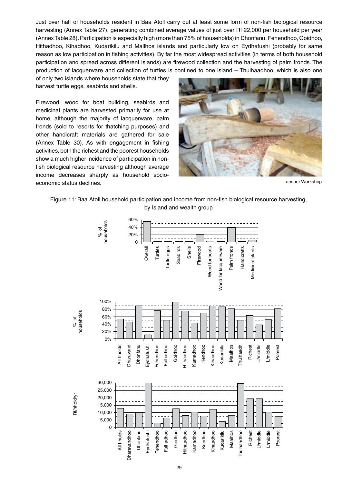Just over half of households resident in Baa Atoll carry out at least some form of non-fish biological resource harvesting (Annex Table 27), generating combined average values of just over Rf 22,000 per household per year (Annex Table 28). Participation is especially high (more than 75% of households) in Dhonfanu, Fehendhoo, Goidhoo, Hithadhoo, Kihadhoo, Kudarikilu and Mallhos islands and particularly low on Eydhafushi (probably for same reason as low participation in fishing activities). By far the most widespread activities (in terms of both household participation and spread across different islands) are firewood collection and the harvesting of palm fronds. The production of lacquerware and collection of turtles is confined to one island – Thulhaadhoo, which is also one

of only two islands where households state that they harvest turtle eggs, seabirds and shells.

Firewood, wood for boat building, seabirds and medicinal plants are harvested primarily for use at home, although the majority of lacquerware, palm fronds (sold to resorts for thatching purposes) and other handicraft materials are gathered for sale (Annex Table 30). As with engagement in fishing activities, both the richest and the poorest households show a much higher incidence of participation in nonfish biological resource harvesting although average income decreases sharply as household socioeconomic status declines. The contraction of the contraction of the contraction of the contraction of the contraction of the contraction of the contraction of the contraction of the contraction of the contraction of the co





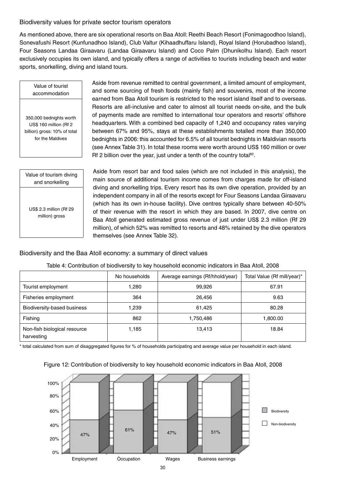## Biodiversity values for private sector tourism operators

As mentioned above, there are six operational resorts on Baa Atoll: Reethi Beach Resort (Fonimagoodhoo Island), Sonevafushi Resort (Kunfunadhoo Island), Club Valtur (Kihaadhuffaru Island), Royal Island (Horubadhoo Island), Four Seasons Landaa Giraavaru (Landaa Giraavaru Island) and Coco Palm (Dhunikolhu Island). Each resort exclusively occupies its own island, and typically offers a range of activities to tourists including beach and water sports, snorkelling, diving and island tours.

Value of tourist accommodation

350,000 bednights worth US\$ 160 million (Rf 2 billion) gross: 10% of total for the Maldives

Value of tourism diving and snorkelling

US\$ 2.3 million (Rf 29 million) gross

Aside from revenue remitted to central government, a limited amount of employment, and some sourcing of fresh foods (mainly fish) and souvenirs, most of the income earned from Baa Atoll tourism is restricted to the resort island itself and to overseas. Resorts are all-inclusive and cater to almost all tourist needs on-site, and the bulk of payments made are remitted to international tour operators and resorts' offshore headquarters. With a combined bed capacity of 1,240 and occupancy rates varying between 67% and 95%, stays at these establishments totalled more than 350,000 bednights in 2006: this accounted for 6.5% of all tourist bednights in Maldivian resorts (see Annex Table 31). In total these rooms were worth around US\$ 160 million or over Rf 2 billion over the year, just under a tenth of the country total<sup>82</sup>.

Aside from resort bar and food sales (which are not included in this analysis), the main source of additional tourism income comes from charges made for off-island diving and snorkelling trips. Every resort has its own dive operation, provided by an independent company in all of the resorts except for Four Seasons Landaa Giraavaru (which has its own in-house facility). Dive centres typically share between 40-50% of their revenue with the resort in which they are based. In 2007, dive centre on Baa Atoll generated estimated gross revenue of just under US\$ 2.3 million (Rf 29 million), of which 52% was remitted to resorts and 48% retained by the dive operators themselves (see Annex Table 32).

## Biodiversity and the Baa Atoll economy: a summary of direct values

|                                            | No households | Average earnings (Rf/hhold/year) | Total Value (Rf mill/year)* |
|--------------------------------------------|---------------|----------------------------------|-----------------------------|
| Tourist employment                         | 1,280         | 99,926                           | 67.91                       |
| Fisheries employment                       | 364           | 26,456                           | 9.63                        |
| Biodiversity-based business                | 1,239         | 61,425                           | 80.28                       |
| Fishing                                    | 862           | 1,750,486                        | 1,800.00                    |
| Non-fish biological resource<br>harvesting | 1,185         | 13,413                           | 18.84                       |

### Table 4: Contribution of biodiversity to key household economic indicators in Baa Atoll, 2008

\* total calculated from sum of disaggregated figures for % of households participating and average value per household in each island.



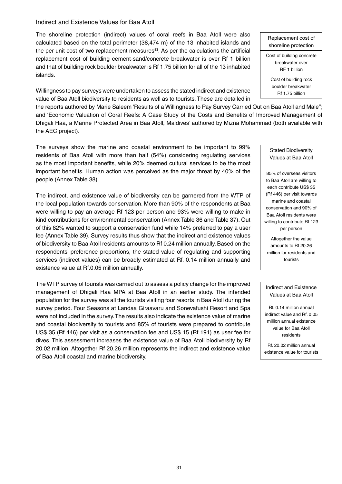### Indirect and Existence Values for Baa Atoll

The shoreline protection (indirect) values of coral reefs in Baa Atoll were also calculated based on the total perimeter (38,474 m) of the 13 inhabited islands and the per unit cost of two replacement measures $^{83}$ . As per the calculations the artificial replacement cost of building cement-sand/concrete breakwater is over Rf 1 billion and that of building rock boulder breakwater is Rf 1.75 billion for all of the 13 inhabited islands.

Willingness to pay surveys were undertaken to assess the stated indirect and existence value of Baa Atoll biodiversity to residents as well as to tourists. These are detailed in

the reports authored by Marie Saleem 'Results of a Willingness to Pay Survey Carried Out on Baa Atoll and Male''; and 'Economic Valuation of Coral Reefs: A Case Study of the Costs and Benefits of Improved Management of Dhigali Haa, a Marine Protected Area in Baa Atoll, Maldives' authored by Mizna Mohammad (both available with the AEC project).

The surveys show the marine and coastal environment to be important to 99% residents of Baa Atoll with more than half (54%) considering regulating services as the most important benefits, while 20% deemed cultural services to be the most important benefits. Human action was perceived as the major threat by 40% of the people (Annex Table 38).

The indirect, and existence value of biodiversity can be garnered from the WTP of the local population towards conservation. More than 90% of the respondents at Baa were willing to pay an average Rf 123 per person and 93% were willing to make in kind contributions for environmental conservation (Annex Table 36 and Table 37). Out of this 82% wanted to support a conservation fund while 14% preferred to pay a user fee (Annex Table 39). Survey results thus show that the indirect and existence values of biodiversity to Baa Atoll residents amounts to Rf 0.24 million annually. Based on the respondents' preference proportions, the stated value of regulating and supporting services (indirect values) can be broadly estimated at Rf. 0.14 million annually and existence value at Rf.0.05 million annually.

The WTP survey of tourists was carried out to assess a policy change for the improved management of Dhigali Haa MPA at Baa Atoll in an earlier study. The intended population for the survey was all the tourists visiting four resorts in Baa Atoll during the survey period. Four Seasons at Landaa Giraavaru and Sonevafushi Resort and Spa were not included in the survey. The results also indicate the existence value of marine and coastal biodiversity to tourists and 85% of tourists were prepared to contribute US\$ 35 (Rf 446) per visit as a conservation fee and US\$ 15 (Rf 191) as user fee for dives. This assessment increases the existence value of Baa Atoll biodiversity by Rf 20.02 million. Altogether Rf 20.26 million represents the indirect and existence value of Baa Atoll coastal and marine biodiversity.

Replacement cost of shoreline protection Cost of building concrete breakwater over RF 1 billion Cost of building rock boulder breakwater Rf 1.75 billion

Stated Biodiversity Values at Baa Atoll

85% of overseas visitors to Baa Atoll are willing to each contribute US\$ 35 (Rf 446) per visit towards marine and coastal conservation and 90% of Baa Atoll residents were willing to contribute Rf 123 per person

Altogether the value amounts to Rf 20.26 million for residents and tourists

### Indirect and Existence Values at Baa Atoll

Rf. 0.14 million annual indirect value and Rf. 0.05 million annual existence value for Baa Atoll residents

Rf. 20.02 million annual existence value for tourists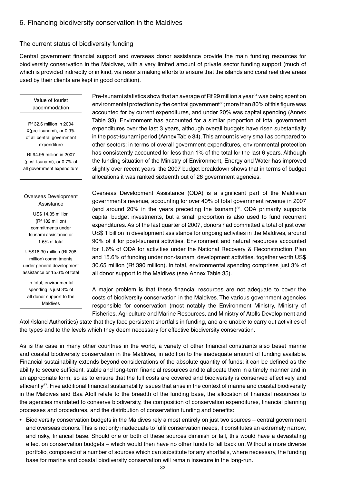# 6. Financing biodiversity conservation in the Maldives

### The current status of biodiversity funding

Central government financial support and overseas donor assistance provide the main funding resources for biodiversity conservation in the Maldives, with a very limited amount of private sector funding support (much of which is provided indirectly or in kind, via resorts making efforts to ensure that the islands and coral reef dive areas used by their clients are kept in good condition).

#### Value of tourist accommodation

Rf 32.6 million in 2004 X(pre-tsunami), or 0.9% of all central government expenditure

Rf 94.95 million in 2007 (post-tsunami), or 0.7% of all government expenditure

## Overseas Development Assistance

US\$ 14.35 million (Rf 182 million) commitments under tsunami assistance or 1.6% of total

US\$16.30 million (Rf 208 million) commitments under general development assistance or 15.6% of total

In total, environmental spending is just 3% of all donor support to the Maldives

Pre-tsunami statistics show that an average of Rf 29 million a year $84$  was being spent on environmental protection by the central government<sup>85</sup>; more than 80% of this figure was accounted for by current expenditures, and under 20% was capital spending (Annex Table 33). Environment has accounted for a similar proportion of total government expenditures over the last 3 years, although overall budgets have risen substantially in the post-tsunami period (Annex Table 34). This amount is very small as compared to other sectors: in terms of overall government expenditures, environmental protection has consistently accounted for less than 1% of the total for the last 6 years. Although the funding situation of the Ministry of Environment, Energy and Water has improved slightly over recent years, the 2007 budget breakdown shows that in terms of budget allocations it was ranked sixteenth out of 26 government agencies.

Overseas Development Assistance (ODA) is a significant part of the Maldivian government's revenue, accounting for over 40% of total government revenue in 2007 (and around 20% in the years preceding the tsunami) $86$ . ODA primarily supports capital budget investments, but a small proportion is also used to fund recurrent expenditures. As of the last quarter of 2007, donors had committed a total of just over US\$ 1 billion in development assistance for ongoing activities in the Maldives, around 90% of it for post-tsunami activities. Environment and natural resources accounted for 1.6% of ODA for activities under the National Recovery & Reconstruction Plan and 15.6% of funding under non-tsunami development activities, together worth US\$ 30.65 million (Rf 390 million). In total, environmental spending comprises just 3% of all donor support to the Maldives (see Annex Table 35).

A major problem is that these financial resources are not adequate to cover the costs of biodiversity conservation in the Maldives. The various government agencies responsible for conservation (most notably the Environment Ministry, Ministry of Fisheries, Agriculture and Marine Resources, and Ministry of Atolls Development and

Atoll/Island Authorities) state that they face persistent shortfalls in funding, and are unable to carry out activities of the types and to the levels which they deem necessary for effective biodiversity conservation.

As is the case in many other countries in the world, a variety of other financial constraints also beset marine and coastal biodiversity conservation in the Maldives, in addition to the inadequate amount of funding available. Financial sustainability extends beyond considerations of the absolute quantity of funds: it can be defined as the ability to secure sufficient, stable and long-term financial resources and to allocate them in a timely manner and in an appropriate form, so as to ensure that the full costs are covered and biodiversity is conserved effectively and efficiently<sup>87</sup>. Five additional financial sustainability issues that arise in the context of marine and coastal biodiversity in the Maldives and Baa Atoll relate to the breadth of the funding base, the allocation of financial resources to the agencies mandated to conserve biodiversity, the composition of conservation expenditures, financial planning processes and procedures, and the distribution of conservation funding and benefits:

• Biodiversity conservation budgets in the Maldives rely almost entirely on just two sources – central government and overseas donors. This is not only inadequate to fulfil conservation needs, it constitutes an extremely narrow, and risky, financial base. Should one or both of these sources diminish or fail, this would have a devastating effect on conservation budgets – which would then have no other funds to fall back on. Without a more diverse portfolio, composed of a number of sources which can substitute for any shortfalls, where necessary, the funding base for marine and coastal biodiversity conservation will remain insecure in the long-run.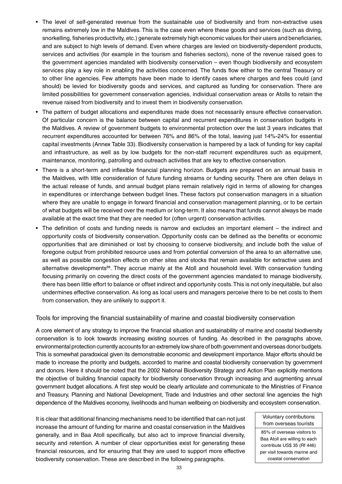- The level of self-generated revenue from the sustainable use of biodiversity and from non-extractive uses remains extremely low in the Maldives. This is the case even where these goods and services (such as diving, snorkelling, fisheries productivity, etc.) generate extremely high economic values for their users and beneficiaries, and are subject to high levels of demand. Even where charges are levied on biodiversity-dependent products, services and activities (for example in the tourism and fisheries sectors), none of the revenue raised goes to the government agencies mandated with biodiversity conservation – even though biodiversity and ecosystem services play a key role in enabling the activities concerned. The funds flow either to the central Treasury or to other line agencies. Few attempts have been made to identify cases where charges and fees could (and should) be levied for biodiversity goods and services, and captured as funding for conservation. There are limited possibilities for government conservation agencies, individual conservation areas or Atolls to retain the revenue raised from biodiversity and to invest them in biodiversity conservation.
- The pattern of budget allocations and expenditures made does not necessarily ensure effective conservation. Of particular concern is the balance between capital and recurrent expenditures in conservation budgets in the Maldives. A review of government budgets to environmental protection over the last 3 years indicates that recurrent expenditures accounted for between 76% and 86% of the total, leaving just 14%-24% for essential capital investments (Annex Table 33). Biodiversity conservation is hampered by a lack of funding for key capital and infrastructure, as well as by low budgets for the non-staff recurrent expenditures such as equipment, maintenance, monitoring, patrolling and outreach activities that are key to effective conservation.
- There is a short-term and inflexible financial planning horizon. Budgets are prepared on an annual basis in the Maldives, with little consideration of future funding streams or funding security. There are often delays in the actual release of funds, and annual budget plans remain relatively rigid in terms of allowing for changes in expenditures or interchange between budget lines. These factors put conservation managers in a situation where they are unable to engage in forward financial and conservation management planning, or to be certain of what budgets will be received over the medium or long-term. It also means that funds cannot always be made available at the exact time that they are needed for (often urgent) conservation activities.
- The definition of costs and funding needs is narrow and excludes an important element the indirect and opportunity costs of biodiversity conservation. Opportunity costs can be defined as the benefits or economic opportunities that are diminished or lost by choosing to conserve biodiversity, and include both the value of foregone output from prohibited resource uses and from potential conversion of the area to an alternative use, as well as possible congestion effects on other sites and stocks that remain available for extractive uses and alternative developments<sup>88</sup>. They accrue mainly at the Atoll and household level. With conservation funding focusing primarily on covering the direct costs of the government agencies mandated to manage biodiversity, there has been little effort to balance or offset indirect and opportunity costs. This is not only inequitable, but also undermines effective conservation. As long as local users and managers perceive there to be net costs to them from conservation, they are unlikely to support it.

Tools for improving the financial sustainability of marine and coastal biodiversity conservation

A core element of any strategy to improve the financial situation and sustainability of marine and coastal biodiversity conservation is to look towards increasing existing sources of funding. As described in the paragraphs above, environmental protection currently accounts for an extremely low share of both government and overseas donor budgets. This is somewhat paradoxical given its demonstrable economic and development importance. Major efforts should be made to increase the priority and budgets, accorded to marine and coastal biodiversity conservation by government and donors. Here it should be noted that the 2002 National Biodiversity Strategy and Action Plan explicitly mentions the objective of building financial capacity for biodiversity conservation through increasing and augmenting annual government budget allocations. A first step would be clearly articulate and communicate to the Ministries of Finance and Treasury, Planning and National Development, Trade and Industries and other sectoral line agencies the high dependence of the Maldives economy, livelihoods and human wellbeing on biodiversity and ecosystem conservation.

It is clear that additional financing mechanisms need to be identified that can not just increase the amount of funding for marine and coastal conservation in the Maldives generally, and in Baa Atoll specifically, but also act to improve financial diversity, security and retention. A number of clear opportunities exist for generating these financial resources, and for ensuring that they are used to support more effective biodiversity conservation. These are described in the following paragraphs.

Voluntary contributions from overseas tourists

85% of overseas visitors to Baa Atoll are willing to each contribute US\$ 35 (Rf 446) per visit towards marine and coastal conservation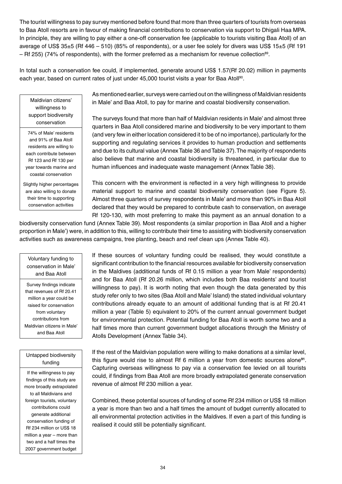The tourist willingness to pay survey mentioned before found that more than three quarters of tourists from overseas to Baa Atoll resorts are in favour of making financial contributions to conservation via support to Dhigali Haa MPA. In principle, they are willing to pay either a one-off conservation fee (applicable to tourists visiting Baa Atoll) of an average of US\$ 35±5 (Rf 446 – 510) (85% of respondents), or a user fee solely for divers was US\$ 15±5 (Rf 191  $-$  Rf 255) (74% of respondents), with the former preferred as a mechanism for revenue collection<sup>89</sup>.

In total such a conservation fee could, if implemented, generate around US\$ 1.57(Rf 20.02) million in payments each year, based on current rates of just under 45,000 tourist visits a year for Baa Atoll<sup>90</sup>.

Maldivian citizens' willingness to support biodiversity conservation

74% of Male' residents and 91% of Baa Atoll residents are willing to each contribute between Rf 123 and Rf 130 per year towards marine and coastal conservation

Slightly higher percentages are also willing to donate their time to supporting conservation activities

As mentioned earlier, surveys were carried out on the willingness of Maldivian residents in Male' and Baa Atoll, to pay for marine and coastal biodiversity conservation.

The surveys found that more than half of Maldivian residents in Male' and almost three quarters in Baa Atoll considered marine and biodiversity to be very important to them (and very few in either location considered it to be of no importance), particularly for the supporting and regulating services it provides to human production and settlements and due to its cultural value (Annex Table 36 and Table 37). The majority of respondents also believe that marine and coastal biodiversity is threatened, in particular due to human influences and inadequate waste management (Annex Table 38).

This concern with the environment is reflected in a very high willingness to provide material support to marine and coastal biodiversity conservation (see Figure 5). Almost three quarters of survey respondents in Male' and more than 90% in Baa Atoll declared that they would be prepared to contribute cash to conservation, on average Rf 120-130, with most preferring to make this payment as an annual donation to a

biodiversity conservation fund (Annex Table 39). Most respondents (a similar proportion in Baa Atoll and a higher proportion in Male') were, in addition to this, willing to contribute their time to assisting with biodiversity conservation activities such as awareness campaigns, tree planting, beach and reef clean ups (Annex Table 40).

Voluntary funding to conservation in Male' and Baa Atoll

Survey findings indicate that revenues of Rf 20.41 million a year could be raised for conservation from voluntary contributions from Maldivian citizens in Male' and Baa Atoll

## Untapped biodiversity funding

If the willingness to pay findings of this study are more broadly extrapolated to all Maldivians and foreign tourists, voluntary contributions could generate additional conservation funding of Rf 234 million or US\$ 18 million a year – more than two and a half times the 2007 government budget

If these sources of voluntary funding could be realised, they would constitute a significant contribution to the financial resources available for biodiversity conservation in the Maldives (additional funds of Rf 0.15 million a year from Male' respondents) and for Baa Atoll (Rf 20.26 million, which includes both Baa residents' and tourist willingness to pay). It is worth noting that even though the data generated by this study refer only to two sites (Baa Atoll and Male' Island) the stated individual voluntary contributions already equate to an amount of additional funding that is at Rf 20.41 million a year (Table 5) equivalent to 20% of the current annual government budget for environmental protection. Potential funding for Baa Atoll is worth some two and a half times more than current government budget allocations through the Ministry of Atolls Development (Annex Table 34).

If the rest of the Maldivian population were willing to make donations at a similar level, this figure would rise to almost Rf 6 million a year from domestic sources alone**<sup>91</sup>** . Capturing overseas willingness to pay via a conservation fee levied on all tourists could, if findings from Baa Atoll are more broadly extrapolated generate conservation revenue of almost Rf 230 million a year.

Combined, these potential sources of funding of some Rf 234 million or US\$ 18 million a year is more than two and a half times the amount of budget currently allocated to all environmental protection activities in the Maldives. If even a part of this funding is realised it could still be potentially significant.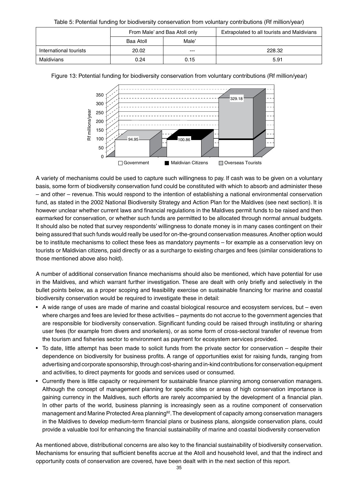Table 5: Potential funding for biodiversity conservation from voluntary contributions (Rf million/year)

|                        | From Male' and Baa Atoll only<br>Male'<br>Baa Atoll |       | Extrapolated to all tourists and Maldivians |
|------------------------|-----------------------------------------------------|-------|---------------------------------------------|
|                        |                                                     |       |                                             |
| International tourists | 20.02                                               | $---$ | 228.32                                      |
| Maldivians             | 0.24                                                | 0.15  | 5.91                                        |





A variety of mechanisms could be used to capture such willingness to pay. If cash was to be given on a voluntary basis, some form of biodiversity conservation fund could be constituted with which to absorb and administer these – and other – revenue. This would respond to the intention of establishing a national environmental conservation fund, as stated in the 2002 National Biodiversity Strategy and Action Plan for the Maldives (see next section). It is however unclear whether current laws and financial regulations in the Maldives permit funds to be raised and then earmarked for conservation, or whether such funds are permitted to be allocated through normal annual budgets. It should also be noted that survey respondents' willingness to donate money is in many cases contingent on their being assured that such funds would really be used for on-the-ground conservation measures. Another option would be to institute mechanisms to collect these fees as mandatory payments – for example as a conservation levy on tourists or Maldivian citizens, paid directly or as a surcharge to existing charges and fees (similar considerations to those mentioned above also hold).

A number of additional conservation finance mechanisms should also be mentioned, which have potential for use in the Maldives, and which warrant further investigation. These are dealt with only briefly and selectively in the bullet points below, as a proper scoping and feasibility exercise on sustainable financing for marine and coastal biodiversity conservation would be required to investigate these in detail:

- A wide range of uses are made of marine and coastal biological resource and ecosystem services, but even where charges and fees are levied for these activities – payments do not accrue to the government agencies that are responsible for biodiversity conservation. Significant funding could be raised through instituting or sharing user fees (for example from divers and snorkelers), or as some form of cross-sectoral transfer of revenue from the tourism and fisheries sector to environment as payment for ecosystem services provided.
- To date, little attempt has been made to solicit funds from the private sector for conservation despite their dependence on biodiversity for business profits. A range of opportunities exist for raising funds, ranging from advertising and corporate sponsorship, through cost-sharing and in-kind contributions for conservation equipment and activities, to direct payments for goods and services used or consumed.
- Currently there is little capacity or requirement for sustainable finance planning among conservation managers. Although the concept of management planning for specific sites or areas of high conservation importance is gaining currency in the Maldives, such efforts are rarely accompanied by the development of a financial plan. In other parts of the world, business planning is increasingly seen as a routine component of conservation management and Marine Protected Area planning<sup>92</sup>. The development of capacity among conservation managers in the Maldives to develop medium-term financial plans or business plans, alongside conservation plans, could provide a valuable tool for enhancing the financial sustainability of marine and coastal biodiversity conservation

As mentioned above, distributional concerns are also key to the financial sustainability of biodiversity conservation. Mechanisms for ensuring that sufficient benefits accrue at the Atoll and household level, and that the indirect and opportunity costs of conservation are covered, have been dealt with in the next section of this report.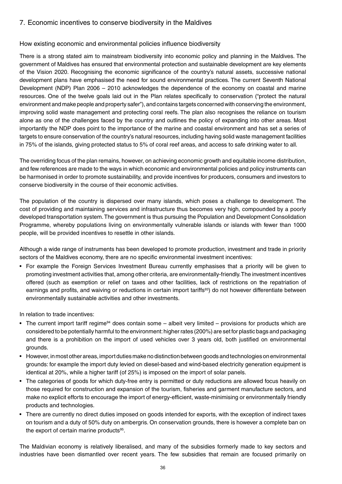# 7. Economic incentives to conserve biodiversity in the Maldives

## How existing economic and environmental policies influence biodiversity

There is a strong stated aim to mainstream biodiversity into economic policy and planning in the Maldives. The government of Maldives has ensured that environmental protection and sustainable development are key elements of the Vision 2020. Recognising the economic significance of the country's natural assets, successive national development plans have emphasised the need for sound environmental practices. The current Seventh National Development (NDP) Plan 2006 – 2010 acknowledges the dependence of the economy on coastal and marine resources. One of the twelve goals laid out in the Plan relates specifically to conservation ("protect the natural environment and make people and property safer"), and contains targets concerned with conserving the environment, improving solid waste management and protecting coral reefs. The plan also recognises the reliance on tourism alone as one of the challenges faced by the country and outlines the policy of expanding into other areas. Most importantly the NDP does point to the importance of the marine and coastal environment and has set a series of targets to ensure conservation of the country's natural resources, including having solid waste management facilities in 75% of the islands, giving protected status to 5% of coral reef areas, and access to safe drinking water to all.

The overriding focus of the plan remains, however, on achieving economic growth and equitable income distribution, and few references are made to the ways in which economic and environmental policies and policy instruments can be harmonised in order to promote sustainability, and provide incentives for producers, consumers and investors to conserve biodiversity in the course of their economic activities.

The population of the country is dispersed over many islands, which poses a challenge to development. The cost of providing and maintaining services and infrastructure thus becomes very high, compounded by a poorly developed transportation system. The government is thus pursuing the Population and Development Consolidation Programme, whereby populations living on environmentally vulnerable islands or islands with fewer than 1000 people, will be provided incentives to resettle in other islands.

Although a wide range of instruments has been developed to promote production, investment and trade in priority sectors of the Maldives economy, there are no specific environmental investment incentives:

• For example the Foreign Services Investment Bureau currently emphasises that a priority will be given to promoting investment activities that, among other criteria, are environmentally-friendly. The investment incentives offered (such as exemption or relief on taxes and other facilities, lack of restrictions on the repatriation of earnings and profits, and waiving or reductions in certain import tariffs<sup>93</sup>) do not however differentiate between environmentally sustainable activities and other investments.

In relation to trade incentives:

- The current import tariff regime<sup>94</sup> does contain some albeit very limited provisions for products which are considered to be potentially harmful to the environment: higher rates (200%) are set for plastic bags and packaging and there is a prohibition on the import of used vehicles over 3 years old, both justified on environmental grounds.
- However, in most other areas, import duties make no distinction between goods and technologies on environmental grounds: for example the import duty levied on diesel-based and wind-based electricity generation equipment is identical at 20%, while a higher tariff (of 25%) is imposed on the import of solar panels.
- The categories of goods for which duty-free entry is permitted or duty reductions are allowed focus heavily on those required for construction and expansion of the tourism, fisheries and garment manufacture sectors, and make no explicit efforts to encourage the import of energy-efficient, waste-minimising or environmentally friendly products and technologies.
- There are currently no direct duties imposed on goods intended for exports, with the exception of indirect taxes on tourism and a duty of 50% duty on ambergris. On conservation grounds, there is however a complete ban on the export of certain marine products<sup>95</sup>.

The Maldivian economy is relatively liberalised, and many of the subsidies formerly made to key sectors and industries have been dismantled over recent years. The few subsidies that remain are focused primarily on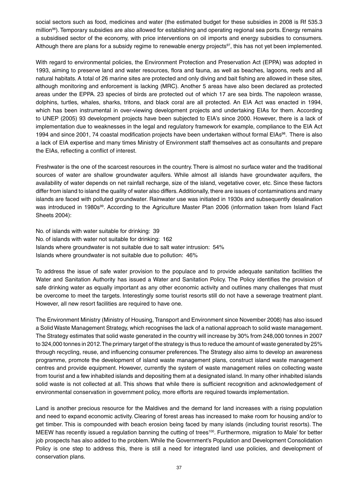social sectors such as food, medicines and water (the estimated budget for these subsidies in 2008 is Rf 535.3 million96). Temporary subsidies are also allowed for establishing and operating regional sea ports. Energy remains a subsidised sector of the economy, with price interventions on oil imports and energy subsidies to consumers. Although there are plans for a subsidy regime to renewable energy projects $97$ , this has not yet been implemented.

With regard to environmental policies, the Environment Protection and Preservation Act (EPPA) was adopted in 1993, aiming to preserve land and water resources, flora and fauna, as well as beaches, lagoons, reefs and all natural habitats. A total of 26 marine sites are protected and only diving and bait fishing are allowed in these sites, although monitoring and enforcement is lacking (MRC). Another 5 areas have also been declared as protected areas under the EPPA. 23 species of birds are protected out of which 17 are sea birds. The napoleon wrasse, dolphins, turtles, whales, sharks, tritons, and black coral are all protected. An EIA Act was enacted in 1994, which has been instrumental in over-viewing development projects and undertaking EIAs for them. According to UNEP (2005) 93 development projects have been subjected to EIA's since 2000. However, there is a lack of implementation due to weaknesses in the legal and regulatory framework for example, compliance to the EIA Act 1994 and since 2001, 74 coastal modification projects have been undertaken without formal EIAs<sup>98</sup>. There is also a lack of EIA expertise and many times Ministry of Environment staff themselves act as consultants and prepare the EIAs, reflecting a conflict of interest.

Freshwater is the one of the scarcest resources in the country. There is almost no surface water and the traditional sources of water are shallow groundwater aquifers. While almost all islands have groundwater aquifers, the availability of water depends on net rainfall recharge, size of the island, vegetative cover, etc. Since these factors differ from island to island the quality of water also differs. Additionally, there are issues of contaminations and many islands are faced with polluted groundwater. Rainwater use was initiated in 1930s and subsequently desalination was introduced in 1980s<sup>99</sup>. According to the Agriculture Master Plan 2006 (information taken from Island Fact Sheets 2004):

No. of islands with water suitable for drinking: 39 No. of islands with water not suitable for drinking: 162 Islands where groundwater is not suitable due to salt water intrusion: 54% Islands where groundwater is not suitable due to pollution: 46%

To address the issue of safe water provision to the populace and to provide adequate sanitation facilities the Water and Sanitation Authority has issued a Water and Sanitation Policy. The Policy identifies the provision of safe drinking water as equally important as any other economic activity and outlines many challenges that must be overcome to meet the targets. Interestingly some tourist resorts still do not have a sewerage treatment plant. However, all new resort facilities are required to have one.

The Environment Ministry (Ministry of Housing, Transport and Environment since November 2008) has also issued a Solid Waste Management Strategy, which recognises the lack of a national approach to solid waste management. The Strategy estimates that solid waste generated in the country will increase by 30% from 248,000 tonnes in 2007 to 324,000 tonnes in 2012. The primary target of the strategy is thus to reduce the amount of waste generated by 25% through recycling, reuse, and influencing consumer preferences. The Strategy also aims to develop an awareness programme, promote the development of island waste management plans, construct island waste management centres and provide equipment. However, currently the system of waste management relies on collecting waste from tourist and a few inhabited islands and depositing them at a designated island. In many other inhabited islands solid waste is not collected at all. This shows that while there is sufficient recognition and acknowledgement of environmental conservation in government policy, more efforts are required towards implementation.

Land is another precious resource for the Maldives and the demand for land increases with a rising population and need to expand economic activity. Clearing of forest areas has increased to make room for housing and/or to get timber. This is compounded with beach erosion being faced by many islands (including tourist resorts). The MEEW has recently issued a regulation banning the cutting of trees<sup>100</sup>. Furthermore, migration to Male' for better job prospects has also added to the problem. While the Government's Population and Development Consolidation Policy is one step to address this, there is still a need for integrated land use policies, and development of conservation plans.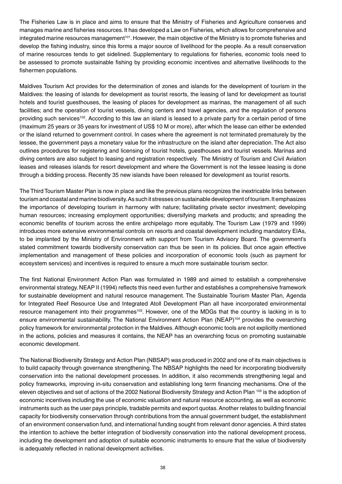The Fisheries Law is in place and aims to ensure that the Ministry of Fisheries and Agriculture conserves and manages marine and fisheries resources. It has developed a Law on Fisheries, which allows for comprehensive and integrated marine resources management<sup>101</sup>. However, the main objective of the Ministry is to promote fisheries and develop the fishing industry, since this forms a major source of livelihood for the people. As a result conservation of marine resources tends to get sidelined. Supplementary to regulations for fisheries, economic tools need to be assessed to promote sustainable fishing by providing economic incentives and alternative livelihoods to the fishermen populations.

Maldives Tourism Act provides for the determination of zones and islands for the development of tourism in the Maldives: the leasing of islands for development as tourist resorts, the leasing of land for development as tourist hotels and tourist guesthouses, the leasing of places for development as marinas, the management of all such facilities; and the operation of tourist vessels, diving centers and travel agencies, and the regulation of persons providing such services<sup>102</sup>. According to this law an island is leased to a private party for a certain period of time (maximum 25 years or 35 years for investment of US\$ 10 M or more), after which the lease can either be extended or the island returned to government control. In cases where the agreement is not terminated prematurely by the lessee, the government pays a monetary value for the infrastructure on the island after depreciation. The Act also outlines procedures for registering and licensing of tourist hotels, guesthouses and tourist vessels. Marinas and diving centers are also subject to leasing and registration respectively. The Ministry of Tourism and Civil Aviation leases and releases islands for resort development and where the Government is not the lessee leasing is done through a bidding process. Recently 35 new islands have been released for development as tourist resorts.

The Third Tourism Master Plan is now in place and like the previous plans recognizes the inextricable links between tourism and coastal and marine biodiversity. As such it stresses on sustainable development of tourism. It emphasizes the importance of developing tourism in harmony with nature; facilitating private sector investment; developing human resources; increasing employment opportunities; diversifying markets and products; and spreading the economic benefits of tourism across the entire archipelago more equitably. The Tourism Law (1979 and 1999) introduces more extensive environmental controls on resorts and coastal development including mandatory EIAs, to be implanted by the Ministry of Environment with support from Tourism Advisory Board. The government's stated commitment towards biodiversity conservation can thus be seen in its policies. But once again effective implementation and management of these policies and incorporation of economic tools (such as payment for ecosystem services) and incentives is required to ensure a much more sustainable tourism sector.

The first National Environment Action Plan was formulated in 1989 and aimed to establish a comprehensive environmental strategy. NEAP II (1994) reflects this need even further and establishes a comprehensive framework for sustainable development and natural resource management. The Sustainable Tourism Master Plan, Agenda for Integrated Reef Resource Use and Integrated Atoll Development Plan all have incorporated environmental resource management into their programmes<sup>103</sup>. However, one of the MDGs that the country is lacking in is to ensure environmental sustainability. The National Environment Action Plan (NEAP)<sup>104</sup> provides the overarching policy framework for environmental protection in the Maldives. Although economic tools are not explicitly mentioned in the actions, policies and measures it contains, the NEAP has an overarching focus on promoting sustainable economic development.

The National Biodiversity Strategy and Action Plan (NBSAP) was produced in 2002 and one of its main objectives is to build capacity through governance strengthening. The NBSAP highlights the need for incorporating biodiversity conservation into the national development processes. In addition, it also recommends strengthening legal and policy frameworks, improving in-situ conservation and establishing long term financing mechanisms. One of the eleven objectives and set of actions of the 2002 National Biodiversity Strategy and Action Plan 105 is the adoption of economic incentives including the use of economic valuation and natural resource accounting, as well as economic instruments such as the user pays principle, tradable permits and export quotas. Another relates to building financial capacity for biodiversity conservation through contributions from the annual government budget, the establishment of an environment conservation fund, and international funding sought from relevant donor agencies. A third states the intention to achieve the better integration of biodiversity conservation into the national development process, including the development and adoption of suitable economic instruments to ensure that the value of biodiversity is adequately reflected in national development activities.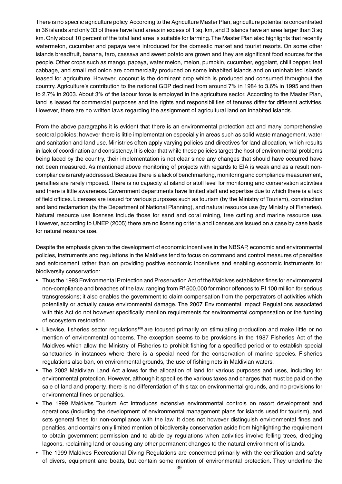There is no specific agriculture policy. According to the Agriculture Master Plan, agriculture potential is concentrated in 36 islands and only 33 of these have land areas in excess of 1 sq. km, and 3 islands have an area larger than 3 sq km. Only about 10 percent of the total land area is suitable for farming. The Master Plan also highlights that recently watermelon, cucumber and papaya were introduced for the domestic market and tourist resorts. On some other islands breadfruit, banana, taro, cassava and sweet potato are grown and they are significant food sources for the people. Other crops such as mango, papaya, water melon, melon, pumpkin, cucumber, eggplant, chilli pepper, leaf cabbage, and small red onion are commercially produced on some inhabited islands and on uninhabited islands leased for agriculture. However, coconut is the dominant crop which is produced and consumed throughout the country. Agriculture's contribution to the national GDP declined from around 7% in 1984 to 3.6% in 1995 and then to 2.7% in 2003. About 3% of the labour force is employed in the agriculture sector. According to the Master Plan, land is leased for commercial purposes and the rights and responsibilities of tenures differ for different activities. However, there are no written laws regarding the assignment of agricultural land on inhabited islands.

From the above paragraphs it is evident that there is an environmental protection act and many comprehensive sectoral policies; however there is little implementation especially in areas such as solid waste management, water and sanitation and land use. Ministries often apply varying policies and directives for land allocation, which results in lack of coordination and consistency. It is clear that while these policies target the host of environmental problems being faced by the country, their implementation is not clear since any changes that should have occurred have not been measured. As mentioned above monitoring of projects with regards to EIA is weak and as a result noncompliance is rarely addressed. Because there is a lack of benchmarking, monitoring and compliance measurement, penalties are rarely imposed. There is no capacity at island or atoll level for monitoring and conservation activities and there is little awareness. Government departments have limited staff and expertise due to which there is a lack of field offices. Licenses are issued for various purposes such as tourism (by the Ministry of Tourism), construction and land reclamation (by the Department of National Planning), and natural resource use (by Ministry of Fisheries). Natural resource use licenses include those for sand and coral mining, tree cutting and marine resource use. However, according to UNEP (2005) there are no licensing criteria and licenses are issued on a case by case basis for natural resource use.

Despite the emphasis given to the development of economic incentives in the NBSAP, economic and environmental policies, instruments and regulations in the Maldives tend to focus on command and control measures of penalties and enforcement rather than on providing positive economic incentives and enabling economic instruments for biodiversity conservation:

- Thus the 1993 Environmental Protection and Preservation Act of the Maldives establishes fines for environmental non-compliance and breaches of the law, ranging from Rf 500,000 for minor offences to Rf 100 million for serious transgressions; it also enables the government to claim compensation from the perpetrators of activities which potentially or actually cause environmental damage. The 2007 Environmental Impact Regulations associated with this Act do not however specifically mention requirements for environmental compensation or the funding of ecosystem restoration.
- Likewise, fisheries sector regulations<sup>106</sup> are focused primarily on stimulating production and make little or no mention of environmental concerns. The exception seems to be provisions in the 1987 Fisheries Act of the Maldives which allow the Ministry of Fisheries to prohibit fishing for a specified period or to establish special sanctuaries in instances where there is a special need for the conservation of marine species. Fisheries regulations also ban, on environmental grounds, the use of fishing nets in Maldivian waters.
- The 2002 Maldivian Land Act allows for the allocation of land for various purposes and uses, including for environmental protection. However, although it specifies the various taxes and charges that must be paid on the sale of land and property, there is no differentiation of this tax on environmental grounds, and no provisions for environmental fines or penalties.
- The 1999 Maldives Tourism Act introduces extensive environmental controls on resort development and operations (including the development of environmental management plans for islands used for tourism), and sets general fines for non-compliance with the law. It does not however distinguish environmental fines and penalties, and contains only limited mention of biodiversity conservation aside from highlighting the requirement to obtain government permission and to abide by regulations when activities involve felling trees, dredging lagoons, reclaiming land or causing any other permanent changes to the natural environment of islands.
- The 1999 Maldives Recreational Diving Regulations are concerned primarily with the certification and safety of divers, equipment and boats, but contain some mention of environmental protection. They underline the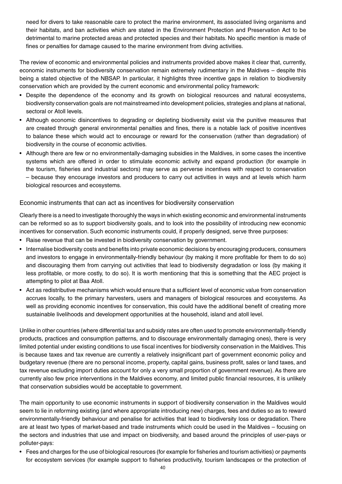need for divers to take reasonable care to protect the marine environment, its associated living organisms and their habitats, and ban activities which are stated in the Environment Protection and Preservation Act to be detrimental to marine protected areas and protected species and their habitats. No specific mention is made of fines or penalties for damage caused to the marine environment from diving activities.

The review of economic and environmental policies and instruments provided above makes it clear that, currently, economic instruments for biodiversity conservation remain extremely rudimentary in the Maldives – despite this being a stated objective of the NBSAP. In particular, it highlights three incentive gaps in relation to biodiversity conservation which are provided by the current economic and environmental policy framework:

- Despite the dependence of the economy and its growth on biological resources and natural ecosystems, biodiversity conservation goals are not mainstreamed into development policies, strategies and plans at national, sectoral or Atoll levels.
- Although economic disincentives to degrading or depleting biodiversity exist via the punitive measures that are created through general environmental penalties and fines, there is a notable lack of positive incentives to balance these which would act to encourage or reward for the conservation (rather than degradation) of biodiversity in the course of economic activities.
- Although there are few or no environmentally-damaging subsidies in the Maldives, in some cases the incentive systems which are offered in order to stimulate economic activity and expand production (for example in the tourism, fisheries and industrial sectors) may serve as perverse incentives with respect to conservation – because they encourage investors and producers to carry out activities in ways and at levels which harm biological resources and ecosystems.

## Economic instruments that can act as incentives for biodiversity conservation

Clearly there is a need to investigate thoroughly the ways in which existing economic and environmental instruments can be reformed so as to support biodiversity goals, and to look into the possibility of introducing new economic incentives for conservation. Such economic instruments could, if properly designed, serve three purposes:

- Raise revenue that can be invested in biodiversity conservation by government.
- Internalise biodiversity costs and benefits into private economic decisions by encouraging producers, consumers and investors to engage in environmentally-friendly behaviour (by making it more profitable for them to do so) and discouraging them from carrying out activities that lead to biodiversity degradation or loss (by making it less profitable, or more costly, to do so). It is worth mentioning that this is something that the AEC project is attempting to pilot at Baa Atoll.
- Act as redistributive mechanisms which would ensure that a sufficient level of economic value from conservation accrues locally, to the primary harvesters, users and managers of biological resources and ecosystems. As well as providing economic incentives for conservation, this could have the additional benefit of creating more sustainable livelihoods and development opportunities at the household, island and atoll level.

Unlike in other countries (where differential tax and subsidy rates are often used to promote environmentally-friendly products, practices and consumption patterns, and to discourage environmentally damaging ones), there is very limited potential under existing conditions to use fiscal incentives for biodiversity conservation in the Maldives. This is because taxes and tax revenue are currently a relatively insignificant part of government economic policy and budgetary revenue (there are no personal income, property, capital gains, business profit, sales or land taxes, and tax revenue excluding import duties account for only a very small proportion of government revenue). As there are currently also few price interventions in the Maldives economy, and limited public financial resources, it is unlikely that conservation subsidies would be acceptable to government.

The main opportunity to use economic instruments in support of biodiversity conservation in the Maldives would seem to lie in reforming existing (and where appropriate introducing new) charges, fees and duties so as to reward environmentally-friendly behaviour and penalise for activities that lead to biodiversity loss or degradation. There are at least two types of market-based and trade instruments which could be used in the Maldives – focusing on the sectors and industries that use and impact on biodiversity, and based around the principles of user-pays or polluter-pays:

• Fees and charges for the use of biological resources (for example for fisheries and tourism activities) or payments for ecosystem services (for example support to fisheries productivity, tourism landscapes or the protection of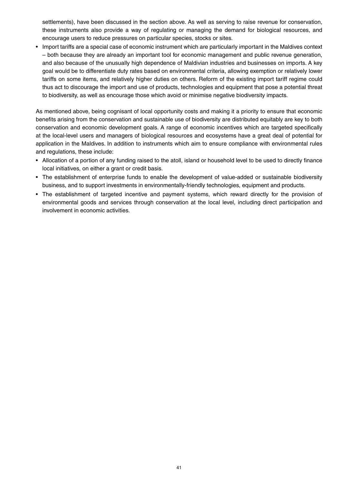settlements), have been discussed in the section above. As well as serving to raise revenue for conservation, these instruments also provide a way of regulating or managing the demand for biological resources, and encourage users to reduce pressures on particular species, stocks or sites.

• Import tariffs are a special case of economic instrument which are particularly important in the Maldives context – both because they are already an important tool for economic management and public revenue generation, and also because of the unusually high dependence of Maldivian industries and businesses on imports. A key goal would be to differentiate duty rates based on environmental criteria, allowing exemption or relatively lower tariffs on some items, and relatively higher duties on others. Reform of the existing import tariff regime could thus act to discourage the import and use of products, technologies and equipment that pose a potential threat to biodiversity, as well as encourage those which avoid or minimise negative biodiversity impacts.

As mentioned above, being cognisant of local opportunity costs and making it a priority to ensure that economic benefits arising from the conservation and sustainable use of biodiversity are distributed equitably are key to both conservation and economic development goals. A range of economic incentives which are targeted specifically at the local-level users and managers of biological resources and ecosystems have a great deal of potential for application in the Maldives. In addition to instruments which aim to ensure compliance with environmental rules and regulations, these include:

- Allocation of a portion of any funding raised to the atoll, island or household level to be used to directly finance local initiatives, on either a grant or credit basis.
- The establishment of enterprise funds to enable the development of value-added or sustainable biodiversity business, and to support investments in environmentally-friendly technologies, equipment and products.
- The establishment of targeted incentive and payment systems, which reward directly for the provision of environmental goods and services through conservation at the local level, including direct participation and involvement in economic activities.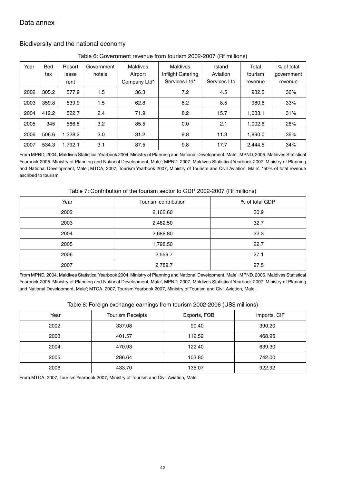# Data annex

### Biodiversity and the national economy

| Table 6: Government revenue from tourism 2002-2007 (Rf millions) |  |  |
|------------------------------------------------------------------|--|--|
|                                                                  |  |  |

| Year | <b>Bed</b> | Resort  | Government | Maldives     | Maldives          | Island       | Total   | % of total |
|------|------------|---------|------------|--------------|-------------------|--------------|---------|------------|
|      | tax        | lease   | hotels     | Airport      | Inflight Catering | Aviation     | tourism | government |
|      |            | rent    |            | Company Ltd* | Services Ltd*     | Services Ltd | revenue | revenue    |
| 2002 | 305.2      | 577.9   | 1.5        | 36.3         | 7.2               | 4.5          | 932.5   | 36%        |
| 2003 | 359.8      | 539.9   | 1.5        | 62.8         | 8.2               | 8.5          | 980.6   | 33%        |
| 2004 | 412.2      | 522.7   | 2.4        | 71.9         | 8.2               | 15.7         | 1,033.1 | 31%        |
| 2005 | 345        | 566.8   | 3.2        | 85.5         | 0.0               | 2.1          | 1,002.6 | 26%        |
| 2006 | 506.6      | 1,328.2 | 3.0        | 31.2         | 9.8               | 11.3         | 1.890.0 | 36%        |
| 2007 | 534.3      | 1.792.1 | 3.1        | 87.5         | 9.8               | 17.7         | 2,444.5 | 34%        |

From MPND, 2004, Maldives Statistical Yearbook 2004. Ministry of Planning and National Development, Male'; MPND, 2005, Maldives Statistical Yearbook 2005. Ministry of Planning and National Development, Male'; MPND, 2007, Maldives Statistical Yearbook 2007. Ministry of Planning and National Development, Male'; MTCA, 2007, Tourism Yearbook 2007, Ministry of Tourism and Civil Aviation, Male'. \*50% of total revenue ascribed to tourism

Table 7: Contribution of the tourism sector to GDP 2002-2007 (Rf millions)

| Year | Tourism contribution | % of total GDP |
|------|----------------------|----------------|
| 2002 | 2,162.60             | 30.9           |
| 2003 | 2,482.50             | 32.7           |
| 2004 | 2,688.80             | 32.3           |
| 2005 | 1,798.50             | 22.7           |
| 2006 | 2,559.7              | 27.1           |
| 2007 | 2,789.7              | 27.5           |

From MPND, 2004, Maldives Statistical Yearbook 2004. Ministry of Planning and National Development, Male'; MPND, 2005, Maldives Statistical Yearbook 2005. Ministry of Planning and National Development, Male'; MPND, 2007, Maldives Statistical Yearbook 2007. Ministry of Planning and National Development, Male'; MTCA, 2007, Tourism Yearbook 2007, Ministry of Tourism and Civil Aviation, Male'.

| Table 8: Foreign exchange earnings from tourism 2002-2006 (US\$ millions) |  |  |  |
|---------------------------------------------------------------------------|--|--|--|
|                                                                           |  |  |  |

| Year | <b>Tourism Receipts</b> | Exports, FOB | Imports, CIF |
|------|-------------------------|--------------|--------------|
| 2002 | 337.08                  | 90.40        | 390.20       |
| 2003 | 401.57                  | 112.52       | 468.95       |
| 2004 | 470.93                  | 122.40       | 639.30       |
| 2005 | 286.64                  | 103.80       | 742.00       |
| 2006 | 433.70                  | 135.07       | 922.92       |

From MTCA, 2007, Tourism Yearbook 2007, Ministry of Tourism and Civil Aviation, Male'.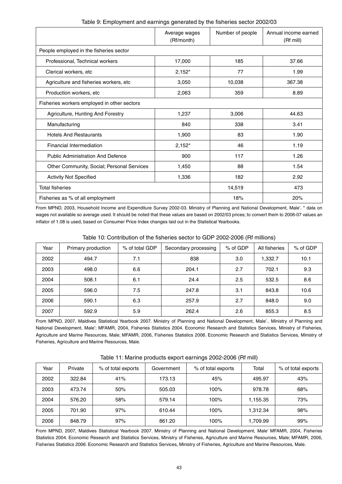|                                             | Average wages<br>(Rf/month) | Number of people | Annual income earned<br>(Rf mill) |
|---------------------------------------------|-----------------------------|------------------|-----------------------------------|
| People employed in the fisheries sector     |                             |                  |                                   |
| Professional, Technical workers             | 17,000                      | 185              | 37.66                             |
| Clerical workers, etc                       | $2,152*$                    | 77               | 1.99                              |
| Agriculture and fisheries workers, etc      | 3,050                       | 10,038           | 367.38                            |
| Production workers, etc                     | 2,063                       | 359              | 8.89                              |
| Fisheries workers employed in other sectors |                             |                  |                                   |
| Agriculture, Hunting And Forestry           | 1,237                       | 3,006            | 44.63                             |
| Manufacturing                               | 840                         | 338              | 3.41                              |
| <b>Hotels And Restaurants</b>               | 1,900                       | 83               | 1.90                              |
| <b>Financial Intermediation</b>             | $2,152*$                    | 46               | 1.19                              |
| <b>Public Administration And Defence</b>    | 900                         | 117              | 1.26                              |
| Other Community, Social; Personal Services  | 1,450                       | 88               | 1.54                              |
| <b>Activity Not Specified</b>               | 1,336                       | 182              | 2.92                              |
| <b>Total fisheries</b>                      | 14,519                      | 473              |                                   |
| Fisheries as % of all employment            |                             | 18%              | 20%                               |

From MPND, 2003, Household Income and Expenditure Survey 2002-03. Ministry of Planning and National Development, Male'. \* data on wages not available so average used. It should be noted that these values are based on 2002/03 prices; to convert them to 2006-07 values an inflator of 1.08 is used, based on Consumer Price Index changes laid out in the Statistical Yearbooks.

| Table 10: Contribution of the fisheries sector to GDP 2002-2006 (Rf millions) |  |
|-------------------------------------------------------------------------------|--|
|-------------------------------------------------------------------------------|--|

| Year | Primary production | % of total GDP | Secondary processing | % of GDP | All fisheries | % of GDP |
|------|--------------------|----------------|----------------------|----------|---------------|----------|
| 2002 | 494.7              | 7.1            | 838                  | 3.0      | 1,332.7       | 10.1     |
| 2003 | 498.0              | 6.6            | 204.1                | 2.7      | 702.1         | 9.3      |
| 2004 | 508.1              | 6.1            | 24.4                 | 2.5      | 532.5         | 8.6      |
| 2005 | 596.0              | 7.5            | 247.8                | 3.1      | 843.8         | 10.6     |
| 2006 | 590.1              | 6.3            | 257.9                | 2.7      | 848.0         | 9.0      |
| 2007 | 592.9              | 5.9            | 262.4                | 2.6      | 855.3         | 8.5      |

From MPND, 2007, Maldives Statistical Yearbook 2007. Ministry of Planning and National Development, Male'.. Ministry of Planning and National Development, Male'; MFAMR, 2004, Fisheries Statistics 2004. Economic Research and Statistics Services, Ministry of Fisheries, Agriculture and Marine Resources, Male; MFAMR, 2006, Fisheries Statistics 2006. Economic Research and Statistics Services, Ministry of Fisheries, Agriculture and Marine Resources, Male.

| Year | Private | % of total exports | Government | % of total exports | Total    | % of total exports |
|------|---------|--------------------|------------|--------------------|----------|--------------------|
| 2002 | 322.84  | 41%                | 173.13     | 45%                | 495.97   | 43%                |
| 2003 | 473.74  | 50%                | 505.03     | 100%               | 978.78   | 68%                |
| 2004 | 576.20  | 58%                | 579.14     | 100%               | 1,155.35 | 73%                |
| 2005 | 701.90  | 97%                | 610.44     | 100%               | 1.312.34 | 98%                |
| 2006 | 848.79  | 97%                | 861.20     | 100%               | 1,709.99 | 99%                |

Table 11: Marine products export earnings 2002-2006 (Rf mill)

From MPND, 2007, Maldives Statistical Yearbook 2007. Ministry of Planning and National Development, Male' MFAMR, 2004, Fisheries Statistics 2004. Economic Research and Statistics Services, Ministry of Fisheries, Agriculture and Marine Resources, Male; MFAMR, 2006, Fisheries Statistics 2006. Economic Research and Statistics Services, Ministry of Fisheries, Agriculture and Marine Resources, Male.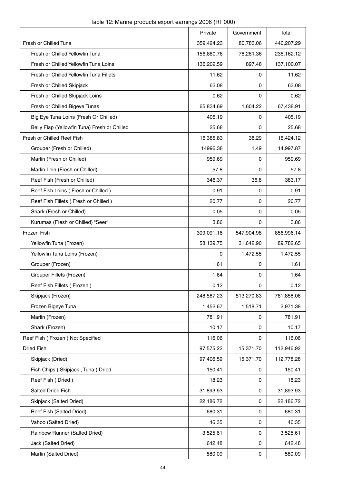|                                              | Private    | Government | Total      |
|----------------------------------------------|------------|------------|------------|
| Fresh or Chilled Tuna                        | 359,424.23 | 80,783.06  | 440,207.29 |
| Fresh or Chilled Yellowfin Tuna              | 156,880.76 | 78,281.36  | 235,162.12 |
| Fresh or Chilled Yellowfin Tuna Loins        | 136,202.59 | 897.48     | 137,100.07 |
| Fresh or Chilled Yellowfin Tuna Fillets      | 11.62      | 0          | 11.62      |
| Fresh or Chilled Skipjack                    | 63.08      | 0          | 63.08      |
| Fresh or Chilled Skipjack Loins              | 0.62       | 0          | 0.62       |
| Fresh or Chilled Bigeye Tunas                | 65,834.69  | 1,604.22   | 67,438.91  |
| Big Eye Tuna Loins (Fresh Or Chilled)        | 405.19     | 0          | 405.19     |
| Belly Flap (Yellowfin Tuna) Fresh or Chilled | 25.68      | 0          | 25.68      |
| Fresh or Chilled Reef Fish                   | 16,385.83  | 38.29      | 16,424.12  |
| Grouper (Fresh or Chilled)                   | 14996.38   | 1.49       | 14,997.87  |
| Marlin (Fresh or Chilled)                    | 959.69     | 0          | 959.69     |
| Marlin Loin (Fresh or Chilled)               | 57.8       | 0          | 57.8       |
| Reef Fish (Fresh or Chilled)                 | 346.37     | 36.8       | 383.17     |
| Reef Fish Loins (Fresh or Chilled)           | 0.91       | 0          | 0.91       |
| Reef Fish Fillets (Fresh or Chilled)         | 20.77      | 0          | 20.77      |
| Shark (Fresh or Chilled)                     | 0.05       | 0          | 0.05       |
| Kurumas (Fresh or Chilled) "Seer"            | 3.86       | 0          | 3.86       |
| Frozen Fish                                  | 309,091.16 | 547,904.98 | 856,996.14 |
| Yellowfin Tuna (Frozen)                      | 58,139.75  | 31,642.90  | 89,782.65  |
| Yellowfin Tuna Loins (Frozen)                | 0          | 1,472.55   | 1,472.55   |
| Grouper (Frozen)                             | 1.61       | 0          | 1.61       |
| Grouper Fillets (Frozen)                     | 1.64       | 0          | 1.64       |
| Reef Fish Fillets (Frozen)                   | 0.12       | 0          | 0.12       |
| Skipjack (Frozen)                            | 248,587.23 | 513,270.83 | 761,858.06 |
| Frozen Bigeye Tuna                           | 1,452.67   | 1,518.71   | 2,971.38   |
| Marlin (Frozen)                              | 781.91     | 0          | 781.91     |
| Shark (Frozen)                               | 10.17      | 0          | 10.17      |
| Reef Fish (Frozen) Not Specified             | 116.06     | 0          | 116.06     |
| <b>Dried Fish</b>                            | 97,575.22  | 15,371.70  | 112,946.92 |
| Skipjack (Dried)                             | 97,406.59  | 15,371.70  | 112,778.28 |
| Fish Chips (Skipjack, Tuna) Dried            | 150.41     | 0          | 150.41     |
| Reef Fish (Dried)                            | 18.23      | 0          | 18.23      |
| Salted Dried Fish                            | 31,893.93  | 0          | 31,893.93  |
| Skipjack (Salted Dried)                      | 22,186.72  | 0          | 22,186.72  |
| Reef Fish (Salted Dried)                     | 680.31     | 0          | 680.31     |
| Vahoo (Salted Dried)                         | 46.35      | 0          | 46.35      |
| Rainbow Runner (Salted Dried)                | 3,525.61   | 0          | 3,525.61   |
| Jack (Salted Dried)                          | 642.48     | 0          | 642.48     |
| Marlin (Salted Dried)                        | 580.09     | 0          | 580.09     |

Table 12: Marine products export earnings 2006 (Rf '000)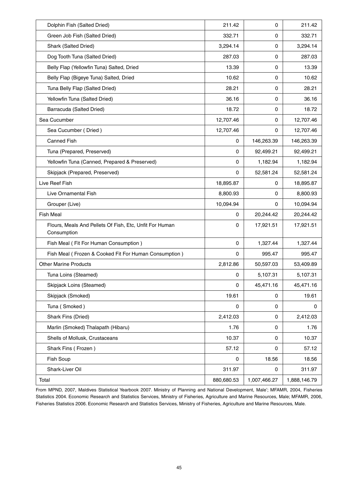| Dolphin Fish (Salted Dried)                                            | 211.42      | 0            | 211.42       |
|------------------------------------------------------------------------|-------------|--------------|--------------|
| Green Job Fish (Salted Dried)                                          | 332.71      | 0            | 332.71       |
| Shark (Salted Dried)                                                   | 3,294.14    | 0            | 3,294.14     |
| Dog Tooth Tuna (Salted Dried)                                          | 287.03      | 0            | 287.03       |
| Belly Flap (Yellowfin Tuna) Salted, Dried                              | 13.39       | $\mathbf 0$  | 13.39        |
| Belly Flap (Bigeye Tuna) Salted, Dried                                 | 10.62       | 0            | 10.62        |
| Tuna Belly Flap (Salted Dried)                                         | 28.21       | 0            | 28.21        |
| Yellowfin Tuna (Salted Dried)                                          | 36.16       | 0            | 36.16        |
| Barracuda (Salted Dried)                                               | 18.72       | 0            | 18.72        |
| Sea Cucumber                                                           | 12,707.46   | 0            | 12,707.46    |
| Sea Cucumber (Dried)                                                   | 12,707.46   | 0            | 12,707.46    |
| <b>Canned Fish</b>                                                     | 0           | 146,263.39   | 146,263.39   |
| Tuna (Prepared, Preserved)                                             | 0           | 92,499.21    | 92,499.21    |
| Yellowfin Tuna (Canned, Prepared & Preserved)                          | 0           | 1,182.94     | 1,182.94     |
| Skipjack (Prepared, Preserved)                                         | 0           | 52,581.24    | 52,581.24    |
| Live Reef Fish                                                         | 18,895.87   | 0            | 18,895.87    |
| Live Ornamental Fish                                                   | 8,800.93    | 0            | 8,800.93     |
| Grouper (Live)                                                         | 10,094.94   | 0            | 10,094.94    |
| <b>Fish Meal</b>                                                       | $\mathbf 0$ | 20,244.42    | 20,244.42    |
| Flours, Meals And Pellets Of Fish, Etc, Unfit For Human<br>Consumption | 0           | 17,921.51    | 17,921.51    |
| Fish Meal (Fit For Human Consumption)                                  | $\mathbf 0$ | 1,327.44     | 1,327.44     |
| Fish Meal (Frozen & Cooked Fit For Human Consumption)                  | 0           | 995.47       | 995.47       |
| <b>Other Marine Products</b>                                           | 2,812.86    | 50,597.03    | 53,409.89    |
| Tuna Loins (Steamed)                                                   | 0           | 5,107.31     | 5,107.31     |
| Skipjack Loins (Steamed)                                               | 0           | 45,471.16    | 45,471.16    |
| Skipjack (Smoked)                                                      | 19.61       | 0            | 19.61        |
| Tuna (Smoked)                                                          | 0           | $\mathbf 0$  | 0            |
| Shark Fins (Dried)                                                     | 2,412.03    | 0            | 2,412.03     |
| Marlin (Smoked) Thalapath (Hibaru)                                     | 1.76        | 0            | 1.76         |
| Shells of Mollusk, Crustaceans                                         | 10.37       | 0            | 10.37        |
| Shark Fins (Frozen)                                                    | 57.12       | 0            | 57.12        |
| Fish Soup                                                              | 0           | 18.56        | 18.56        |
| Shark-Liver Oil                                                        | 311.97      | $\mathbf 0$  | 311.97       |
| Total                                                                  | 880,680.53  | 1,007,466.27 | 1,888,146.79 |

From MPND, 2007, Maldives Statistical Yearbook 2007. Ministry of Planning and National Development, Male'; MFAMR, 2004, Fisheries Statistics 2004. Economic Research and Statistics Services, Ministry of Fisheries, Agriculture and Marine Resources, Male; MFAMR, 2006, Fisheries Statistics 2006. Economic Research and Statistics Services, Ministry of Fisheries, Agriculture and Marine Resources, Male.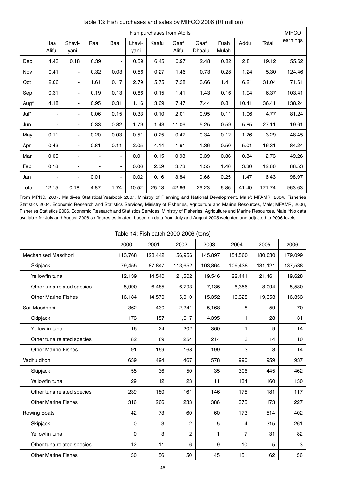|       | Fish purchases from Atolls |                          |                          |                          |                |       |               |                | <b>MIFCO</b>  |       |        |          |
|-------|----------------------------|--------------------------|--------------------------|--------------------------|----------------|-------|---------------|----------------|---------------|-------|--------|----------|
|       | Haa<br>Alifu               | Shavi-<br>yani           | Raa                      | Baa                      | Lhavi-<br>yani | Kaafu | Gaaf<br>Alifu | Gaaf<br>Dhaalu | Fuah<br>Mulah | Addu  | Total  | earnings |
| Dec   | 4.43                       | 0.18                     | 0.39                     | $\overline{\phantom{a}}$ | 0.59           | 6.45  | 0.97          | 2.48           | 0.82          | 2.81  | 19.12  | 55.62    |
| Nov   | 0.41                       | $\overline{\phantom{a}}$ | 0.32                     | 0.03                     | 0.56           | 0.27  | 1.46          | 0.73           | 0.28          | 1.24  | 5.30   | 124.46   |
| Oct   | 2.06                       | $\overline{\phantom{a}}$ | 1.61                     | 0.17                     | 2.79           | 5.75  | 7.38          | 3.66           | 1.41          | 6.21  | 31.04  | 71.61    |
| Sep   | 0.31                       | $\blacksquare$           | 0.19                     | 0.13                     | 0.66           | 0.15  | 1.41          | 1.43           | 0.16          | 1.94  | 6.37   | 103.41   |
| Aug*  | 4.18                       | ٠                        | 0.95                     | 0.31                     | 1.16           | 3.69  | 7.47          | 7.44           | 0.81          | 10.41 | 36.41  | 138.24   |
| Jul*  | -                          | $\overline{\phantom{a}}$ | 0.06                     | 0.15                     | 0.33           | 0.10  | 2.01          | 0.95           | 0.11          | 1.06  | 4.77   | 81.24    |
| Jun   | ٠                          | $\overline{\phantom{a}}$ | 0.33                     | 0.82                     | 1.79           | 1.43  | 11.06         | 5.25           | 0.59          | 5.85  | 27.11  | 19.61    |
| May   | 0.11                       | $\blacksquare$           | 0.20                     | 0.03                     | 0.51           | 0.25  | 0.47          | 0.34           | 0.12          | 1.26  | 3.29   | 48.45    |
| Apr   | 0.43                       | $\overline{\phantom{a}}$ | 0.81                     | 0.11                     | 2.05           | 4.14  | 1.91          | 1.36           | 0.50          | 5.01  | 16.31  | 84.24    |
| Mar   | 0.05                       | ٠                        | $\overline{\phantom{a}}$ | $\overline{\phantom{a}}$ | 0.01           | 0.15  | 0.93          | 0.39           | 0.36          | 0.84  | 2.73   | 49.26    |
| Feb   | 0.18                       | $\overline{\phantom{a}}$ | $\overline{\phantom{0}}$ | $\overline{\phantom{a}}$ | 0.06           | 2.59  | 3.73          | 1.55           | 1.46          | 3.30  | 12.86  | 88.53    |
| Jan   | ۰                          | $\overline{\phantom{a}}$ | 0.01                     | $\blacksquare$           | 0.02           | 0.16  | 3.84          | 0.66           | 0.25          | 1.47  | 6.43   | 98.97    |
| Total | 12.15                      | 0.18                     | 4.87                     | 1.74                     | 10.52          | 25.13 | 42.66         | 26.23          | 6.86          | 41.40 | 171.74 | 963.63   |

Table 13: Fish purchases and sales by MIFCO 2006 (Rf million)

From MPND, 2007, Maldives Statistical Yearbook 2007. Ministry of Planning and National Development, Male'; MFAMR, 2004, Fisheries Statistics 2004. Economic Research and Statistics Services, Ministry of Fisheries, Agriculture and Marine Resources, Male; MFAMR, 2006, Fisheries Statistics 2006. Economic Research and Statistics Services, Ministry of Fisheries, Agriculture and Marine Resources, Male. \*No data available for July and August 2006 so figures estimated, based on data from July and August 2005 weighted and adjusted to 2006 levels.

Table 14: Fish catch 2000-2006 (tons)

|                            | 2000    | 2001    | 2002           | 2003    | 2004           | 2005    | 2006    |
|----------------------------|---------|---------|----------------|---------|----------------|---------|---------|
| Mechanised Masdhoni        | 113,768 | 123,442 | 156,956        | 145,897 | 154,560        | 180,030 | 179,099 |
| Skipjack                   | 79,455  | 87,847  | 113,652        | 103,864 | 109,438        | 131,121 | 137,538 |
| Yellowfin tuna             | 12,139  | 14,540  | 21,502         | 19,546  | 22,441         | 21,461  | 19,628  |
| Other tuna related species | 5,990   | 6,485   | 6,793          | 7,135   | 6,356          | 8,094   | 5,580   |
| <b>Other Marine Fishes</b> | 16,184  | 14,570  | 15,010         | 15,352  | 16,325         | 19,353  | 16,353  |
| Sail Masdhoni              | 362     | 430     | 2,241          | 5,168   | 8              | 59      | 70      |
| Skipjack                   | 173     | 157     | 1,617          | 4,395   | 1.             | 28      | 31      |
| Yellowfin tuna             | 16      | 24      | 202            | 360     | 1              | 9       | 14      |
| Other tuna related species | 82      | 89      | 254            | 214     | 3              | 14      | 10      |
| <b>Other Marine Fishes</b> | 91      | 159     | 168            | 199     | 3              | 8       | 14      |
| Vadhu dhoni                | 639     | 494     | 467            | 578     | 990            | 959     | 937     |
| Skipjack                   | 55      | 36      | 50             | 35      | 306            | 445     | 462     |
| Yellowfin tuna             | 29      | 12      | 23             | 11      | 134            | 160     | 130     |
| Other tuna related species | 239     | 180     | 161            | 146     | 175            | 181     | 117     |
| <b>Other Marine Fishes</b> | 316     | 266     | 233            | 386     | 375            | 173     | 227     |
| <b>Rowing Boats</b>        | 42      | 73      | 60             | 60      | 173            | 514     | 402     |
| Skipjack                   | 0       | 3       | $\overline{c}$ | 5       | 4              | 315     | 261     |
| Yellowfin tuna             | 0       | 3       | $\overline{c}$ | 1       | $\overline{7}$ | 31      | 82      |
| Other tuna related species | 12      | 11      | 6              | 9       | 10             | 5       | 3       |
| <b>Other Marine Fishes</b> | 30      | 56      | 50             | 45      | 151            | 162     | 56      |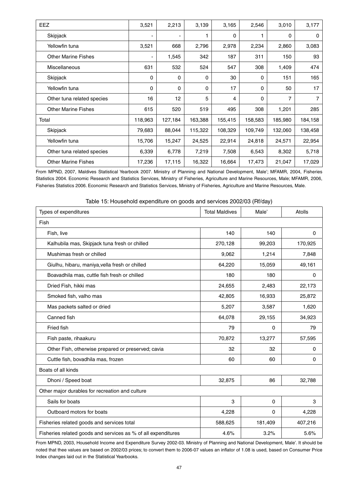| <b>EEZ</b>                 | 3,521   | 2,213          | 3,139   | 3,165    | 2,546   | 3,010   | 3,177   |
|----------------------------|---------|----------------|---------|----------|---------|---------|---------|
| Skipjack                   | -       | $\blacksquare$ |         | $\Omega$ |         | 0       | 0       |
| Yellowfin tuna             | 3,521   | 668            | 2,796   | 2,978    | 2,234   | 2,860   | 3,083   |
| <b>Other Marine Fishes</b> | -       | 1,545          | 342     | 187      | 311     | 150     | 93      |
| Miscellaneous              | 631     | 532            | 524     | 547      | 308     | 1,409   | 474     |
| Skipjack                   | 0       | 0              | 0       | 30       | 0       | 151     | 165     |
| Yellowfin tuna             | 0       | 0              | 0       | 17       | 0       | 50      | 17      |
| Other tuna related species | 16      | 12             | 5       | 4        | 0       | 7       | 7       |
| <b>Other Marine Fishes</b> | 615     | 520            | 519     | 495      | 308     | 1,201   | 285     |
| Total                      | 118,963 | 127,184        | 163,388 | 155,415  | 158,583 | 185,980 | 184,158 |
| Skipjack                   | 79,683  | 88,044         | 115,322 | 108,329  | 109,749 | 132,060 | 138,458 |
| Yellowfin tuna             | 15,706  | 15,247         | 24,525  | 22,914   | 24,818  | 24,571  | 22,954  |
| Other tuna related species | 6,339   | 6,778          | 7,219   | 7,508    | 6,543   | 8,302   | 5,718   |
| <b>Other Marine Fishes</b> | 17,236  | 17,115         | 16,322  | 16,664   | 17,473  | 21,047  | 17,029  |

From MPND, 2007, Maldives Statistical Yearbook 2007. Ministry of Planning and National Development, Male'; MFAMR, 2004, Fisheries Statistics 2004. Economic Research and Statistics Services, Ministry of Fisheries, Agriculture and Marine Resources, Male; MFAMR, 2006, Fisheries Statistics 2006. Economic Research and Statistics Services, Ministry of Fisheries, Agriculture and Marine Resources, Male.

| Types of expenditures                                         | <b>Total Maldives</b> | Male'   | Atolls  |
|---------------------------------------------------------------|-----------------------|---------|---------|
| Fish                                                          |                       |         |         |
| Fish, live                                                    | 140                   | 140     | 0       |
| Kalhubila mas, Skipjack tuna fresh or chilled                 | 270,128               | 99,203  | 170,925 |
| Mushimas fresh or chilled                                     | 9,062                 | 1,214   | 7,848   |
| Giulhu, hibaru, maniya, vella fresh or chilled                | 64,220                | 15,059  | 49,161  |
| Boavadhila mas, cuttle fish fresh or chilled                  | 180                   | 180     | 0       |
| Dried Fish, hikki mas                                         | 24,655                | 2,483   | 22,173  |
| Smoked fish, valho mas                                        | 42,805                | 16,933  | 25,872  |
| Mas packets salted or dried                                   | 5,207                 | 3,587   | 1,620   |
| Canned fish                                                   | 64,078                | 29,155  | 34,923  |
| Fried fish                                                    | 79                    | 0       | 79      |
| Fish paste, rihaakuru                                         | 70,872                | 13,277  | 57,595  |
| Other Fish, otherwise prepared or preserved; cavia            | 32                    | 32      | 0       |
| Cuttle fish, bovadhila mas, frozen                            | 60                    | 60      | 0       |
| Boats of all kinds                                            |                       |         |         |
| Dhoni / Speed boat                                            | 32,875                | 86      | 32,788  |
| Other major durables for recreation and culture               |                       |         |         |
| Sails for boats                                               | 3                     | 0       | 3       |
| Outboard motors for boats                                     | 4,228                 | 0       | 4,228   |
| Fisheries related goods and services total                    | 588,625               | 181,409 | 407,216 |
| Fisheries related goods and services as % of all expenditures | 4.6%                  | 3.2%    | 5.6%    |

Table 15: Household expenditure on goods and services 2002/03 (Rf/day)

From MPND, 2003, Household Income and Expenditure Survey 2002-03. Ministry of Planning and National Development, Male'. It should be noted that thee values are based on 2002/03 prices; to convert them to 2006-07 values an inflator of 1.08 is used, based on Consumer Price Index changes laid out in the Statistical Yearbooks.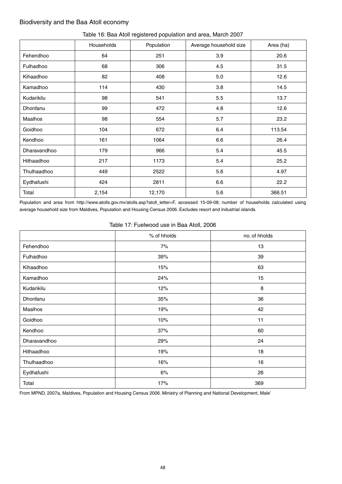## Biodiversity and the Baa Atoll economy

|              | Households | Population | Average household size | Area (ha) |
|--------------|------------|------------|------------------------|-----------|
| Fehendhoo    | 64         | 251        | 3.9                    | 20.6      |
| Fulhadhoo    | 68         | 306        | 4.5                    | 31.5      |
| Kihaadhoo    | 82         | 408        | 5.0                    | 12.6      |
| Kamadhoo     | 114        | 430        | 3.8                    | 14.5      |
| Kudarikilu   | 98         | 541        | 5.5                    | 13.7      |
| Dhonfanu     | 99         | 472        | 4.8                    | 12.6      |
| Maalhos      | 98         | 554        | 5.7                    | 23.2      |
| Goidhoo      | 104        | 672        | 6.4                    | 113.54    |
| Kendhoo      | 161        | 1064       | 6.6                    | 26.4      |
| Dharavandhoo | 179        | 966        | 5.4                    | 45.5      |
| Hithaadhoo   | 217        | 1173       | 5.4                    | 25.2      |
| Thulhaadhoo  | 449        | 2522       | 5.6                    | 4.97      |
| Eydhafushi   | 424        | 2811       | 6.6                    | 22.2      |
| Total        | 2,154      | 12,170     | 5.6                    | 366.51    |

### Table 16: Baa Atoll registered population and area, March 2007

Population and area from http://www.atolls.gov.mv/atolls.asp?atoll\_letter=F, accessed 15-09-08; number of households calculated using average household size from Maldives, Population and Housing Census 2006. Excludes resort and industrial islands.

#### Table 17: Fuelwood use in Baa Atoll, 2006

|              | % of hholds | no. of hholds |
|--------------|-------------|---------------|
| Fehendhoo    | 7%          | 13            |
| Fulhadhoo    | 39%         | 39            |
| Kihaadhoo    | 15%         | 63            |
| Kamadhoo     | 24%         | 15            |
| Kudarikilu   | 12%         | 8             |
| Dhonfanu     | 35%         | 36            |
| Maalhos      | 19%         | 42            |
| Goidhoo      | 10%         | 11            |
| Kendhoo      | 37%         | 60            |
| Dharavandhoo | 29%         | 24            |
| Hithaadhoo   | 19%         | 18            |
| Thulhaadhoo  | 16%         | 16            |
| Eydhafushi   | 6%          | 26            |
| Total        | 17%         | 369           |

From MPND, 2007a, Maldives, Population and Housing Census 2006. Ministry of Planning and National Development, Male'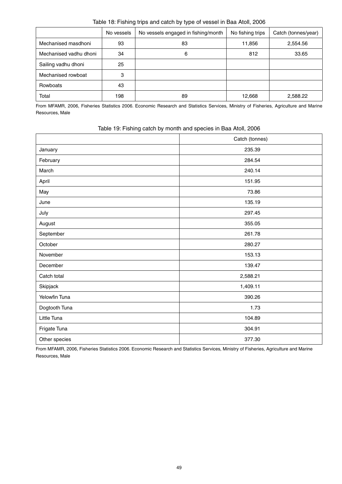|                        | No vessels | No vessels engaged in fishing/month | No fishing trips | Catch (tonnes/year) |
|------------------------|------------|-------------------------------------|------------------|---------------------|
| Mechanised masdhoni    | 93         | 83                                  | 11,856           | 2,554.56            |
| Mechanised vadhu dhoni | 34         | 6                                   | 812              | 33.65               |
| Sailing vadhu dhoni    | 25         |                                     |                  |                     |
| Mechanised rowboat     | 3          |                                     |                  |                     |
| Rowboats               | 43         |                                     |                  |                     |
| Total                  | 198        | 89                                  | 12,668           | 2,588.22            |

Table 18: Fishing trips and catch by type of vessel in Baa Atoll, 2006

From MFAMR, 2006, Fisheries Statistics 2006. Economic Research and Statistics Services, Ministry of Fisheries, Agriculture and Marine Resources, Male

|               | Catch (tonnes) |
|---------------|----------------|
| January       | 235.39         |
| February      | 284.54         |
| March         | 240.14         |
| April         | 151.95         |
| May           | 73.86          |
| June          | 135.19         |
| July          | 297.45         |
| August        | 355.05         |
| September     | 261.78         |
| October       | 280.27         |
| November      | 153.13         |
| December      | 139.47         |
| Catch total   | 2,588.21       |
| Skipjack      | 1,409.11       |
| Yelowfin Tuna | 390.26         |
| Dogtooth Tuna | 1.73           |
| Little Tuna   | 104.89         |
| Frigate Tuna  | 304.91         |
| Other species | 377.30         |

| Table 19: Fishing catch by month and species in Baa Atoll, 2006 |
|-----------------------------------------------------------------|
|-----------------------------------------------------------------|

From MFAMR, 2006, Fisheries Statistics 2006. Economic Research and Statistics Services, Ministry of Fisheries, Agriculture and Marine Resources, Male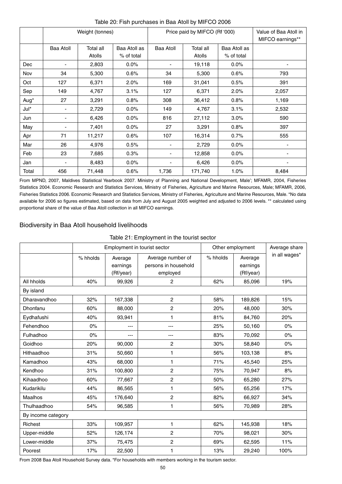|            |                  | Weight (tonnes)     |                            |                          | Price paid by MIFCO (Rf '000) | Value of Baa Atoll in<br>MIFCO earnings** |       |
|------------|------------------|---------------------|----------------------------|--------------------------|-------------------------------|-------------------------------------------|-------|
|            | <b>Baa Atoll</b> | Total all<br>Atolls | Baa Atoll as<br>% of total | <b>Baa Atoll</b>         | Total all<br>Atolls           | Baa Atoll as<br>% of total                |       |
| <b>Dec</b> |                  | 2,803               | $0.0\%$                    |                          | 19,118                        | 0.0%                                      |       |
| Nov        | 34               | 5,300               | 0.6%                       | 34                       | 5,300                         | 0.6%                                      | 793   |
| Oct        | 127              | 6,371               | 2.0%                       | 169                      | 31,041                        | 0.5%                                      | 391   |
| Sep        | 149              | 4,767               | 3.1%                       | 127                      | 6,371                         | 2.0%                                      | 2,057 |
| Aug*       | 27               | 3,291               | 0.8%                       | 308                      | 36,412                        | 0.8%                                      | 1,169 |
| Jul*       | -                | 2,729               | 0.0%                       | 149                      | 4,767                         | 3.1%                                      | 2,532 |
| Jun        |                  | 6,426               | 0.0%                       | 816                      | 27,112                        | 3.0%                                      | 590   |
| May        |                  | 7,401               | 0.0%                       | 27                       | 3,291                         | 0.8%                                      | 397   |
| Apr        | 71               | 11,217              | 0.6%                       | 107                      | 16,314                        | 0.7%                                      | 555   |
| Mar        | 26               | 4,976               | 0.5%                       |                          | 2,729                         | 0.0%                                      |       |
| Feb        | 23               | 7,685               | 0.3%                       |                          | 12,858                        | $0.0\%$                                   |       |
| Jan        |                  | 8,483               | 0.0%                       | $\overline{\phantom{0}}$ | 6,426                         | $0.0\%$                                   |       |
| Total      | 456              | 71,448              | 0.6%                       | 1,736                    | 171,740                       | 1.0%                                      | 8,484 |

### Table 20: Fish purchases in Baa Atoll by MIFCO 2006

From MPND, 2007, Maldives Statistical Yearbook 2007. Ministry of Planning and National Development, Male'; MFAMR, 2004, Fisheries Statistics 2004. Economic Research and Statistics Services, Ministry of Fisheries, Agriculture and Marine Resources, Male; MFAMR, 2006, Fisheries Statistics 2006. Economic Research and Statistics Services, Ministry of Fisheries, Agriculture and Marine Resources, Male. \*No data available for 2006 so figures estimated, based on data from July and August 2005 weighted and adjusted to 2006 levels. \*\* calculated using proportional share of the value of Baa Atoll collection in all MIFCO earnings.

## Biodiversity in Baa Atoll household livelihoods

## Table 21: Employment in the tourist sector

|                    |          | Employment in tourist sector |                                           | Other employment | Average share       |               |
|--------------------|----------|------------------------------|-------------------------------------------|------------------|---------------------|---------------|
|                    | % hholds | Average<br>earnings          | Average number of<br>persons in household | % hholds         | Average<br>earnings | in all wages* |
|                    |          | (Rf/year)                    | employed                                  |                  | (Rf/year)           |               |
| All hholds         | 40%      | 99,926                       | 2                                         | 62%              | 85,096              | 19%           |
| By island          |          |                              |                                           |                  |                     |               |
| Dharavandhoo       | 32%      | 167,338                      | $\overline{c}$                            | 58%              | 189,826             | 15%           |
| Dhonfanu           | 60%      | 88,000                       | 2                                         | 20%              | 48,000              | 30%           |
| Eydhafushi         | 40%      | 93,941                       | 1                                         | 81%              | 84,760              | 20%           |
| Fehendhoo          | 0%       | ---                          | ---                                       | 25%              | 50,160              | 0%            |
| Fulhadhoo          | $0\%$    | ---                          | $---$                                     | 83%              | 70,092              | 0%            |
| Goidhoo            | 20%      | 90,000                       | 2                                         | 30%              | 58,840              | 0%            |
| Hithaadhoo         | 31%      | 50,660                       | 1                                         | 56%              | 103,138             | 8%            |
| Kamadhoo           | 43%      | 68,000                       | $\mathbf{1}$                              | 71%              | 45,540              | 25%           |
| Kendhoo            | 31%      | 100,800                      | $\overline{c}$                            | 75%              | 70,947              | 8%            |
| Kihaadhoo          | 60%      | 77,667                       | $\overline{c}$                            | 50%              | 65,280              | 27%           |
| Kudarikilu         | 44%      | 86,565                       | 1                                         | 56%              | 65,256              | 17%           |
| <b>Maalhos</b>     | 45%      | 176,640                      | 2                                         | 82%              | 66,927              | 34%           |
| Thulhaadhoo        | 54%      | 96,585                       | 1                                         | 56%              | 70,989              | 28%           |
| By income category |          |                              |                                           |                  |                     |               |
| Richest            | 33%      | 109,957                      | 1                                         | 62%              | 145,938             | 18%           |
| Upper-middle       | 52%      | 126,174                      | $\overline{c}$                            | 70%              | 98,021              | 30%           |
| Lower-middle       | 37%      | 75,475                       | $\overline{c}$                            | 69%              | 62,595              | 11%           |
| Poorest            | 17%      | 22,500                       | 1                                         | 13%              | 29,240              | 100%          |

From 2008 Baa Atoll Household Survey data. \*For households with members working in the tourism sector.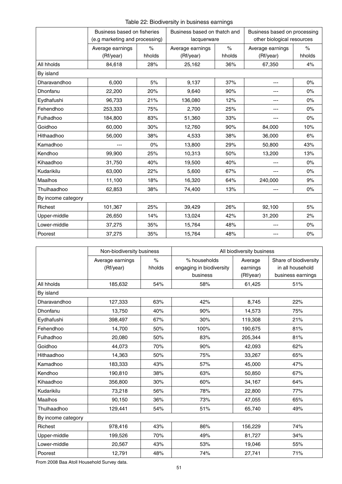Table 22: Biodiversity in business earnings

|                    | Business based on fisheries    |        | Business based on thatch and |        | Business based on processing |        |  |
|--------------------|--------------------------------|--------|------------------------------|--------|------------------------------|--------|--|
|                    | (e.g marketing and processing) |        | lacquerware                  |        | other biological resources   |        |  |
|                    | Average earnings               | $\%$   | Average earnings             | $\%$   | Average earnings             | $\%$   |  |
|                    | (Rf/year)                      | hholds | (Rf/year)                    | hholds | (Rf/year)                    | hholds |  |
| All hholds         | 84,618                         | 28%    | 25,162                       | 36%    | 67,350                       | 4%     |  |
| By island          |                                |        |                              |        |                              |        |  |
| Dharavandhoo       | 6,000                          | 5%     | 9,137                        | 37%    | $---$                        | $0\%$  |  |
| Dhonfanu           | 22,200                         | 20%    | 9,640                        | 90%    | ---                          | $0\%$  |  |
| Eydhafushi         | 96,733                         | 21%    | 136,080                      | 12%    | $---$                        | $0\%$  |  |
| Fehendhoo          | 253,333                        | 75%    | 2,700                        | 25%    | $---$                        | 0%     |  |
| Fulhadhoo          | 184,800                        | 83%    | 51,360                       | 33%    | ---                          | $0\%$  |  |
| Goidhoo            | 60,000                         | 30%    | 12,760                       | 90%    | 84,000                       | 10%    |  |
| Hithaadhoo         | 56,000                         | 38%    | 4,533                        | 38%    | 36,000                       | 6%     |  |
| Kamadhoo           |                                | $0\%$  | 13,800                       | 29%    | 50,800                       | 43%    |  |
| Kendhoo            | 99,900                         | 25%    | 10,313                       | 50%    | 13,200                       | 13%    |  |
| Kihaadhoo          | 31,750                         | 40%    | 19,500                       | 40%    |                              | $0\%$  |  |
| Kudarikilu         | 63,000                         | 22%    | 5,600                        | 67%    | $---$                        | $0\%$  |  |
| Maalhos            | 11,100                         | 18%    | 16,320                       | 64%    | 240,000                      | 9%     |  |
| Thulhaadhoo        | 62,853                         | 38%    | 74,400                       | 13%    | $---$                        | $0\%$  |  |
| By income category |                                |        |                              |        |                              |        |  |
| Richest            | 101,367                        | 25%    | 39,429                       | 26%    | 92,100                       | $5%$   |  |
| Upper-middle       | 26,650                         | 14%    | 13,024                       | 42%    | 31,200                       | 2%     |  |
| Lower-middle       | 37,275                         | 35%    | 15,764                       | 48%    | $---$                        | $0\%$  |  |
| Poorest            | 37,275                         | 35%    | 15,764                       | 48%    |                              | $0\%$  |  |

|                    | Non-biodiversity business |        | All biodiversity business |           |                       |  |  |
|--------------------|---------------------------|--------|---------------------------|-----------|-----------------------|--|--|
|                    | Average earnings          | $\%$   | % households              | Average   | Share of biodiversity |  |  |
|                    | (Rf/year)                 | hholds | engaging in biodiversity  | earnings  | in all household      |  |  |
|                    |                           |        | business                  | (Rf/year) | business earnings     |  |  |
| All hholds         | 185,632                   | 54%    | 58%                       | 61,425    | 51%                   |  |  |
| By island          |                           |        |                           |           |                       |  |  |
| Dharavandhoo       | 127,333                   | 63%    | 42%                       | 8,745     | 22%                   |  |  |
| Dhonfanu           | 13,750                    | 40%    | 90%                       | 14,573    | 75%                   |  |  |
| Eydhafushi         | 398,497                   | 67%    | 30%                       | 119,308   | 21%                   |  |  |
| Fehendhoo          | 14,700                    | 50%    | 100%                      | 190,675   | 81%                   |  |  |
| Fulhadhoo          | 20,080                    | 50%    | 83%                       | 205,344   | 81%                   |  |  |
| Goidhoo            | 44,073                    | 70%    | 90%                       | 42,093    | 62%                   |  |  |
| Hithaadhoo         | 14,363                    | 50%    | 75%                       | 33,267    | 65%                   |  |  |
| Kamadhoo           | 183,333                   | 43%    | 57%                       | 45,000    | 47%                   |  |  |
| Kendhoo            | 190,810                   | 38%    | 63%                       | 50,850    | 67%                   |  |  |
| Kihaadhoo          | 356,800                   | 30%    | 60%                       | 34,167    | 64%                   |  |  |
| Kudarikilu         | 73,218                    | 56%    | 78%                       | 22,800    | 77%                   |  |  |
| <b>Maalhos</b>     | 90,150                    | 36%    | 73%                       | 47,055    | 65%                   |  |  |
| Thulhaadhoo        | 129,441                   | 54%    | 51%                       | 65,740    | 49%                   |  |  |
| By income category |                           |        |                           |           |                       |  |  |
| Richest            | 978,416                   | 43%    | 86%                       | 156,229   | 74%                   |  |  |
| Upper-middle       | 199,526                   | 70%    | 49%                       | 81,727    | 34%                   |  |  |
| Lower-middle       | 20,567                    | 43%    | 53%                       | 19,046    | 55%                   |  |  |
| Poorest            | 12,791                    | 48%    | 74%                       | 27,741    | 71%                   |  |  |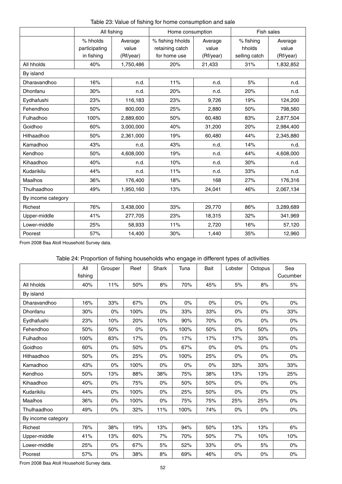|  |  | Table 23: Value of fishing for home consumption and sale |  |
|--|--|----------------------------------------------------------|--|
|--|--|----------------------------------------------------------|--|

|                    | All fishing   |           | Home consumption |           | Fish sales    |           |
|--------------------|---------------|-----------|------------------|-----------|---------------|-----------|
|                    | % hholds      | Average   | % fishing hholds | Average   | % fishing     | Average   |
|                    | participating | value     | retaining catch  | value     | hholds        | value     |
|                    | in fishing    | (Rf/year) | for home use     | (Rf/year) | selling catch | (Rf/year) |
| All hholds         | 40%           | 1,750,486 | 20%              | 21,433    | 31%           | 1,832,852 |
| By island          |               |           |                  |           |               |           |
| Dharavandhoo       | 16%           | n.d.      | 11%              | n.d.      | 5%            | n.d.      |
| Dhonfanu           | 30%           | n.d.      | 20%              | n.d.      | 20%           | n.d.      |
| Eydhafushi         | 23%           | 116,183   | 23%              | 9,726     | 19%           | 124,200   |
| Fehendhoo          | 50%           | 800,000   | 25%              | 2,880     | 50%           | 798,560   |
| Fulhadhoo          | 100%          | 2,889,600 | 50%              | 60,480    | 83%           | 2,877,504 |
| Goidhoo            | 60%           | 3,000,000 | 40%              | 31,200    | 20%           | 2,984,400 |
| Hithaadhoo         | 50%           | 2,361,000 | 19%              | 60,480    | 44%           | 2,345,880 |
| Kamadhoo           | 43%           | n.d.      | 43%              | n.d.      | 14%           | n.d.      |
| Kendhoo            | 50%           | 4,608,000 | 19%              | n.d.      | 44%           | 4,608,000 |
| Kihaadhoo          | 40%           | n.d.      | 10%              | n.d.      | 30%           | n.d.      |
| Kudarikilu         | 44%           | n.d.      | 11%              | n.d.      | 33%           | n.d.      |
| Maalhos            | 36%           | 176,400   | 18%              | 168       | 27%           | 176,316   |
| Thulhaadhoo        | 49%           | 1,950,160 | 13%              | 24,041    | 46%           | 2,067,134 |
| By income category |               |           |                  |           |               |           |
| Richest            | 76%           | 3,438,000 | 33%              | 29,770    | 86%           | 3,289,689 |
| Upper-middle       | 41%           | 277,705   | 23%              | 18,315    | 32%           | 341,969   |
| Lower-middle       | 25%           | 58,933    | 11%              | 2,720     | 16%           | 57,120    |
| Poorest            | 57%           | 14,400    | 30%              | 1,440     | 35%           | 12,960    |

# Table 24: Proportion of fishing households who engage in different types of activities

|                    | All     | Grouper | Reef  | Shark | Tuna | Bait  | Lobster | Octopus | Sea      |  |
|--------------------|---------|---------|-------|-------|------|-------|---------|---------|----------|--|
|                    | fishing |         |       |       |      |       |         |         | Cucumber |  |
| All hholds         | 40%     | 11%     | 50%   | 8%    | 70%  | 45%   | 5%      | 8%      | 5%       |  |
| By island          |         |         |       |       |      |       |         |         |          |  |
| Dharavandhoo       | 16%     | 33%     | 67%   | 0%    | 0%   | 0%    | $0\%$   | 0%      | 0%       |  |
| Dhonfanu           | 30%     | $0\%$   | 100%  | 0%    | 33%  | 33%   | 0%      | $0\%$   | 33%      |  |
| Eydhafushi         | 23%     | 10%     | 20%   | 10%   | 90%  | 70%   | $0\%$   | 0%      | $0\%$    |  |
| Fehendhoo          | 50%     | 50%     | $0\%$ | 0%    | 100% | 50%   | 0%      | 50%     | $0\%$    |  |
| Fulhadhoo          | 100%    | 83%     | 17%   | 0%    | 17%  | 17%   | 17%     | 33%     | $0\%$    |  |
| Goidhoo            | 60%     | $0\%$   | 50%   | $0\%$ | 67%  | $0\%$ | $0\%$   | $0\%$   | $0\%$    |  |
| Hithaadhoo         | 50%     | 0%      | 25%   | 0%    | 100% | 25%   | 0%      | $0\%$   | $0\%$    |  |
| Kamadhoo           | 43%     | 0%      | 100%  | $0\%$ | 0%   | 0%    | 33%     | 33%     | 33%      |  |
| Kendhoo            | 50%     | 13%     | 88%   | 38%   | 75%  | 38%   | 13%     | 13%     | 25%      |  |
| Kihaadhoo          | 40%     | $0\%$   | 75%   | $0\%$ | 50%  | 50%   | 0%      | 0%      | $0\%$    |  |
| Kudarikilu         | 44%     | $0\%$   | 100%  | $0\%$ | 25%  | 50%   | 0%      | $0\%$   | $0\%$    |  |
| Maalhos            | 36%     | $0\%$   | 100%  | 0%    | 75%  | 75%   | 25%     | 25%     | 0%       |  |
| Thulhaadhoo        | 49%     | $0\%$   | 32%   | 11%   | 100% | 74%   | $0\%$   | $0\%$   | $0\%$    |  |
| By income category |         |         |       |       |      |       |         |         |          |  |
| Richest            | 76%     | 38%     | 19%   | 13%   | 94%  | 50%   | 13%     | 13%     | 6%       |  |
| Upper-middle       | 41%     | 13%     | 60%   | 7%    | 70%  | 50%   | 7%      | 10%     | 10%      |  |
| Lower-middle       | 25%     | $0\%$   | 67%   | 5%    | 52%  | 33%   | 0%      | 5%      | $0\%$    |  |
| Poorest            | 57%     | $0\%$   | 38%   | 8%    | 69%  | 46%   | 0%      | 0%      | $0\%$    |  |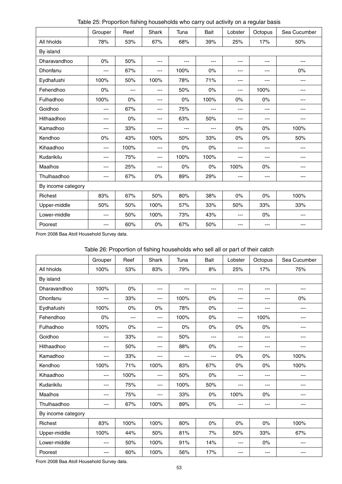Table 25: Proportion fishing households who carry out activity on a regular basis

|                    | Grouper | Reef  | Shark | Tuna  | Bait  | Lobster           | Octopus  | Sea Cucumber |
|--------------------|---------|-------|-------|-------|-------|-------------------|----------|--------------|
| All hholds         | 78%     | 53%   | 67%   | 68%   | 39%   | 25%               | 17%      | 50%          |
| By island          |         |       |       |       |       |                   |          |              |
| Dharavandhoo       | 0%      | 50%   | ---   | $---$ | ---   | $---$             | $\cdots$ | ---          |
| Dhonfanu           | ---     | 67%   | ---   | 100%  | $0\%$ | $---$             | $---$    | $0\%$        |
| Eydhafushi         | 100%    | 50%   | 100%  | 78%   | 71%   | ---               | ---      | ---          |
| Fehendhoo          | $0\%$   | $---$ | ---   | 50%   | $0\%$ | ---               | 100%     | ---          |
| Fulhadhoo          | 100%    | $0\%$ | ---   | $0\%$ | 100%  | $0\%$             | 0%       | ---          |
| Goidhoo            | ---     | 67%   | ---   | 75%   | ---   | $\cdots$          | $\cdots$ | ---          |
| Hithaadhoo         | ---     | $0\%$ | ---   | 63%   | 50%   | ---               | ---      | ---          |
| Kamadhoo           | ---     | 33%   | ---   | $---$ | $---$ | 0%                | 0%       | 100%         |
| Kendhoo            | 0%      | 43%   | 100%  | 50%   | 33%   | 0%                | $0\%$    | 50%          |
| Kihaadhoo          | $---$   | 100%  | $---$ | $0\%$ | $0\%$ | $---$             | $---$    | $---$        |
| Kudarikilu         | ---     | 75%   | ---   | 100%  | 100%  | ---               | ---      | ---          |
| Maalhos            | ---     | 25%   | ---   | $0\%$ | $0\%$ | 100%              | $0\%$    | ---          |
| Thulhaadhoo        | ---     | 67%   | 0%    | 89%   | 29%   | $\qquad \qquad -$ | $---$    | ---          |
| By income category |         |       |       |       |       |                   |          |              |
| Richest            | 83%     | 67%   | 50%   | 80%   | 38%   | $0\%$             | $0\%$    | 100%         |
| Upper-middle       | 50%     | 50%   | 100%  | 57%   | 33%   | 50%               | 33%      | 33%          |
| Lower-middle       | ---     | 50%   | 100%  | 73%   | 43%   | $\qquad \qquad -$ | $0\%$    | ---          |
| Poorest            | ---     | 60%   | $0\%$ | 67%   | 50%   | ---               | ---      | ---          |

# Table 26: Proportion of fishing households who sell all or part of their catch

|                    | Grouper | Reef  | Shark | Tuna  | Bait  | Lobster | Octopus | Sea Cucumber |
|--------------------|---------|-------|-------|-------|-------|---------|---------|--------------|
| All hholds         | 100%    | 53%   | 83%   | 79%   | 8%    | 25%     | 17%     | 75%          |
| By island          |         |       |       |       |       |         |         |              |
| Dharavandhoo       | 100%    | $0\%$ | ---   | $---$ | ---   | $---$   | $---$   | $---$        |
| Dhonfanu           | ---     | 33%   | ---   | 100%  | $0\%$ | $---$   | $---$   | 0%           |
| Eydhafushi         | 100%    | $0\%$ | 0%    | 78%   | $0\%$ | $---$   | $---$   | $---$        |
| Fehendhoo          | 0%      | $---$ | $---$ | 100%  | 0%    | $---$   | 100%    | ---          |
| Fulhadhoo          | 100%    | $0\%$ | $---$ | $0\%$ | 0%    | 0%      | $0\%$   | ---          |
| Goidhoo            | ---     | 33%   | $---$ | 50%   | ---   | $---$   | $---$   | ---          |
| Hithaadhoo         | ---     | 50%   | $---$ | 88%   | $0\%$ | $---$   | $---$   | ---          |
| Kamadhoo           | ---     | 33%   | $---$ | $---$ | ---   | $0\%$   | $0\%$   | 100%         |
| Kendhoo            | 100%    | 71%   | 100%  | 83%   | 67%   | 0%      | $0\%$   | 100%         |
| Kihaadhoo          | ---     | 100%  | $---$ | 50%   | 0%    | $---$   | $---$   | ---          |
| Kudarikilu         | ---     | 75%   | $---$ | 100%  | 50%   | $---$   | $---$   | ---          |
| Maalhos            | ---     | 75%   | $---$ | 33%   | $0\%$ | 100%    | $0\%$   | ---          |
| Thulhaadhoo        | ---     | 67%   | 100%  | 89%   | $0\%$ | ---     | $---$   | ---          |
| By income category |         |       |       |       |       |         |         |              |
| Richest            | 83%     | 100%  | 100%  | 80%   | 0%    | 0%      | $0\%$   | 100%         |
| Upper-middle       | 100%    | 44%   | 50%   | 81%   | 7%    | 50%     | 33%     | 67%          |
| Lower-middle       | $---$   | 50%   | 100%  | 91%   | 14%   | $---$   | $0\%$   | ---          |
| Poorest            | $---$   | 60%   | 100%  | 56%   | 17%   | ---     | $---$   | ---          |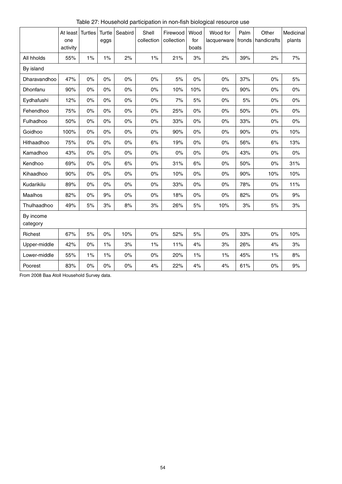|                       | At least<br>one<br>activity | <b>Turtles</b> | Turtle<br>eggs | Seabird | Shell<br>collection | Firewood<br>collection | Wood<br>for<br>boats | Wood for<br>lacquerware | Palm<br>fronds | Other<br>handicrafts | Medicinal<br>plants |
|-----------------------|-----------------------------|----------------|----------------|---------|---------------------|------------------------|----------------------|-------------------------|----------------|----------------------|---------------------|
| All hholds            | 55%                         | 1%             | 1%             | 2%      | 1%                  | 21%                    | 3%                   | 2%                      | 39%            | 2%                   | 7%                  |
| By island             |                             |                |                |         |                     |                        |                      |                         |                |                      |                     |
| Dharavandhoo          | 47%                         | 0%             | 0%             | $0\%$   | 0%                  | 5%                     | $0\%$                | 0%                      | 37%            | 0%                   | 5%                  |
| Dhonfanu              | 90%                         | 0%             | 0%             | $0\%$   | 0%                  | 10%                    | 10%                  | $0\%$                   | 90%            | $0\%$                | 0%                  |
| Eydhafushi            | 12%                         | 0%             | 0%             | 0%      | $0\%$               | 7%                     | 5%                   | $0\%$                   | 5%             | 0%                   | 0%                  |
| Fehendhoo             | 75%                         | 0%             | 0%             | $0\%$   | 0%                  | 25%                    | $0\%$                | $0\%$                   | 50%            | 0%                   | 0%                  |
| Fulhadhoo             | 50%                         | 0%             | 0%             | $0\%$   | $0\%$               | 33%                    | $0\%$                | $0\%$                   | 33%            | 0%                   | 0%                  |
| Goidhoo               | 100%                        | 0%             | 0%             | $0\%$   | 0%                  | 90%                    | 0%                   | 0%                      | 90%            | 0%                   | 10%                 |
| Hithaadhoo            | 75%                         | 0%             | 0%             | $0\%$   | 6%                  | 19%                    | $0\%$                | $0\%$                   | 56%            | 6%                   | 13%                 |
| Kamadhoo              | 43%                         | 0%             | 0%             | 0%      | 0%                  | $0\%$                  | $0\%$                | $0\%$                   | 43%            | 0%                   | 0%                  |
| Kendhoo               | 69%                         | 0%             | 0%             | 6%      | $0\%$               | 31%                    | 6%                   | $0\%$                   | 50%            | 0%                   | 31%                 |
| Kihaadhoo             | 90%                         | 0%             | 0%             | $0\%$   | 0%                  | 10%                    | 0%                   | $0\%$                   | 90%            | 10%                  | 10%                 |
| Kudarikilu            | 89%                         | $0\%$          | $0\%$          | $0\%$   | $0\%$               | 33%                    | $0\%$                | $0\%$                   | 78%            | 0%                   | 11%                 |
| Maalhos               | 82%                         | 0%             | 9%             | $0\%$   | 0%                  | 18%                    | $0\%$                | $0\%$                   | 82%            | 0%                   | 9%                  |
| Thulhaadhoo           | 49%                         | 5%             | 3%             | 8%      | 3%                  | 26%                    | 5%                   | 10%                     | 3%             | 5%                   | 3%                  |
| By income<br>category |                             |                |                |         |                     |                        |                      |                         |                |                      |                     |
| Richest               | 67%                         | 5%             | 0%             | 10%     | $0\%$               | 52%                    | 5%                   | $0\%$                   | 33%            | 0%                   | 10%                 |
| Upper-middle          | 42%                         | 0%             | 1%             | 3%      | $1\%$               | 11%                    | 4%                   | 3%                      | 26%            | 4%                   | 3%                  |
| Lower-middle          | 55%                         | 1%             | 1%             | $0\%$   | 0%                  | 20%                    | $1\%$                | 1%                      | 45%            | 1%                   | 8%                  |
| Poorest               | 83%                         | $0\%$          | $0\%$          | $0\%$   | 4%                  | 22%                    | 4%                   | 4%                      | 61%            | $0\%$                | 9%                  |

Table 27: Household participation in non-fish biological resource use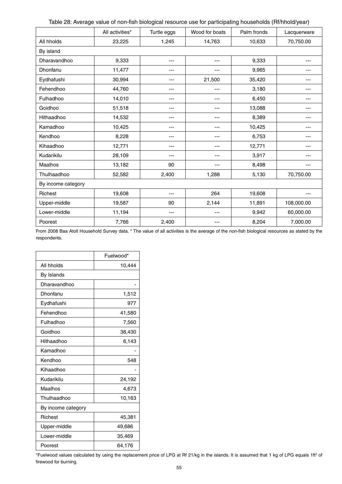| Table 28: Average value of non-fish biological resource use for participating households (Rf/hhold/year) |  |  |
|----------------------------------------------------------------------------------------------------------|--|--|
|----------------------------------------------------------------------------------------------------------|--|--|

|                    | All activities* | Turtle eggs | Wood for boats | Palm fronds | Lacquerware |
|--------------------|-----------------|-------------|----------------|-------------|-------------|
| All hholds         | 23,225          | 1,245       | 14,763         | 10,633      | 70,750.00   |
| By island          |                 |             |                |             |             |
| Dharavandhoo       | 9,333           | ---         | $---$          | 9,333       | ---         |
| Dhonfanu           | 11,477          | ---         | ---            | 9,965       |             |
| Eydhafushi         | 30,994          | ---         | 21,500         | 35,420      |             |
| Fehendhoo          | 44,760          | ---         | ---            | 3,180       |             |
| Fulhadhoo          | 14,010          | ---         | ---            | 6,450       |             |
| Goidhoo            | 51,518          | ---         | $--$           | 13,088      | ---         |
| Hithaadhoo         | 14,532          | ---         | ---            | 8,389       | $- - -$     |
| Kamadhoo           | 10,425          | ---         | ---            | 10,425      |             |
| Kendhoo            | 8,228           | ---         | ---            | 6,753       |             |
| Kihaadhoo          | 12,771          | ---         | ---            | 12,771      |             |
| Kudarikilu         | 28,109          | ---         | ---            | 3,917       | $- - -$     |
| Maalhos            | 13,182          | 90          | ---            | 8,498       |             |
| Thulhaadhoo        | 52,582          | 2,400       | 1,288          | 5,130       | 70,750.00   |
| By income category |                 |             |                |             |             |
| Richest            | 19,608          | ---         | 264            | 19,608      | $- - -$     |
| Upper-middle       | 19,587          | 90          | 2,144          | 11,891      | 108,000.00  |
| Lower-middle       | 11,194          | ---         | ---            | 9,942       | 60,000.00   |
| Poorest            | 7,766           | 2,400       | ---            | 8,204       | 7,000.00    |

From 2008 Baa Atoll Household Survey data. \* The value of all activities is the average of the non-fish biological resources as stated by the respondents.

|                    | Fuelwood* |
|--------------------|-----------|
| All hholds         | 10,444    |
| By Islands         |           |
| Dharavandhoo       |           |
| Dhonfanu           | 1,512     |
| Eydhafushi         | 977       |
| Fehendhoo          | 41,580    |
| Fulhadhoo          | 7,560     |
| Goidhoo            | 38,430    |
| Hithaadhoo         | 6,143     |
| Kamadhoo           |           |
| Kendhoo            | 548       |
| Kihaadhoo          |           |
| Kudarikilu         | 24,192    |
| Maalhos            | 4,673     |
| Thulhaadhoo        | 10,163    |
| By income category |           |
| <b>Richest</b>     | 45,381    |
| Upper-middle       | 49,686    |
| Lower-middle       | 35,469    |
| Poorest            | 64,176    |

\*Fuelwood values calculated by using the replacement price of LPG at Rf 21/kg in the islands. It is assumed that 1 kg of LPG equals 1ft<sup>3</sup> of firewood for burning.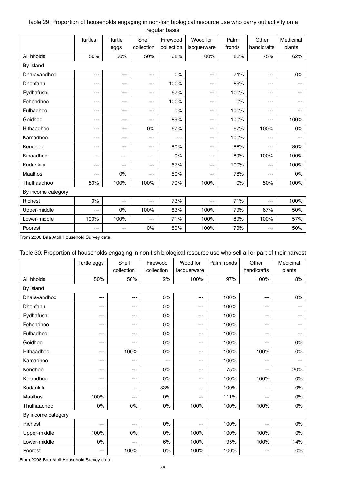## Table 29: Proportion of households engaging in non-fish biological resource use who carry out activity on a regular basis

|                    | <b>Turtles</b> | Turtle   | Shell      | Firewood   | Wood for    | Palm   | Other       | Medicinal |  |
|--------------------|----------------|----------|------------|------------|-------------|--------|-------------|-----------|--|
|                    |                | eggs     | collection | collection | lacquerware | fronds | handicrafts | plants    |  |
| All hholds         | 50%            | 50%      | 50%        | 68%        | 100%        | 83%    | 75%         | 62%       |  |
| By island          |                |          |            |            |             |        |             |           |  |
| Dharavandhoo       | ---            | ---      | ---        | $0\%$      | ---         | 71%    | ---         | $0\%$     |  |
| Dhonfanu           | ---            | ---      | ---        | 100%       | ---         | 89%    | ---         | ---       |  |
| Eydhafushi         | ---            | ---      | ---        | 67%        | ---         | 100%   | ---         | ---       |  |
| Fehendhoo          | ---            | ---      | ---        | 100%       | ---         | $0\%$  | ---         | ---       |  |
| Fulhadhoo          | ---            | ---      | ---        | $0\%$      | ---         | 100%   | ---         | ---       |  |
| Goidhoo            | ---            | ---      | ---        | 89%        | ---         | 100%   | ---         | 100%      |  |
| Hithaadhoo         | ---            | ---      | $0\%$      | 67%        | ---         | 67%    | 100%        | $0\%$     |  |
| Kamadhoo           | ---            | ---      | ---        | ---        | ---         | 100%   | ---         | $---$     |  |
| Kendhoo            | ---            | ---      | $---$      | 80%        | ---         | 88%    | ---         | 80%       |  |
| Kihaadhoo          | ---            | ---      | ---        | $0\%$      | ---         | 89%    | 100%        | 100%      |  |
| Kudarikilu         | ---            | ---      | $---$      | 67%        | ---         | 100%   | ---         | 100%      |  |
| Maalhos            | ---            | 0%       | $---$      | 50%        | ---         | 78%    | ---         | $0\%$     |  |
| Thulhaadhoo        | 50%            | 100%     | 100%       | 70%        | 100%        | 0%     | 50%         | 100%      |  |
| By income category |                |          |            |            |             |        |             |           |  |
| Richest            | 0%             | ---      | $---$      | 73%        | ---         | 71%    | ---         | 100%      |  |
| Upper-middle       | ---            | 0%       | 100%       | 63%        | 100%        | 79%    | 67%         | 50%       |  |
| Lower-middle       | 100%           | 100%     | $---$      | 71%        | 100%        | 89%    | 100%        | 57%       |  |
| Poorest            | ---            | $\cdots$ | $0\%$      | 60%        | 100%        | 79%    | ---         | 50%       |  |

From 2008 Baa Atoll Household Survey data.

### Table 30: Proportion of households engaging in non-fish biological resource use who sell all or part of their harvest

|                    | Turtle eggs | Shell      | Firewood   | Wood for    | Palm fronds | Other       | Medicinal |  |  |  |
|--------------------|-------------|------------|------------|-------------|-------------|-------------|-----------|--|--|--|
|                    |             | collection | collection | lacquerware |             | handicrafts | plants    |  |  |  |
| All hholds         | 50%         | 50%        | 2%         | 100%        | 97%         | 100%        | 8%        |  |  |  |
| By island          |             |            |            |             |             |             |           |  |  |  |
| Dharavandhoo       | ---         | ---        | 0%         | $---$       | 100%        | ---         | $0\%$     |  |  |  |
| Dhonfanu           | ---         | $---$      | 0%         | $---$       | 100%        | $---$       | ---       |  |  |  |
| Eydhafushi         | ---         | ---        | 0%         | $---$       | 100%        | $---$       |           |  |  |  |
| Fehendhoo          | ---         | $---$      | 0%         | $---$       | 100%        | ---         |           |  |  |  |
| Fulhadhoo          | ---         | ---        | 0%         | $---$       | 100%        | $---$       | ---       |  |  |  |
| Goidhoo            | ---         | ---        | 0%         | $\cdots$    | 100%        | $---$       | $0\%$     |  |  |  |
| Hithaadhoo         | $---$       | 100%       | 0%         | $---$       | 100%        | 100%        | 0%        |  |  |  |
| Kamadhoo           | ---         | ---        | ---        | ---         | 100%        | ---         | ---       |  |  |  |
| Kendhoo            | $---$       | ---        | $0\%$      | $---$       | 75%         | ---         | 20%       |  |  |  |
| Kihaadhoo          | ---         | ---        | 0%         | $---$       | 100%        | 100%        | $0\%$     |  |  |  |
| Kudarikilu         | $---$       | ---        | 33%        | $---$       | 100%        | ---         | $0\%$     |  |  |  |
| Maalhos            | 100%        | ---        | 0%         | $---$       | 111%        | ---         | $0\%$     |  |  |  |
| Thulhaadhoo        | $0\%$       | 0%         | $0\%$      | 100%        | 100%        | 100%        | $0\%$     |  |  |  |
| By income category |             |            |            |             |             |             |           |  |  |  |
| Richest            | $---$       | ---        | $0\%$      | $---$       | 100%        | $---$       | $0\%$     |  |  |  |
| Upper-middle       | 100%        | 0%         | $0\%$      | 100%        | 100%        | 100%        | $0\%$     |  |  |  |
| Lower-middle       | 0%          | ---        | 6%         | 100%        | 95%         | 100%        | 14%       |  |  |  |
| Poorest            | $---$       | 100%       | 0%         | 100%        | 100%        | ---         | $0\%$     |  |  |  |

From 2008 Baa Atoll Household Survey data.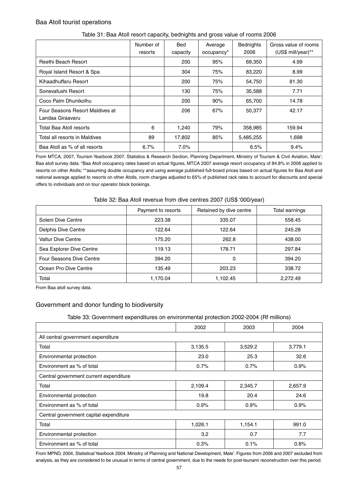## Baa Atoll tourist operations

|                                                     | Number of<br>resorts | Bed<br>capacity | Average<br>occupancy* | <b>Bednights</b><br>2006 | Gross value of rooms<br>(US\$ mill/year)** |
|-----------------------------------------------------|----------------------|-----------------|-----------------------|--------------------------|--------------------------------------------|
| Reethi Beach Resort                                 |                      | 200             | 95%                   | 69,350                   | 4.99                                       |
| Royal Island Resort & Spa                           |                      | 304             | 75%                   | 83,220                   | 8.99                                       |
| Kihaadhuffaru Resort                                |                      | 200             | 75%                   | 54,750                   | 81.30                                      |
| Sonevafushi Resort                                  |                      | 130             | 75%                   | 35,588                   | 7.71                                       |
| Coco Palm Dhunikolhu                                |                      | 200             | 90%                   | 65,700                   | 14.78                                      |
| Four Seasons Resort Maldives at<br>Landaa Giraavaru |                      | 206             | 67%                   | 50,377                   | 42.17                                      |
| Total Baa Atoll resorts                             | 6                    | 1,240           | 79%                   | 358,985                  | 159.94                                     |
| Total all resorts in Maldives                       | 89                   | 17,802          | 85%                   | 5,485,255                | 1,698                                      |
| Baa Atoll as % of all resorts                       | 6.7%                 | 7.0%            |                       | 6.5%                     | 9.4%                                       |

#### Table 31: Baa Atoll resort capacity, bednights and gross value of rooms 2006

From MTCA, 2007, Tourism Yearbook 2007. Statistics & Research Section, Planning Department, Ministry of Tourism & Civil Aviation, Male'; Baa atoll survey data. \*Baa Atoll occupancy rates based on actual figures, MTCA 2007 average resort occupancy of 84.8% in 2006 applied to resorts on other Atolls; \*\*assuming double occupancy and using average published full-board prices based on actual figures for Baa Atoll and national average applied to resorts on other Atolls, room charges adjusted to 65% of published rack rates to account for discounts and special offers to individuals and on tour operator block bookings.

|                           | Payment to resorts | Retained by dive centre | Total earnings |
|---------------------------|--------------------|-------------------------|----------------|
| Soleni Dive Centre        | 223.38             | 335.07                  | 558.45         |
| Delphis Dive Centre       | 122.64             | 122.64                  | 245.28         |
| <b>Valtur Dive Centre</b> | 175.20             | 262.8                   | 438.00         |
| Sea Explorer Dive Centre  | 119.13             | 178.71                  | 297.84         |
| Four Seasons Dive Centre  | 394.20             | 0                       | 394.20         |
| Ocean Pro Dive Centre     | 135.49             | 203.23                  | 338.72         |
| Total                     | 1,170.04           | 1,102.45                | 2,272.49       |

#### Table 32: Baa Atoll revenue from dive centres 2007 (US\$ '000/year)

From Baa atoll survey data.

# Government and donor funding to biodiversity

#### Table 33: Government expenditures on environmental protection 2002-2004 (Rf millions)

|                                        | 2002    | 2003    | 2004    |  |  |  |  |  |  |
|----------------------------------------|---------|---------|---------|--|--|--|--|--|--|
| All central government expenditure     |         |         |         |  |  |  |  |  |  |
| Total                                  | 3,135.5 | 3,529.2 | 3,779.1 |  |  |  |  |  |  |
| Environmental protection               | 23.0    | 25.3    | 32.6    |  |  |  |  |  |  |
| Environment as % of total              | 0.7%    | 0.7%    | 0.9%    |  |  |  |  |  |  |
| Central government current expenditure |         |         |         |  |  |  |  |  |  |
| Total                                  | 2,109.4 | 2,345.7 | 2,657.9 |  |  |  |  |  |  |
| Environmental protection               | 19.8    | 20.4    | 24.6    |  |  |  |  |  |  |
| Environment as % of total              | 0.9%    | 0.9%    | 0.9%    |  |  |  |  |  |  |
| Central government capital expenditure |         |         |         |  |  |  |  |  |  |
| Total                                  | 1,026.1 | 1,154.1 | 991.0   |  |  |  |  |  |  |
| Environmental protection               | 3.2     | 0.7     | 7.7     |  |  |  |  |  |  |
| Environment as % of total              | 0.3%    | 0.1%    | 0.8%    |  |  |  |  |  |  |

From MPND, 2004, Statistical Yearbook 2004. Ministry of Planning and National Development, Male'. Figures from 2006 and 2007 excluded from analysis, as they are considered to be unusual in terms of central government, due to the needs for post-tsunami reconstruction over this period.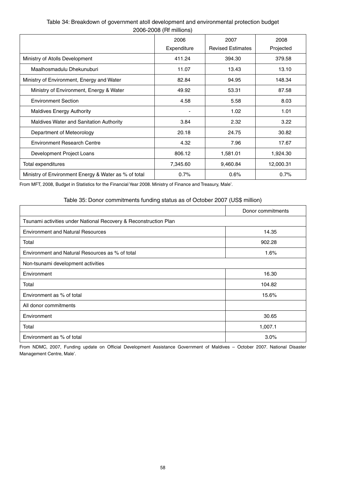# 2006-2008 (Rf millions) 2006 **Expenditure**  2007 Revised Estimates 2008 Projected Ministry of Atolls Development **120 120 120 120 120 120 120 120 120 13**79.58 Maalhosmadulu Dhekunuburi 11.07 13.43 13.10 Ministry of Environment, Energy and Water **82.84** 82.84 94.95 148.34 Ministry of Environment, Energy & Water 49.92 53.31 87.58 Environment Section and the section of the section of the section of the section of the section of the section of the section of the section of the section of the section of the section of the section of the section of the Maldives Energy Authority **1.02** 1.01 Maldives Water and Sanitation Authority **18.84** 3.84 3.22 3.22

# Table 34: Breakdown of government atoll development and environmental protection budget

From MFT, 2008, Budget in Statistics for the Financial Year 2008. Ministry of Finance and Treasury, Male'.

#### Table 35: Donor commitments funding status as of October 2007 (US\$ million)

Department of Meteorology **20.18** 20.18 24.75 24.75 Environment Research Centre 17.67 (17.67 17.67 17.67 17.67 17.67 17.67 17.67 17.67 17.67 17.67 17.67 17.67 17.67 Development Project Loans 1,924.30 Total expenditures 12,000.31 12,000.31 12,000.31 12,000.31 Ministry of Environment Energy & Water as % of total 0.7% 0.6% 0.7%

|                                                                  | Donor commitments |
|------------------------------------------------------------------|-------------------|
| Tsunami activities under National Recovery & Reconstruction Plan |                   |
| <b>Environment and Natural Resources</b>                         | 14.35             |
| Total                                                            | 902.28            |
| Environment and Natural Resources as % of total                  | 1.6%              |
| Non-tsunami development activities                               |                   |
| Environment                                                      | 16.30             |
| Total                                                            | 104.82            |
| Environment as % of total                                        | 15.6%             |
| All donor commitments                                            |                   |
| Environment                                                      | 30.65             |
| Total                                                            | 1,007.1           |
| Environment as % of total                                        | $3.0\%$           |

From NDMC, 2007, Funding update on Official Development Assistance Government of Maldives – October 2007. National Disaster Management Centre, Male'.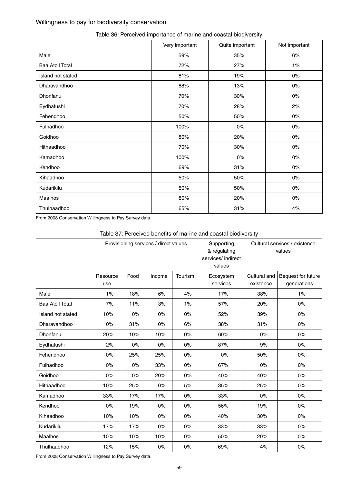# Willingness to pay for biodiversity conservation

|                        | Very important | Quite important | Not important |
|------------------------|----------------|-----------------|---------------|
| Male'                  | 59%            | 35%             | 6%            |
| <b>Baa Atoll Total</b> | 72%            | 27%             | 1%            |
| Island not stated      | 81%            | 19%             | $0\%$         |
| Dharavandhoo           | 88%            | 13%             | $0\%$         |
| Dhonfanu               | 70%            | 30%             | $0\%$         |
| Eydhafushi             | 70%            | 28%             | 2%            |
| Fehendhoo              | 50%            | 50%             | $0\%$         |
| Fulhadhoo              | 100%           | $0\%$           | $0\%$         |
| Goidhoo                | 80%            | 20%             | $0\%$         |
| Hithaadhoo             | 70%            | 30%             | $0\%$         |
| Kamadhoo               | 100%           | $0\%$           | $0\%$         |
| Kendhoo                | 69%            | 31%             | $0\%$         |
| Kihaadhoo              | 50%            | 50%             | $0\%$         |
| Kudarikilu             | 50%            | 50%             | $0\%$         |
| Maalhos                | 80%            | 20%             | $0\%$         |
| Thulhaadhoo            | 65%            | 31%             | 4%            |

# Table 36: Perceived importance of marine and coastal biodiversity

From 2008 Conservation Willingness to Pay Survey data.

# Table 37: Perceived benefits of marine and coastal biodiversity

|                        | Provisioning services / direct values |       |        | Supporting<br>& regulating<br>services/ indirect<br>values |                       | Cultural services / existence<br>values |                                   |
|------------------------|---------------------------------------|-------|--------|------------------------------------------------------------|-----------------------|-----------------------------------------|-----------------------------------|
|                        | Resource<br>use                       | Food  | Income | Tourism                                                    | Ecosystem<br>services | Cultural and<br>existence               | Bequest for future<br>generations |
| Male'                  | 1%                                    | 18%   | 6%     | 4%                                                         | 17%                   | 38%                                     | 1%                                |
| <b>Baa Atoll Total</b> | 7%                                    | 11%   | 3%     | 1%                                                         | 57%                   | 20%                                     | $0\%$                             |
| Island not stated      | 10%                                   | 0%    | $0\%$  | 0%                                                         | 52%                   | 39%                                     | $0\%$                             |
| Dharavandhoo           | $0\%$                                 | 31%   | 0%     | 6%                                                         | 38%                   | 31%                                     | $0\%$                             |
| Dhonfanu               | 20%                                   | 10%   | 10%    | 0%                                                         | 60%                   | 0%                                      | $0\%$                             |
| Eydhafushi             | 2%                                    | 0%    | 0%     | $0\%$                                                      | 87%                   | 9%                                      | $0\%$                             |
| Fehendhoo              | $0\%$                                 | 25%   | 25%    | 0%                                                         | $0\%$                 | 50%                                     | $0\%$                             |
| Fulhadhoo              | $0\%$                                 | 0%    | 33%    | $0\%$                                                      | 67%                   | $0\%$                                   | $0\%$                             |
| Goidhoo                | $0\%$                                 | $0\%$ | 20%    | $0\%$                                                      | 40%                   | 40%                                     | $0\%$                             |
| Hithaadhoo             | 10%                                   | 25%   | $0\%$  | 5%                                                         | 35%                   | 25%                                     | $0\%$                             |
| Kamadhoo               | 33%                                   | 17%   | 17%    | $0\%$                                                      | 33%                   | 0%                                      | $0\%$                             |
| Kendhoo                | $0\%$                                 | 19%   | $0\%$  | $0\%$                                                      | 56%                   | 19%                                     | $0\%$                             |
| Kihaadhoo              | 10%                                   | 10%   | 0%     | 0%                                                         | 40%                   | 30%                                     | $0\%$                             |
| Kudarikilu             | 17%                                   | 17%   | $0\%$  | $0\%$                                                      | 33%                   | 33%                                     | $0\%$                             |
| Maalhos                | 10%                                   | 10%   | 10%    | $0\%$                                                      | 50%                   | 20%                                     | $0\%$                             |
| Thulhaadhoo            | 12%                                   | 15%   | $0\%$  | $0\%$                                                      | 69%                   | 4%                                      | $0\%$                             |

From 2008 Conservation Willingness to Pay Survey data.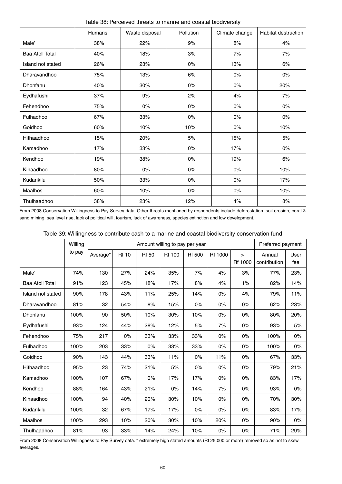|                        | Humans | Waste disposal | Pollution | Climate change | <b>Habitat destruction</b> |
|------------------------|--------|----------------|-----------|----------------|----------------------------|
| Male'                  | 38%    | 22%            | 9%        | $8%$           | 4%                         |
| <b>Baa Atoll Total</b> | 40%    | 18%            | 3%        | 7%             | 7%                         |
| Island not stated      | 26%    | 23%            | $0\%$     | 13%            | 6%                         |
| Dharavandhoo           | 75%    | 13%            | 6%        | $0\%$          | $0\%$                      |
| Dhonfanu               | 40%    | 30%            | $0\%$     | $0\%$          | 20%                        |
| Eydhafushi             | 37%    | 9%             | 2%        | 4%             | 7%                         |
| Fehendhoo              | 75%    | $0\%$          | $0\%$     | $0\%$          | $0\%$                      |
| Fulhadhoo              | 67%    | 33%            | $0\%$     | $0\%$          | $0\%$                      |
| Goidhoo                | 60%    | 10%            | 10%       | $0\%$          | 10%                        |
| Hithaadhoo             | 15%    | 20%            | 5%        | 15%            | 5%                         |
| Kamadhoo               | 17%    | 33%            | $0\%$     | 17%            | $0\%$                      |
| Kendhoo                | 19%    | 38%            | $0\%$     | 19%            | 6%                         |
| Kihaadhoo              | 80%    | $0\%$          | $0\%$     | $0\%$          | 10%                        |
| Kudarikilu             | 50%    | 33%            | $0\%$     | $0\%$          | 17%                        |
| Maalhos                | 60%    | 10%            | $0\%$     | $0\%$          | 10%                        |
| Thulhaadhoo            | 38%    | 23%            | 12%       | 4%             | $8%$                       |

Table 38: Perceived threats to marine and coastal biodiversity

From 2008 Conservation Willingness to Pay Survey data. Other threats mentioned by respondents include deforestation, soil erosion, coral & sand mining, sea level rise, lack of political will, tourism, lack of awareness, species extinction and low development.

|                        | Willing |          | Preferred payment |              |               |               |         |                   |                        |             |
|------------------------|---------|----------|-------------------|--------------|---------------|---------------|---------|-------------------|------------------------|-------------|
|                        | to pay  | Average* | <b>Rf 10</b>      | <b>Rf 50</b> | <b>Rf 100</b> | <b>Rf 500</b> | Rf 1000 | $\geq$<br>Rf 1000 | Annual<br>contribution | User<br>fee |
| Male'                  | 74%     | 130      | 27%               | 24%          | 35%           | 7%            | 4%      | 3%                | 77%                    | 23%         |
| <b>Baa Atoll Total</b> | 91%     | 123      | 45%               | 18%          | 17%           | 8%            | 4%      | $1\%$             | 82%                    | 14%         |
| Island not stated      | 90%     | 178      | 43%               | 11%          | 25%           | 14%           | 0%      | 4%                | 79%                    | 11%         |
| Dharavandhoo           | 81%     | 32       | 54%               | 8%           | 15%           | 0%            | 0%      | $0\%$             | 62%                    | 23%         |
| Dhonfanu               | 100%    | 90       | 50%               | 10%          | 30%           | 10%           | 0%      | $0\%$             | 80%                    | 20%         |
| Eydhafushi             | 93%     | 124      | 44%               | 28%          | 12%           | 5%            | 7%      | $0\%$             | 93%                    | 5%          |
| Fehendhoo              | 75%     | 217      | 0%                | 33%          | 33%           | 33%           | 0%      | $0\%$             | 100%                   | $0\%$       |
| Fulhadhoo              | 100%    | 203      | 33%               | $0\%$        | 33%           | 33%           | 0%      | $0\%$             | 100%                   | $0\%$       |
| Goidhoo                | 90%     | 143      | 44%               | 33%          | 11%           | $0\%$         | 11%     | $0\%$             | 67%                    | 33%         |
| Hithaadhoo             | 95%     | 23       | 74%               | 21%          | 5%            | $0\%$         | 0%      | $0\%$             | 79%                    | 21%         |
| Kamadhoo               | 100%    | 107      | 67%               | $0\%$        | 17%           | 17%           | 0%      | $0\%$             | 83%                    | 17%         |
| Kendhoo                | 88%     | 164      | 43%               | 21%          | 0%            | 14%           | 7%      | $0\%$             | 93%                    | 0%          |
| Kihaadhoo              | 100%    | 94       | 40%               | 20%          | 30%           | 10%           | 0%      | $0\%$             | 70%                    | 30%         |
| Kudarikilu             | 100%    | 32       | 67%               | 17%          | 17%           | $0\%$         | 0%      | $0\%$             | 83%                    | 17%         |
| Maalhos                | 100%    | 293      | 10%               | 20%          | 30%           | 10%           | 20%     | $0\%$             | 90%                    | 0%          |
| Thulhaadhoo            | 81%     | 93       | 33%               | 14%          | 24%           | 10%           | 0%      | $0\%$             | 71%                    | 29%         |

From 2008 Conservation Willingness to Pay Survey data. \* extremely high stated amounts (Rf 25,000 or more) removed so as not to skew averages.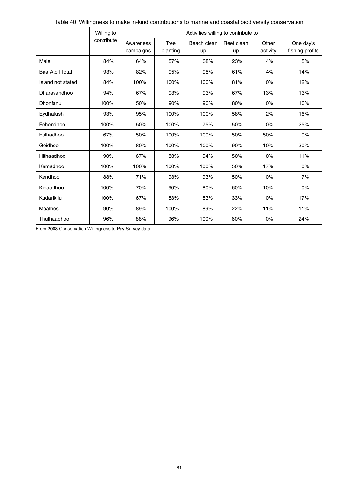|                   | Willing to | Activities willing to contribute to |                  |                   |                  |                   |                              |  |  |  |  |
|-------------------|------------|-------------------------------------|------------------|-------------------|------------------|-------------------|------------------------------|--|--|--|--|
|                   | contribute | Awareness<br>campaigns              | Tree<br>planting | Beach clean<br>up | Reef clean<br>up | Other<br>activity | One day's<br>fishing profits |  |  |  |  |
| Male'             | 84%        | 64%                                 | 57%              | 38%               | 23%              | 4%                | 5%                           |  |  |  |  |
| Baa Atoll Total   | 93%        | 82%                                 | 95%              | 95%               | 61%              | 4%                | 14%                          |  |  |  |  |
| Island not stated | 84%        | 100%                                | 100%             | 100%              | 81%              | 0%                | 12%                          |  |  |  |  |
| Dharavandhoo      | 94%        | 67%                                 | 93%              | 93%               | 67%              | 13%               | 13%                          |  |  |  |  |
| Dhonfanu          | 100%       | 50%                                 | 90%              | 90%               | 80%              | 0%                | 10%                          |  |  |  |  |
| Eydhafushi        | 93%        | 95%                                 | 100%             | 100%              | 58%              | 2%                | 16%                          |  |  |  |  |
| Fehendhoo         | 100%       | 50%                                 | 100%             | 75%               | 50%              | 0%                | 25%                          |  |  |  |  |
| Fulhadhoo         | 67%        | 50%                                 | 100%             | 100%              | 50%              | 50%               | $0\%$                        |  |  |  |  |
| Goidhoo           | 100%       | 80%                                 | 100%             | 100%              | 90%              | 10%               | 30%                          |  |  |  |  |
| Hithaadhoo        | 90%        | 67%                                 | 83%              | 94%               | 50%              | 0%                | 11%                          |  |  |  |  |
| Kamadhoo          | 100%       | 100%                                | 100%             | 100%              | 50%              | 17%               | $0\%$                        |  |  |  |  |
| Kendhoo           | 88%        | 71%                                 | 93%              | 93%               | 50%              | 0%                | 7%                           |  |  |  |  |
| Kihaadhoo         | 100%       | 70%                                 | 90%              | 80%               | 60%              | 10%               | 0%                           |  |  |  |  |
| Kudarikilu        | 100%       | 67%                                 | 83%              | 83%               | 33%              | 0%                | 17%                          |  |  |  |  |
| Maalhos           | 90%        | 89%                                 | 100%             | 89%               | 22%              | 11%               | 11%                          |  |  |  |  |
| Thulhaadhoo       | 96%        | 88%                                 | 96%              | 100%              | 60%              | 0%                | 24%                          |  |  |  |  |

From 2008 Conservation Willingness to Pay Survey data.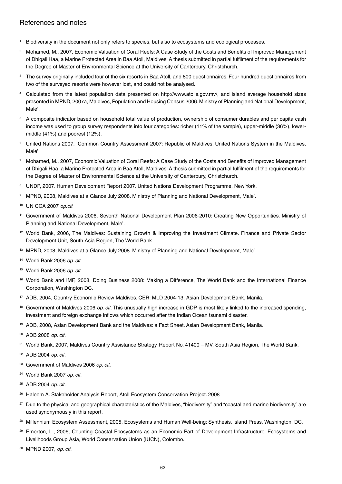# References and notes

- 1 Biodiversity in the document not only refers to species, but also to ecosystems and ecological processes.
- 2 Mohamed, M., 2007, Economic Valuation of Coral Reefs: A Case Study of the Costs and Benefits of Improved Management of Dhigali Haa, a Marine Protected Area in Baa Atoll, Maldives. A thesis submitted in partial fulfilment of the requirements for the Degree of Master of Environmental Science at the University of Canterbury, Christchurch.
- 3 The survey originally included four of the six resorts in Baa Atoll, and 800 questionnaires. Four hundred questionnaires from two of the surveyed resorts were however lost, and could not be analysed.
- 4 Calculated from the latest population data presented on http://www.atolls.gov.mv/, and island average household sizes presented in MPND, 2007a, Maldives, Population and Housing Census 2006. Ministry of Planning and National Development, Male'.
- 5 A composite indicator based on household total value of production, ownership of consumer durables and per capita cash income was used to group survey respondents into four categories: richer (11% of the sample), upper-middle (36%), lowermiddle (41%) and poorest (12%).
- 6 United Nations 2007. Common Country Assessment 2007: Republic of Maldives. United Nations System in the Maldives, Male'
- 7 Mohamed, M., 2007, Economic Valuation of Coral Reefs: A Case Study of the Costs and Benefits of Improved Management of Dhigali Haa, a Marine Protected Area in Baa Atoll, Maldives. A thesis submitted in partial fulfilment of the requirements for the Degree of Master of Environmental Science at the University of Canterbury, Christchurch.
- 8 UNDP, 2007. Human Development Report 2007. United Nations Development Programme, New York.
- 9 MPND, 2008, Maldives at a Glance July 2008. Ministry of Planning and National Development, Male'.
- <sup>10</sup> UN CCA 2007 *op.cit*
- <sup>11</sup> Government of Maldives 2006, Seventh National Development Plan 2006-2010: Creating New Opportunities. Ministry of Planning and National Development, Male'.
- <sup>12</sup> World Bank, 2006, The Maldives: Sustaining Growth & Improving the Investment Climate. Finance and Private Sector Development Unit, South Asia Region, The World Bank.
- <sup>13</sup> MPND, 2008, Maldives at a Glance July 2008. Ministry of Planning and National Development, Male'.
- <sup>14</sup> World Bank 2006 *op. cit.*
- <sup>15</sup> World Bank 2006 *op. cit.*
- <sup>16</sup> World Bank and IMF, 2008, Doing Business 2008: Making a Difference, The World Bank and the International Finance Corporation, Washington DC.
- <sup>17</sup> ADB, 2004, Country Economic Review Maldives. CER: MLD 2004-13, Asian Development Bank, Manila.
- <sup>18</sup> Government of Maldives 2006 *op. cit*. This unusually high increase in GDP is most likely linked to the increased spending, investment and foreign exchange inflows which occurred after the Indian Ocean tsunami disaster.
- <sup>19</sup> ADB, 2008, Asian Development Bank and the Maldives: a Fact Sheet. Asian Development Bank, Manila.
- <sup>20</sup> ADB 2008 *op. cit.*
- <sup>21</sup> World Bank, 2007, Maldives Country Assistance Strategy. Report No. 41400 MV, South Asia Region, The World Bank.
- <sup>22</sup> ADB 2004 *op. cit.*
- <sup>23</sup> Government of Maldives 2006 *op. cit.*
- <sup>24</sup> World Bank 2007 *op. cit.*
- <sup>25</sup> ADB 2004 *op. cit.*
- <sup>26</sup> Haleem A. Stakeholder Analysis Report, Atoll Ecosystem Conservation Project. 2008
- <sup>27</sup> Due to the physical and geographical characteristics of the Maldives, "biodiversity" and "coastal and marine biodiversity" are used synonymously in this report.
- <sup>28</sup> Millennium Ecosystem Assessment, 2005, Ecosystems and Human Well-being: Synthesis. Island Press, Washington, DC.
- <sup>29</sup> Emerton, L., 2006, Counting Coastal Ecosystems as an Economic Part of Development Infrastructure. Ecosystems and Livelihoods Group Asia, World Conservation Union (IUCN), Colombo.
- 30 MPND 2007, *op. cit.*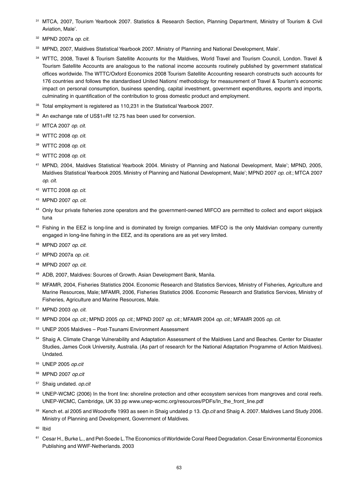- <sup>31</sup> MTCA, 2007, Tourism Yearbook 2007. Statistics & Research Section, Planning Department, Ministry of Tourism & Civil Aviation, Male'.
- <sup>32</sup> MPND 2007a *op. cit.*
- <sup>33</sup> MPND, 2007, Maldives Statistical Yearbook 2007. Ministry of Planning and National Development, Male'.
- <sup>34</sup> WTTC, 2008, Travel & Tourism Satellite Accounts for the Maldives, World Travel and Tourism Council, London. Travel & Tourism Satellite Accounts are analogous to the national income accounts routinely published by government statistical offices worldwide. The WTTC/Oxford Economics 2008 Tourism Satellite Accounting research constructs such accounts for 176 countries and follows the standardised United Nations' methodology for measurement of Travel & Tourism's economic impact on personal consumption, business spending, capital investment, government expenditures, exports and imports, culminating in quantification of the contribution to gross domestic product and employment.
- <sup>35</sup> Total employment is registered as 110,231 in the Statistical Yearbook 2007.
- <sup>36</sup> An exchange rate of US\$1=Rf 12.75 has been used for conversion.
- <sup>37</sup> MTCA 2007 *op. cit.*
- <sup>38</sup> WTTC 2008 *op. cit.*
- <sup>39</sup> WTTC 2008 *op. cit.*
- <sup>40</sup> WTTC 2008 *op. cit.*
- <sup>41</sup> MPND, 2004, Maldives Statistical Yearbook 2004. Ministry of Planning and National Development, Male'; MPND, 2005, Maldives Statistical Yearbook 2005. Ministry of Planning and National Development, Male'; MPND 2007 *op. cit*.; MTCA 2007 *op. cit.*
- <sup>42</sup> WTTC 2008 *op. cit.*
- <sup>43</sup> MPND 2007 *op. cit.*
- 44 Only four private fisheries zone operators and the government-owned MIFCO are permitted to collect and export skipjack tuna
- <sup>45</sup> Fishing in the EEZ is long-line and is dominated by foreign companies. MIFCO is the only Maldivian company currently engaged in long-line fishing in the EEZ, and its operations are as yet very limited.
- <sup>46</sup> MPND 2007 *op. cit.*
- <sup>47</sup> MPND 2007a *op. cit.*
- <sup>48</sup> MPND 2007 *op. cit.*
- <sup>49</sup> ADB, 2007, Maldives: Sources of Growth. Asian Development Bank, Manila.
- 50 MFAMR, 2004, Fisheries Statistics 2004. Economic Research and Statistics Services, Ministry of Fisheries, Agriculture and Marine Resources, Male; MFAMR, 2006, Fisheries Statistics 2006. Economic Research and Statistics Services, Ministry of Fisheries, Agriculture and Marine Resources, Male.
- <sup>51</sup> MPND 2003 *op. cit.*
- <sup>52</sup> MPND 2004 *op. cit.*; MPND 2005 *op. cit.*; MPND 2007 *op. cit.*; MFAMR 2004 *op. cit.*; MFAMR 2005 *op. cit.*
- <sup>53</sup> UNEP 2005 Maldives Post-Tsunami Environment Assessment
- <sup>54</sup> Shaig A. Climate Change Vulnerability and Adaptation Assessment of the Maldives Land and Beaches. Center for Disaster Studies, James Cook University, Australia. (As part of research for the National Adaptation Programme of Action Maldives). Undated.
- <sup>55</sup> UNEP 2005 *op.cit*
- <sup>56</sup> MPND 2007 *op.cit*
- <sup>57</sup> Shaig undated. *op.cit*
- 58 UNEP-WCMC (2006) In the front line: shoreline protection and other ecosystem services from mangroves and coral reefs. UNEP-WCMC, Cambridge, UK 33 pp www.unep-wcmc.org/resources/PDFs/In\_the\_front\_line.pdf
- <sup>59</sup> Kench et. al 2005 and Woodroffe 1993 as seen in Shaig undated p 13. *Op.cit* and Shaig A. 2007. Maldives Land Study 2006. Ministry of Planning and Development, Government of Maldives.
- <sup>60</sup> Ibid
- <sup>61</sup> Cesar H., Burke L., and Pet-Soede L. The Economics of Worldwide Coral Reed Degradation. Cesar Environmental Economics Publishing and WWF-Netherlands. 2003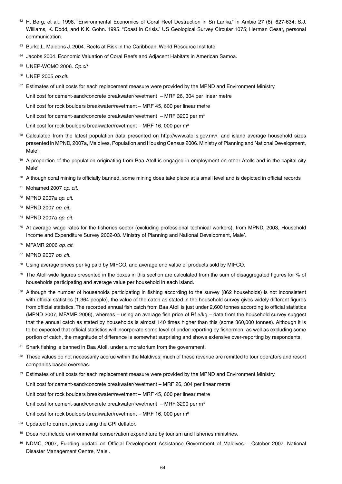- 62 H. Berg, et al.. 1998. "Environmental Economics of Coral Reef Destruction in Sri Lanka," in Ambio 27 (8): 627-634; S.J. Williams, K. Dodd, and K.K. Gohn. 1995. "Coast in Crisis." US Geological Survey Circular 1075; Herman Cesar, personal communication.
- <sup>63</sup> Burke, L. Maidens J. 2004. Reefs at Risk in the Caribbean. World Resource Institute.
- <sup>64</sup> Jacobs 2004. Economic Valuation of Coral Reefs and Adiacent Habitats in American Samoa.
- <sup>65</sup> UNEP-WCMC 2006. *Op.cit*
- <sup>66</sup> UNEP 2005 *op.cit*.
- <sup>67</sup> Estimates of unit costs for each replacement measure were provided by the MPND and Environment Ministry.

Unit cost for cement-sand/concrete breakwater/revetment – MRF 26, 304 per linear metre

Unit cost for rock boulders breakwater/revetment – MRF 45, 600 per linear metre

Unit cost for cement-sand/concrete breakwater/revetment  $-$  MRF 3200 per m<sup>3</sup>

Unit cost for rock boulders breakwater/revetment  $-$  MRF 16, 000 per  $m<sup>3</sup>$ 

- <sup>68</sup> Calculated from the latest population data presented on http://www.atolls.gov.mv/, and island average household sizes presented in MPND, 2007a, Maldives, Population and Housing Census 2006. Ministry of Planning and National Development, Male'.
- 69 A proportion of the population originating from Baa Atoll is engaged in employment on other Atolls and in the capital city Male'.
- $70$  Although coral mining is officially banned, some mining does take place at a small level and is depicted in official records
- <sup>71</sup> Mohamed 2007 *op. cit.*
- <sup>72</sup> MPND 2007a *op. cit*.
- <sup>73</sup> MPND 2007 *op. cit.*
- <sup>74</sup> MPND 2007a *op. cit.*
- <sup>75</sup> At average wage rates for the fisheries sector (excluding professional technical workers), from MPND, 2003, Household Income and Expenditure Survey 2002-03. Ministry of Planning and National Development, Male'.
- <sup>76</sup> MFAMR 2006 *op. cit.*
- <sup>77</sup> MPND 2007 *op. cit.*
- $78$  Using average prices per kg paid by MIFCO, and average end value of products sold by MIFCO.
- $79$  The Atoll-wide figures presented in the boxes in this section are calculated from the sum of disaggregated figures for % of households participating and average value per household in each island.
- 80 Although the number of households participating in fishing according to the survey (862 households) is not inconsistent with official statistics (1,364 people), the value of the catch as stated in the household survey gives widely different figures from official statistics. The recorded annual fish catch from Baa Atoll is just under 2,600 tonnes according to official statistics (MPND 2007, MFAMR 2006), whereas – using an average fish price of Rf 5/kg – data from the household survey suggest that the annual catch as stated by households is almost 140 times higher than this (some 360,000 tonnes). Although it is to be expected that official statistics will incorporate some level of under-reporting by fishermen, as well as excluding some portion of catch, the magnitude of difference is somewhat surprising and shows extensive over-reporting by respondents.
- 81 Shark fishing is banned in Baa Atoll, under a moratorium from the government.
- <sup>82</sup> These values do not necessarily accrue within the Maldives; much of these revenue are remitted to tour operators and resort companies based overseas.
- 83 Estimates of unit costs for each replacement measure were provided by the MPND and Environment Ministry.

Unit cost for cement-sand/concrete breakwater/revetment – MRF 26, 304 per linear metre

Unit cost for rock boulders breakwater/revetment – MRF 45, 600 per linear metre

Unit cost for cement-sand/concrete breakwater/revetment – MRF 3200 per m<sup>3</sup>

Unit cost for rock boulders breakwater/revetment – MRF 16, 000 per  $m<sup>3</sup>$ 

- 84 Updated to current prices using the CPI deflator.
- 85 Does not include environmental conservation expenditure by tourism and fisheries ministries.
- 86 NDMC, 2007, Funding update on Official Development Assistance Government of Maldives October 2007. National Disaster Management Centre, Male'.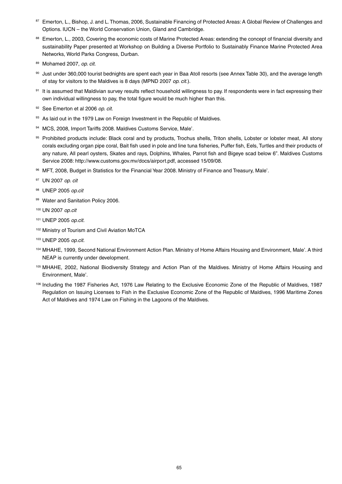- 87 Emerton, L., Bishop, J. and L. Thomas, 2006, Sustainable Financing of Protected Areas: A Global Review of Challenges and Options. IUCN – the World Conservation Union, Gland and Cambridge.
- 88 Emerton, L., 2003, Covering the economic costs of Marine Protected Areas: extending the concept of financial diversity and sustainability Paper presented at Workshop on Building a Diverse Portfolio to Sustainably Finance Marine Protected Area Networks, World Parks Congress, Durban.
- <sup>89</sup> Mohamed 2007, *op. cit.*
- 90 Just under 360,000 tourist bednights are spent each year in Baa Atoll resorts (see Annex Table 30), and the average length of stay for visitors to the Maldives is 8 days (MPND 2007 *op. cit.*).
- 91 It is assumed that Maldivian survey results reflect household willingness to pay. If respondents were in fact expressing their own individual willingness to pay, the total figure would be much higher than this.
- <sup>92</sup> See Emerton et al 2006 *op. cit.*
- 93 As laid out in the 1979 Law on Foreign Investment in the Republic of Maldives.
- 94 MCS, 2008, Import Tariffs 2008. Maldives Customs Service, Male'.
- 95 Prohibited products include: Black coral and by products, Trochus shells, Triton shells, Lobster or lobster meat, All stony corals excluding organ pipe coral, Bait fish used in pole and line tuna fisheries, Puffer fish, Eels, Turtles and their products of any nature, All pearl oysters, Skates and rays, Dolphins, Whales, Parrot fish and Bigeye scad below 6". Maldives Customs Service 2008: http://www.customs.gov.mv/docs/airport.pdf, accessed 15/09/08.
- <sup>96</sup> MFT, 2008, Budget in Statistics for the Financial Year 2008. Ministry of Finance and Treasury, Male'.
- <sup>97</sup> UN 2007 *op. cit*
- <sup>98</sup> UNEP 2005 *op.cit*
- 99 Water and Sanitation Policy 2006.
- <sup>100</sup> UN 2007 *op.cit*
- <sup>101</sup> UNEP 2005 *op.cit.*
- <sup>102</sup> Ministry of Tourism and Civil Aviation MoTCA
- <sup>103</sup> UNEP 2005 *op.cit.*
- <sup>104</sup> MHAHE, 1999, Second National Environment Action Plan. Ministry of Home Affairs Housing and Environment, Male'. A third NEAP is currently under development.
- <sup>105</sup> MHAHE, 2002, National Biodiversity Strategy and Action Plan of the Maldives. Ministry of Home Affairs Housing and Environment, Male'.
- <sup>106</sup> Including the 1987 Fisheries Act, 1976 Law Relating to the Exclusive Economic Zone of the Republic of Maldives, 1987 Regulation on Issuing Licenses to Fish in the Exclusive Economic Zone of the Republic of Maldives, 1996 Maritime Zones Act of Maldives and 1974 Law on Fishing in the Lagoons of the Maldives.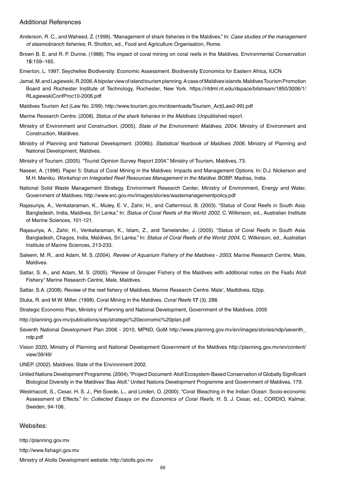#### Additional References

- Anderson, R. C., and Waheed, Z. (1999). "Management of shark fisheries in the Maldives." In: *Case studies of the management of elasmobranch fisheries*, R. Shotton, ed., Food and Agriculture Organisation, Rome.
- Brown B. E. and R. P. Dunne. (1988). The impact of coral mining on coral reefs in the Maldives. Environmental Conservation 1**5**:159–165.
- Emerton, L. 1997. Seychelles Biodiversity: Economic Assessment. Biodiversity Economics for Eastern Africa, IUCN
- Jamal, M. and Lagiewski, R.2006. A bipolar view of island tourism planning. A case of Maldives islands. Maldives Tourism Promotion Board and Rochester Institute of Technology, Rochester, New York. https://ritdml.rit.edu/dspace/bitstream/1850/3006/1/ RLagiewskiConfProc10-2006.pdf
- Maldives Tourism Act (Law No. 2/99). http://www.tourism.gov.mv/downloads/Tourism\_Act(Law2-99).pdf
- Marine Research Centre. (2008). *Status of the shark fisheries in the Maldives*. Unpublished report.
- Ministry of Environment and Construction. (2005). *State of the Environment: Maldives, 2004*, Ministry of Environment and Construction, Maldives.
- Ministry of Planning and National Development. (2006b). *Statistical Yearbook of Maldives 2006*, Ministry of Planning and National Development, Maldives.
- Ministry of Tourism. (2005). "Tourist Opinion Survey Report 2004." Ministry of Tourism, Maldives, 73.
- Naseer, A. (1996). Paper 5: Status of Coral Mining in the Maldives: Impacts and Management Options. In: D.J. Nickerson and M.H. Maniku. *Workshop on Integrated Reef Resources Management in the Maldive.* BOBP, Madras, India.
- National Solid Waste Management Strategy, Environment Research Center, Ministry of Environment, Energy and Water, Government of Maldives. http://www.erc.gov.mv/images/stories/wastemanagementpolicy.pdf
- Rajasuriya, A., Venkataraman, K., Muley, E. V., Zahir, H., and Cattermoul, B. (2003). "Status of Coral Reefs in South Asia: Bangladesh, India, Maldives, Sri Lanka." In: *Status of Coral Reefs of the World: 2002*, C. Wilkinson, ed., Australian Institute of Marine Sciences, 101-121.
- Rajasuriya, A., Zahir, H., Venkataraman, K., Islam, Z., and Tamelander, J. (2005). "Status of Coral Reefs in South Asia: Bangladesh, Chagos, India, Maldives, Sri Lanka." In: *Status of Coral Reefs of the World: 2004*, C. Wilkinson, ed., Australian Institute of Marine Sciences, 213-233.
- Saleem, M. R., and Adam, M. S. (2004). *Review of Aquarium Fishery of the Maldives 2003*, Marine Research Centre, Male, Maldives.
- Sattar, S. A., and Adam, M. S. (2005). "Review of Grouper Fishery of the Maldives with additional notes on the Faafu Atoll Fishery." Marine Research Centre, Male, Maldives.
- Sattar, S.A. (2008). Review of the reef fishery of Maldives. Marine Research Centre. Male', Madldives. 62pp.
- Sluka, R. and M.W. Miller. (1998). Coral Mining in the Maldives. *Coral Reefs* **17** (3): 288.
- Strategic Economic Plan, Ministry of Planning and National Development, Government of the Maldives. 2005
- http://planning.gov.mv/publications/sep/strategic%20economic%20plan.pdf
- Seventh National Development Plan 2006 2010, MPND, GoM http://www.planning.gov.mv/en/images/stories/ndp/seventh\_ ndp.pdf
- Vision 2020, Ministry of Planning and National Development Government of the Maldives http://planning.gov.mv/en/content/ view/39/49/
- UNEP. (2002). Maldives: State of the Environment 2002.
- United Nations Development Programme. (2004). "Project Document: Atoll Ecosystem-Based Conservation of Globally Significant Biological Diversity in the Maldives' Baa Atoll." United Nations Development Programme and Government of Maldives, 179.
- Westmacott, S., Cesar, H. S. J., Pet-Soede, L., and Linden, O. (2000). "Coral Bleaching in the Indian Ocean: Socio-economic Assessment of Effects." In: *Collected Essays on the Economics of Coral Reefs*, H. S. J. Cesar, ed., CORDIO, Kalmar, Sweden, 94-106.

#### Websites:

http://planning.gov.mv

http://www.fishagri.gov.mv

Ministry of Atolls Development website: http://atolls.gov.mv